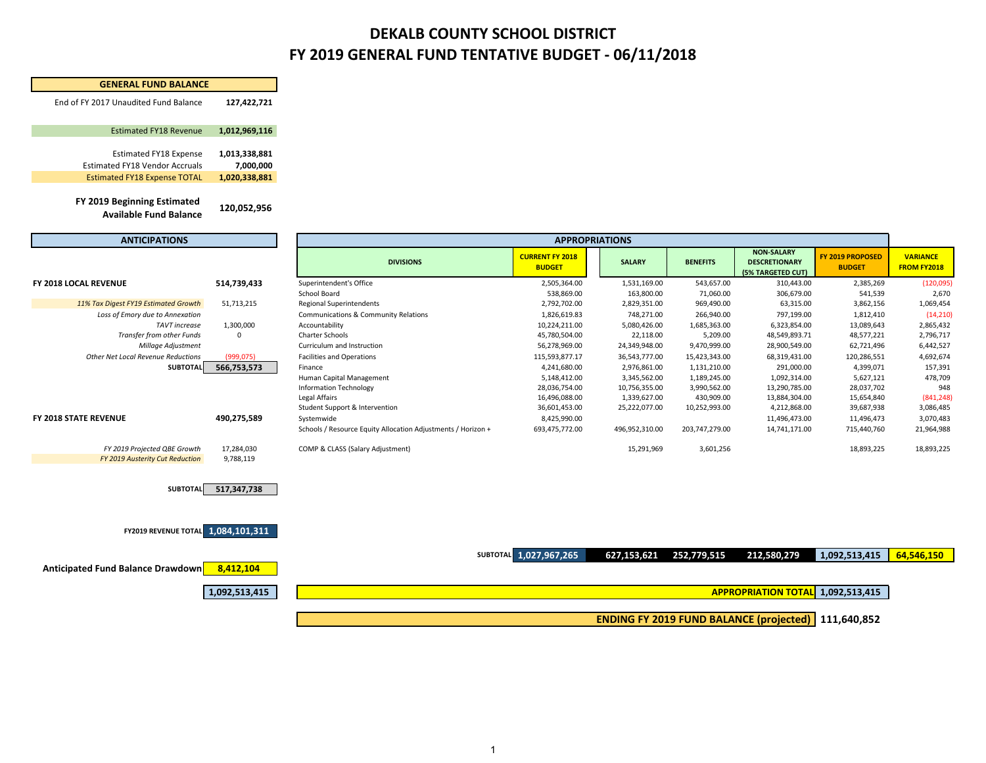#### **FY 2019 GENERAL FUND TENTATIVE BUDGET ‐ 06/11/2018 DEKALB COUNTY SCHOOL DISTRICT**

**GENERAL FUND BALANCE**

| End of FY 2017 Unaudited Fund Balance                                                                  | 127,422,721                                 |                                                              |                                         |                |                 |                                                                |                                          |                                |
|--------------------------------------------------------------------------------------------------------|---------------------------------------------|--------------------------------------------------------------|-----------------------------------------|----------------|-----------------|----------------------------------------------------------------|------------------------------------------|--------------------------------|
| <b>Estimated FY18 Revenue</b>                                                                          | 1,012,969,116                               |                                                              |                                         |                |                 |                                                                |                                          |                                |
| <b>Estimated FY18 Expense</b><br>Estimated FY18 Vendor Accruals<br><b>Estimated FY18 Expense TOTAL</b> | 1,013,338,881<br>7,000,000<br>1,020,338,881 |                                                              |                                         |                |                 |                                                                |                                          |                                |
| FY 2019 Beginning Estimated<br><b>Available Fund Balance</b>                                           | 120,052,956                                 |                                                              |                                         |                |                 |                                                                |                                          |                                |
| <b>ANTICIPATIONS</b>                                                                                   |                                             |                                                              | <b>APPROPRIATIONS</b>                   |                |                 |                                                                |                                          |                                |
|                                                                                                        |                                             | <b>DIVISIONS</b>                                             | <b>CURRENT FY 2018</b><br><b>BUDGET</b> | <b>SALARY</b>  | <b>BENEFITS</b> | <b>NON-SALARY</b><br><b>DESCRETIONARY</b><br>(5% TARGETED CUT) | <b>FY 2019 PROPOSED</b><br><b>BUDGET</b> | <b>VARIANCE</b><br>FROM FY2018 |
| FY 2018 LOCAL REVENUE                                                                                  | 514,739,433                                 | Superintendent's Office                                      | 2,505,364.00                            | 1,531,169.00   | 543,657.00      | 310,443.00                                                     | 2,385,269                                | (120,095)                      |
|                                                                                                        |                                             | School Board                                                 | 538,869.00                              | 163,800.00     | 71,060.00       | 306,679.00                                                     | 541,539                                  | 2,670                          |
| 11% Tax Digest FY19 Estimated Growth                                                                   | 51,713,215                                  | <b>Regional Superintendents</b>                              | 2,792,702.00                            | 2,829,351.00   | 969,490.00      | 63,315.00                                                      | 3,862,156                                | 1,069,454                      |
| Loss of Emory due to Annexation                                                                        |                                             | Communications & Community Relations                         | 1,826,619.83                            | 748,271.00     | 266,940.00      | 797,199.00                                                     | 1,812,410                                | (14, 210)                      |
| <b>TAVT</b> increase                                                                                   | 1,300,000                                   | Accountability                                               | 10,224,211.00                           | 5,080,426.00   | 1,685,363.00    | 6,323,854.00                                                   | 13,089,643                               | 2,865,432                      |
| Transfer from other Funds                                                                              | 0                                           | Charter Schools                                              | 45,780,504.00                           | 22,118.00      | 5,209.00        | 48,549,893.71                                                  | 48,577,221                               | 2,796,717                      |
| Millage Adjustment                                                                                     |                                             | Curriculum and Instruction                                   | 56,278,969.00                           | 24,349,948.00  | 9,470,999.00    | 28,900,549.00                                                  | 62,721,496                               | 6,442,527                      |
| Other Net Local Revenue Reductions                                                                     | (999, 075)                                  | <b>Facilities and Operations</b>                             | 115,593,877.17                          | 36,543,777.00  | 15,423,343.00   | 68,319,431.00                                                  | 120,286,551                              | 4,692,674                      |
| <b>SUBTOTAL</b>                                                                                        | 566,753,573                                 | Finance                                                      | 4,241,680.00                            | 2,976,861.00   | 1,131,210.00    | 291,000.00                                                     | 4,399,071                                | 157,391                        |
|                                                                                                        |                                             | Human Capital Management                                     | 5,148,412.00                            | 3,345,562.00   | 1,189,245.00    | 1,092,314.00                                                   | 5,627,121                                | 478,709                        |
|                                                                                                        |                                             | <b>Information Technology</b>                                | 28,036,754.00                           | 10,756,355.00  | 3,990,562.00    | 13,290,785.00                                                  | 28,037,702                               | 948                            |
|                                                                                                        |                                             | Legal Affairs                                                | 16,496,088.00                           | 1,339,627.00   | 430,909.00      | 13,884,304.00                                                  | 15,654,840                               | (841, 248)                     |
|                                                                                                        |                                             | Student Support & Intervention                               | 36,601,453.00                           | 25,222,077.00  | 10,252,993.00   | 4,212,868.00                                                   | 39,687,938                               | 3,086,485                      |
| FY 2018 STATE REVENUE                                                                                  | 490,275,589                                 | Systemwide                                                   | 8,425,990.00                            |                |                 | 11,496,473.00                                                  | 11,496,473                               | 3,070,483                      |
|                                                                                                        |                                             | Schools / Resource Equity Allocation Adjustments / Horizon + | 693,475,772.00                          | 496,952,310.00 | 203,747,279.00  | 14,741,171.00                                                  | 715,440,760                              | 21,964,988                     |
| FY 2019 Projected QBE Growth                                                                           | 17,284,030                                  | COMP & CLASS (Salary Adjustment)                             |                                         | 15,291,969     | 3,601,256       |                                                                | 18,893,225                               | 18,893,225                     |
| FY 2019 Austerity Cut Reduction                                                                        | 9,788,119                                   |                                                              |                                         |                |                 |                                                                |                                          |                                |
| <b>SUBTOTAL</b>                                                                                        | 517,347,738                                 |                                                              |                                         |                |                 |                                                                |                                          |                                |
| <b>FY2019 REVENUE TOTAL 1,084,101,311</b>                                                              |                                             |                                                              |                                         |                |                 |                                                                |                                          |                                |
|                                                                                                        |                                             |                                                              | SUBTOTAL 1,027,967,265                  | 627,153,621    | 252,779,515     | 212,580,279                                                    | 1,092,513,415                            | 64,546,150                     |
| <b>Anticipated Fund Balance Drawdown</b>                                                               | 8,412,104                                   |                                                              |                                         |                |                 |                                                                |                                          |                                |
|                                                                                                        | 1,092,513,415                               |                                                              |                                         |                |                 | <b>APPROPRIATION TOTAL 1,092,513,415</b>                       |                                          |                                |
|                                                                                                        |                                             |                                                              |                                         |                |                 | ENDING FY 2019 FUND BALANCE (projected)   111,640,852          |                                          |                                |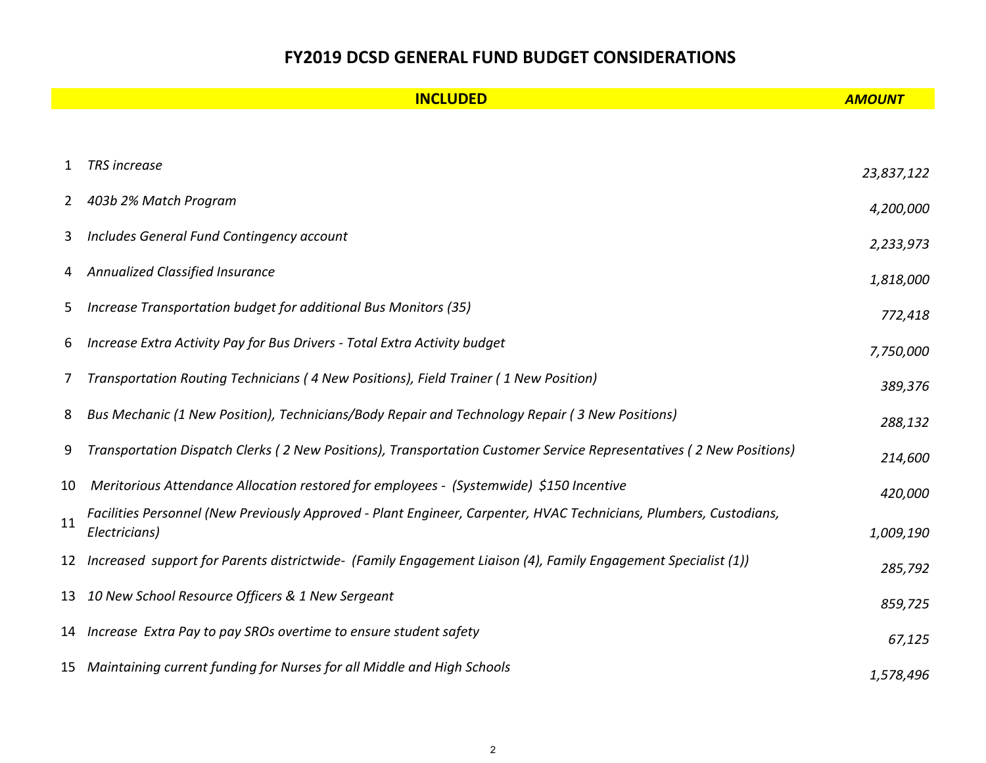#### **FY2019 DCSD GENERAL FUND BUDGET CONSIDERATIONS**

|    | <b>INCLUDED</b>                                                                                                                     | <b>AMOUNT</b> |
|----|-------------------------------------------------------------------------------------------------------------------------------------|---------------|
|    |                                                                                                                                     |               |
| 1  | <b>TRS</b> increase                                                                                                                 | 23,837,122    |
| 2  | 403b 2% Match Program                                                                                                               | 4,200,000     |
| 3  | Includes General Fund Contingency account                                                                                           | 2,233,973     |
| 4  | Annualized Classified Insurance                                                                                                     | 1,818,000     |
| 5. | Increase Transportation budget for additional Bus Monitors (35)                                                                     | 772,418       |
| 6  | Increase Extra Activity Pay for Bus Drivers - Total Extra Activity budget                                                           | 7,750,000     |
| 7  | Transportation Routing Technicians (4 New Positions), Field Trainer (1 New Position)                                                | 389,376       |
| 8  | Bus Mechanic (1 New Position), Technicians/Body Repair and Technology Repair (3 New Positions)                                      | 288,132       |
| 9  | Transportation Dispatch Clerks (2 New Positions), Transportation Customer Service Representatives (2 New Positions)                 | 214,600       |
| 10 | Meritorious Attendance Allocation restored for employees - (Systemwide) \$150 Incentive                                             | 420,000       |
| 11 | Facilities Personnel (New Previously Approved - Plant Engineer, Carpenter, HVAC Technicians, Plumbers, Custodians,<br>Electricians) | 1,009,190     |
| 12 | Increased support for Parents districtwide- (Family Engagement Liaison (4), Family Engagement Specialist (1))                       | 285,792       |
| 13 | 10 New School Resource Officers & 1 New Sergeant                                                                                    | 859,725       |
|    | 14 Increase Extra Pay to pay SROs overtime to ensure student safety                                                                 | 67,125        |
|    | 15 Maintaining current funding for Nurses for all Middle and High Schools                                                           | 1,578,496     |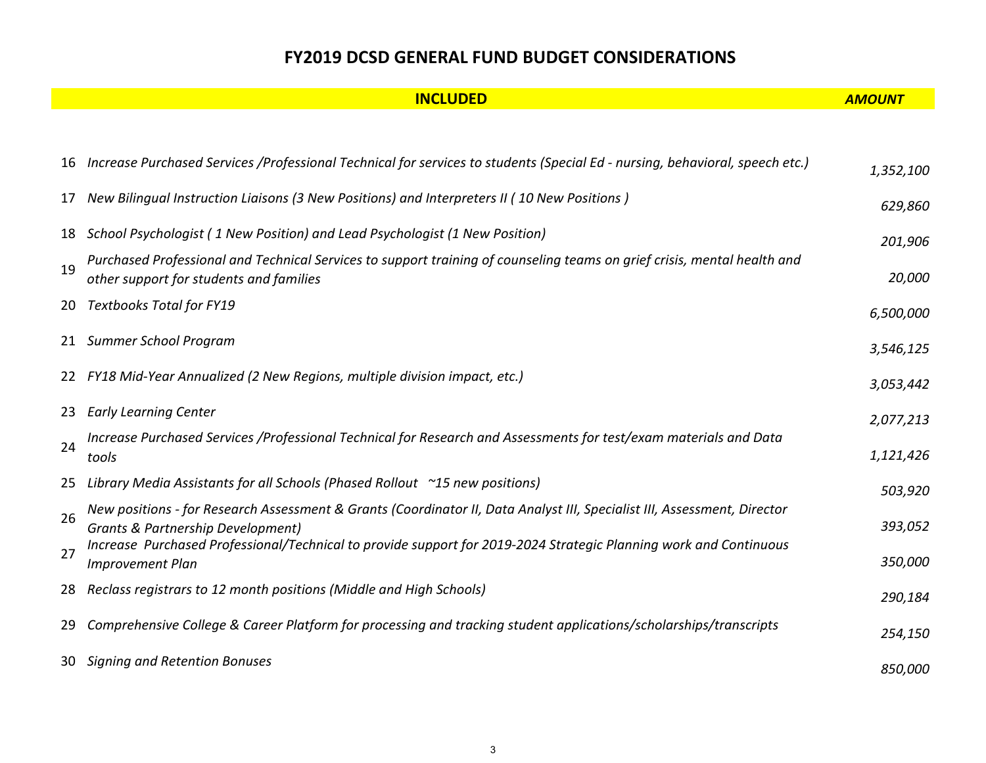#### **FY2019 DCSD GENERAL FUND BUDGET CONSIDERATIONS**

|    | <b>INCLUDED</b>                                                                                                                                                          | <b>AMOUNT</b> |
|----|--------------------------------------------------------------------------------------------------------------------------------------------------------------------------|---------------|
|    |                                                                                                                                                                          |               |
| 16 | Increase Purchased Services /Professional Technical for services to students (Special Ed - nursing, behavioral, speech etc.)                                             | 1,352,100     |
| 17 | New Bilingual Instruction Liaisons (3 New Positions) and Interpreters II (10 New Positions)                                                                              | 629,860       |
| 18 | School Psychologist (1 New Position) and Lead Psychologist (1 New Position)                                                                                              | 201,906       |
| 19 | Purchased Professional and Technical Services to support training of counseling teams on grief crisis, mental health and<br>other support for students and families      | 20,000        |
| 20 | <b>Textbooks Total for FY19</b>                                                                                                                                          | 6,500,000     |
|    | 21 Summer School Program                                                                                                                                                 | 3,546,125     |
| 22 | FY18 Mid-Year Annualized (2 New Regions, multiple division impact, etc.)                                                                                                 | 3,053,442     |
| 23 | <b>Early Learning Center</b>                                                                                                                                             | 2,077,213     |
| 24 | Increase Purchased Services /Professional Technical for Research and Assessments for test/exam materials and Data<br>tools                                               | 1,121,426     |
| 25 | Library Media Assistants for all Schools (Phased Rollout ~15 new positions)                                                                                              | 503,920       |
| 26 | New positions - for Research Assessment & Grants (Coordinator II, Data Analyst III, Specialist III, Assessment, Director<br><b>Grants &amp; Partnership Development)</b> | 393,052       |
| 27 | Increase Purchased Professional/Technical to provide support for 2019-2024 Strategic Planning work and Continuous<br><b>Improvement Plan</b>                             | 350,000       |
| 28 | Reclass registrars to 12 month positions (Middle and High Schools)                                                                                                       | 290,184       |
| 29 | Comprehensive College & Career Platform for processing and tracking student applications/scholarships/transcripts                                                        | 254,150       |
|    | 30 Signing and Retention Bonuses                                                                                                                                         | 850,000       |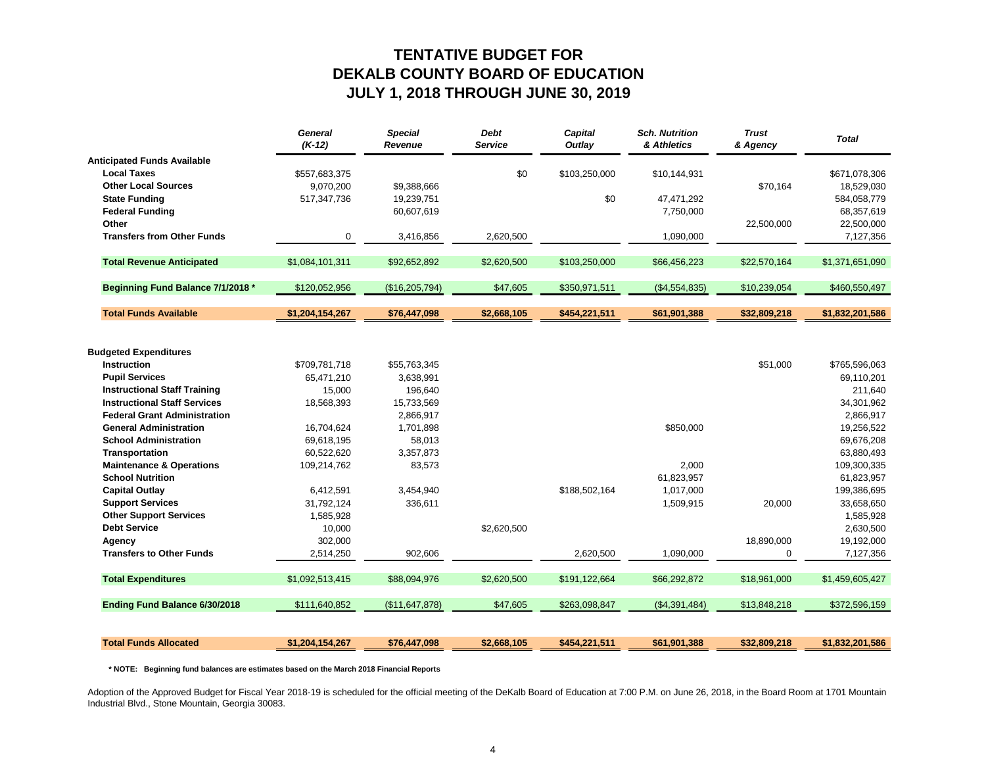#### **TENTATIVE BUDGET FORDEKALB COUNTY BOARD OF EDUCATION JULY 1, 2018 THROUGH JUNE 30, 2019**

|                                     | <b>General</b><br>$(K-12)$ | <b>Special</b><br>Revenue | <b>Debt</b><br><b>Service</b> | Capital<br>Outlay | <b>Sch. Nutrition</b><br>& Athletics | <b>Trust</b><br>& Agency | <b>Total</b>    |
|-------------------------------------|----------------------------|---------------------------|-------------------------------|-------------------|--------------------------------------|--------------------------|-----------------|
| <b>Anticipated Funds Available</b>  |                            |                           |                               |                   |                                      |                          |                 |
| <b>Local Taxes</b>                  | \$557,683,375              |                           | \$0                           | \$103,250,000     | \$10,144,931                         |                          | \$671,078,306   |
| <b>Other Local Sources</b>          | 9,070,200                  | \$9,388,666               |                               |                   |                                      | \$70,164                 | 18,529,030      |
| <b>State Funding</b>                | 517,347,736                | 19,239,751                |                               | \$0               | 47,471,292                           |                          | 584,058,779     |
| <b>Federal Funding</b>              |                            | 60,607,619                |                               |                   | 7,750,000                            |                          | 68,357,619      |
| Other                               |                            |                           |                               |                   |                                      | 22,500,000               | 22,500,000      |
| <b>Transfers from Other Funds</b>   | 0                          | 3,416,856                 | 2,620,500                     |                   | 1,090,000                            |                          | 7,127,356       |
| <b>Total Revenue Anticipated</b>    | \$1,084,101,311            | \$92,652,892              | \$2,620,500                   | \$103,250,000     | \$66,456,223                         | \$22,570,164             | \$1,371,651,090 |
| Beginning Fund Balance 7/1/2018 *   | \$120,052,956              | (\$16,205,794)            | \$47,605                      | \$350,971,511     | (\$4,554,835)                        | \$10,239,054             | \$460,550,497   |
|                                     |                            |                           |                               |                   |                                      |                          |                 |
| <b>Total Funds Available</b>        | \$1,204,154,267            | \$76,447,098              | \$2,668,105                   | \$454,221,511     | \$61,901,388                         | \$32,809,218             | \$1,832,201,586 |
|                                     |                            |                           |                               |                   |                                      |                          |                 |
| <b>Budgeted Expenditures</b>        |                            |                           |                               |                   |                                      |                          |                 |
| <b>Instruction</b>                  | \$709,781,718              | \$55,763,345              |                               |                   |                                      | \$51,000                 | \$765,596,063   |
| <b>Pupil Services</b>               | 65,471,210                 | 3,638,991                 |                               |                   |                                      |                          | 69,110,201      |
| <b>Instructional Staff Training</b> | 15,000                     | 196,640                   |                               |                   |                                      |                          | 211,640         |
| <b>Instructional Staff Services</b> | 18,568,393                 | 15,733,569                |                               |                   |                                      |                          | 34,301,962      |
| <b>Federal Grant Administration</b> |                            | 2,866,917                 |                               |                   |                                      |                          | 2,866,917       |
| <b>General Administration</b>       | 16,704,624                 | 1,701,898                 |                               |                   | \$850,000                            |                          | 19,256,522      |
| <b>School Administration</b>        | 69,618,195                 | 58,013                    |                               |                   |                                      |                          | 69,676,208      |
| Transportation                      | 60,522,620                 | 3,357,873                 |                               |                   |                                      |                          | 63,880,493      |
| <b>Maintenance &amp; Operations</b> | 109,214,762                | 83,573                    |                               |                   | 2,000                                |                          | 109,300,335     |
| <b>School Nutrition</b>             |                            |                           |                               |                   | 61,823,957                           |                          | 61,823,957      |
| <b>Capital Outlay</b>               | 6,412,591                  | 3,454,940                 |                               | \$188,502,164     | 1,017,000                            |                          | 199,386,695     |
| <b>Support Services</b>             | 31,792,124                 | 336,611                   |                               |                   | 1,509,915                            | 20,000                   | 33,658,650      |
| <b>Other Support Services</b>       | 1,585,928                  |                           |                               |                   |                                      |                          | 1,585,928       |
| <b>Debt Service</b>                 | 10,000                     |                           | \$2,620,500                   |                   |                                      |                          | 2,630,500       |
| Agency                              | 302,000                    |                           |                               |                   |                                      | 18,890,000               | 19,192,000      |
| <b>Transfers to Other Funds</b>     | 2,514,250                  | 902,606                   |                               | 2,620,500         | 1,090,000                            | 0                        | 7,127,356       |
| <b>Total Expenditures</b>           | \$1,092,513,415            | \$88,094,976              | \$2,620,500                   | \$191,122,664     | \$66,292,872                         | \$18,961,000             | \$1,459,605,427 |
| Ending Fund Balance 6/30/2018       | \$111,640,852              | (\$11,647,878)            | \$47,605                      | \$263,098,847     | (\$4,391,484)                        | \$13,848,218             | \$372,596,159   |
|                                     |                            |                           |                               |                   |                                      |                          |                 |
| <b>Total Funds Allocated</b>        | \$1,204,154,267            | \$76,447,098              | \$2,668,105                   | \$454,221,511     | \$61,901,388                         | \$32,809,218             | \$1,832,201,586 |

 **\* NOTE: Beginning fund balances are estimates based on the March 2018 Financial Reports**

Adoption of the Approved Budget for Fiscal Year 2018-19 is scheduled for the official meeting of the DeKalb Board of Education at 7:00 P.M. on June 26, 2018, in the Board Room at 1701 Mountain Industrial Blvd., Stone Mountain, Georgia 30083.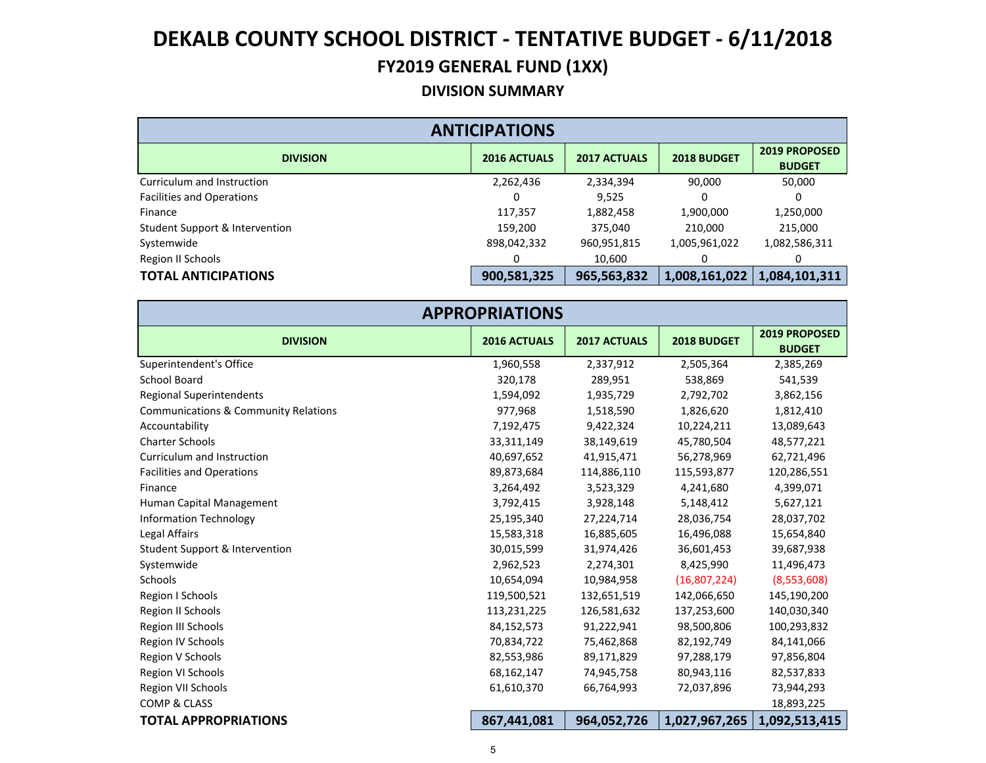#### **DIVISION SUMMARY**

| <b>ANTICIPATIONS</b>                      |                     |                     |               |                                |  |  |  |  |
|-------------------------------------------|---------------------|---------------------|---------------|--------------------------------|--|--|--|--|
| <b>DIVISION</b>                           | <b>2016 ACTUALS</b> | <b>2017 ACTUALS</b> | 2018 BUDGET   | 2019 PROPOSED<br><b>BUDGET</b> |  |  |  |  |
| Curriculum and Instruction                | 2,262,436           | 2,334,394           | 90,000        | 50,000                         |  |  |  |  |
| <b>Facilities and Operations</b>          |                     | 9,525               | ი             | 0                              |  |  |  |  |
| Finance                                   | 117,357             | 1,882,458           | 1,900,000     | 1,250,000                      |  |  |  |  |
| <b>Student Support &amp; Intervention</b> | 159,200             | 375,040             | 210,000       | 215,000                        |  |  |  |  |
| Systemwide                                | 898,042,332         | 960,951,815         | 1,005,961,022 | 1,082,586,311                  |  |  |  |  |
| Region II Schools                         |                     | 10,600              |               |                                |  |  |  |  |
| <b>TOTAL ANTICIPATIONS</b>                | 900,581,325         | 965,563,832         | 1,008,161,022 | 1,084,101,311                  |  |  |  |  |

|                                                 | <b>APPROPRIATIONS</b> |                     |               |                                |
|-------------------------------------------------|-----------------------|---------------------|---------------|--------------------------------|
| <b>DIVISION</b>                                 | 2016 ACTUALS          | <b>2017 ACTUALS</b> | 2018 BUDGET   | 2019 PROPOSED<br><b>BUDGET</b> |
| Superintendent's Office                         | 1,960,558             | 2,337,912           | 2,505,364     | 2,385,269                      |
| <b>School Board</b>                             | 320,178               | 289,951             | 538,869       | 541,539                        |
| <b>Regional Superintendents</b>                 | 1,594,092             | 1,935,729           | 2,792,702     | 3,862,156                      |
| <b>Communications &amp; Community Relations</b> | 977,968               | 1,518,590           | 1,826,620     | 1,812,410                      |
| Accountability                                  | 7,192,475             | 9,422,324           | 10,224,211    | 13,089,643                     |
| <b>Charter Schools</b>                          | 33,311,149            | 38,149,619          | 45,780,504    | 48,577,221                     |
| Curriculum and Instruction                      | 40,697,652            | 41,915,471          | 56,278,969    | 62,721,496                     |
| <b>Facilities and Operations</b>                | 89,873,684            | 114,886,110         | 115,593,877   | 120,286,551                    |
| Finance                                         | 3,264,492             | 3,523,329           | 4,241,680     | 4,399,071                      |
| Human Capital Management                        | 3,792,415             | 3,928,148           | 5,148,412     | 5,627,121                      |
| <b>Information Technology</b>                   | 25,195,340            | 27,224,714          | 28,036,754    | 28,037,702                     |
| Legal Affairs                                   | 15,583,318            | 16,885,605          | 16,496,088    | 15,654,840                     |
| <b>Student Support &amp; Intervention</b>       | 30,015,599            | 31,974,426          | 36,601,453    | 39,687,938                     |
| Systemwide                                      | 2,962,523             | 2,274,301           | 8,425,990     | 11,496,473                     |
| Schools                                         | 10,654,094            | 10,984,958          | (16,807,224)  | (8,553,608)                    |
| Region I Schools                                | 119,500,521           | 132,651,519         | 142,066,650   | 145,190,200                    |
| Region II Schools                               | 113,231,225           | 126,581,632         | 137,253,600   | 140,030,340                    |
| Region III Schools                              | 84,152,573            | 91,222,941          | 98,500,806    | 100,293,832                    |
| Region IV Schools                               | 70,834,722            | 75,462,868          | 82,192,749    | 84,141,066                     |
| Region V Schools                                | 82,553,986            | 89,171,829          | 97,288,179    | 97,856,804                     |
| Region VI Schools                               | 68,162,147            | 74,945,758          | 80,943,116    | 82,537,833                     |
| Region VII Schools                              | 61,610,370            | 66,764,993          | 72,037,896    | 73,944,293                     |
| <b>COMP &amp; CLASS</b>                         |                       |                     |               | 18,893,225                     |
| <b>TOTAL APPROPRIATIONS</b>                     | 867,441,081           | 964,052,726         | 1,027,967,265 | 1,092,513,415                  |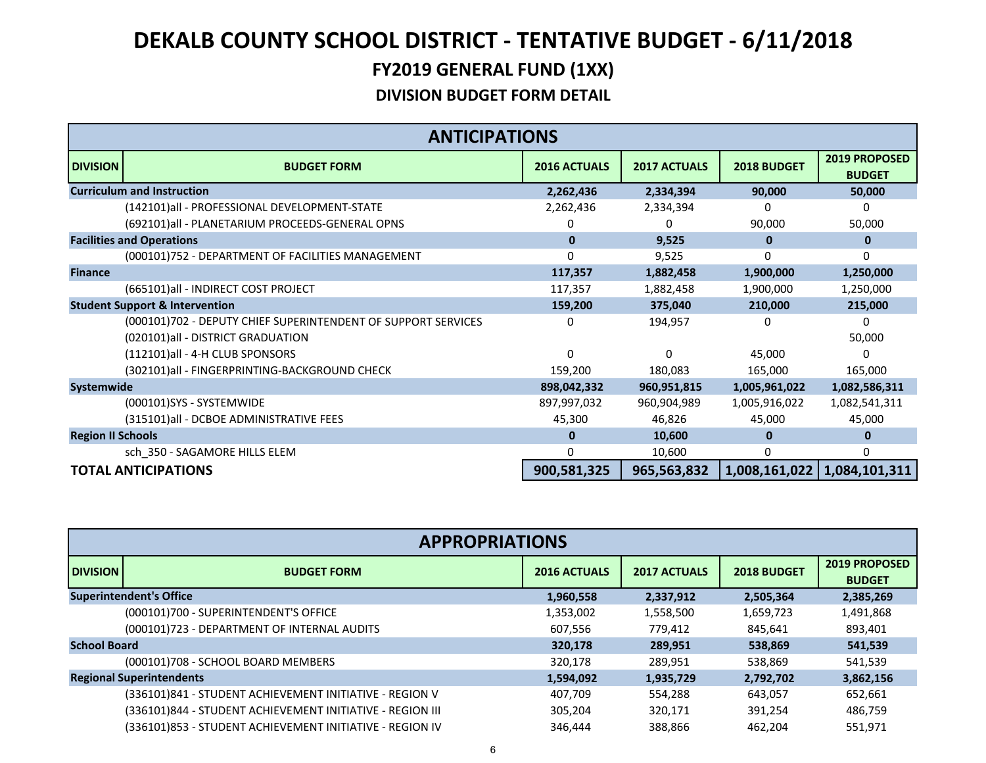|                          | <b>ANTICIPATIONS</b>                                                                               |                     |                     |               |                                |
|--------------------------|----------------------------------------------------------------------------------------------------|---------------------|---------------------|---------------|--------------------------------|
| <b>DIVISION</b>          | <b>BUDGET FORM</b>                                                                                 | <b>2016 ACTUALS</b> | <b>2017 ACTUALS</b> | 2018 BUDGET   | 2019 PROPOSED<br><b>BUDGET</b> |
|                          | <b>Curriculum and Instruction</b>                                                                  | 2,262,436           | 2,334,394           | 90,000        | 50,000                         |
|                          | (142101)all - PROFESSIONAL DEVELOPMENT-STATE                                                       | 2,262,436           | 2,334,394           |               | 0                              |
|                          | (692101)all - PLANETARIUM PROCEEDS-GENERAL OPNS                                                    | 0                   |                     | 90,000        | 50,000                         |
|                          | <b>Facilities and Operations</b>                                                                   | $\bf{0}$            | 9,525               | $\bf{0}$      | 0                              |
|                          | (000101)752 - DEPARTMENT OF FACILITIES MANAGEMENT                                                  | 0                   | 9,525               | 0             | 0                              |
| <b>Finance</b>           |                                                                                                    | 117,357             | 1,882,458           | 1,900,000     | 1,250,000                      |
|                          | (665101)all - INDIRECT COST PROJECT                                                                | 117,357             | 1,882,458           | 1,900,000     | 1,250,000                      |
|                          | <b>Student Support &amp; Intervention</b>                                                          | 159,200             | 375,040             | 210,000       | 215,000                        |
|                          | (000101)702 - DEPUTY CHIEF SUPERINTENDENT OF SUPPORT SERVICES<br>(020101)all - DISTRICT GRADUATION | 0                   | 194,957             | 0             | $\Omega$<br>50,000             |
|                          | (112101)all - 4-H CLUB SPONSORS                                                                    | $\Omega$            | $\Omega$            | 45,000        | U                              |
|                          | (302101)all - FINGERPRINTING-BACKGROUND CHECK                                                      | 159,200             | 180,083             | 165,000       | 165,000                        |
| Systemwide               |                                                                                                    | 898,042,332         | 960,951,815         | 1,005,961,022 | 1,082,586,311                  |
|                          | (000101)SYS - SYSTEMWIDE                                                                           | 897,997,032         | 960,904,989         | 1,005,916,022 | 1,082,541,311                  |
|                          | (315101)all - DCBOE ADMINISTRATIVE FEES                                                            | 45,300              | 46,826              | 45,000        | 45,000                         |
| <b>Region II Schools</b> |                                                                                                    | $\bf{0}$            | 10,600              | $\bf{0}$      | 0                              |
|                          | sch_350 - SAGAMORE HILLS ELEM                                                                      | 0                   | 10,600              | 0             | 0                              |
|                          | <b>TOTAL ANTICIPATIONS</b>                                                                         | 900,581,325         | 965,563,832         |               | 1,008,161,022   1,084,101,311  |

|                     | <b>APPROPRIATIONS</b>                                     |                     |                     |             |                                       |  |  |  |
|---------------------|-----------------------------------------------------------|---------------------|---------------------|-------------|---------------------------------------|--|--|--|
| <b>DIVISION</b>     | <b>BUDGET FORM</b>                                        | <b>2016 ACTUALS</b> | <b>2017 ACTUALS</b> | 2018 BUDGET | <b>2019 PROPOSED</b><br><b>BUDGET</b> |  |  |  |
|                     | <b>Superintendent's Office</b>                            | 1,960,558           | 2,337,912           | 2,505,364   | 2,385,269                             |  |  |  |
|                     | (000101)700 - SUPERINTENDENT'S OFFICE                     | 1,353,002           | 1,558,500           | 1,659,723   | 1,491,868                             |  |  |  |
|                     | (000101)723 - DEPARTMENT OF INTERNAL AUDITS               | 607.556             | 779.412             | 845.641     | 893,401                               |  |  |  |
| <b>School Board</b> |                                                           | 320,178             | 289.951             | 538,869     | 541,539                               |  |  |  |
|                     | (000101)708 - SCHOOL BOARD MEMBERS                        | 320.178             | 289.951             | 538.869     | 541.539                               |  |  |  |
|                     | <b>Regional Superintendents</b>                           | 1,594,092           | 1,935,729           | 2,792,702   | 3,862,156                             |  |  |  |
|                     | (336101)841 - STUDENT ACHIEVEMENT INITIATIVE - REGION V   | 407,709             | 554,288             | 643,057     | 652,661                               |  |  |  |
|                     | (336101)844 - STUDENT ACHIEVEMENT INITIATIVE - REGION III | 305,204             | 320,171             | 391,254     | 486,759                               |  |  |  |
|                     | (336101)853 - STUDENT ACHIEVEMENT INITIATIVE - REGION IV  | 346.444             | 388,866             | 462.204     | 551,971                               |  |  |  |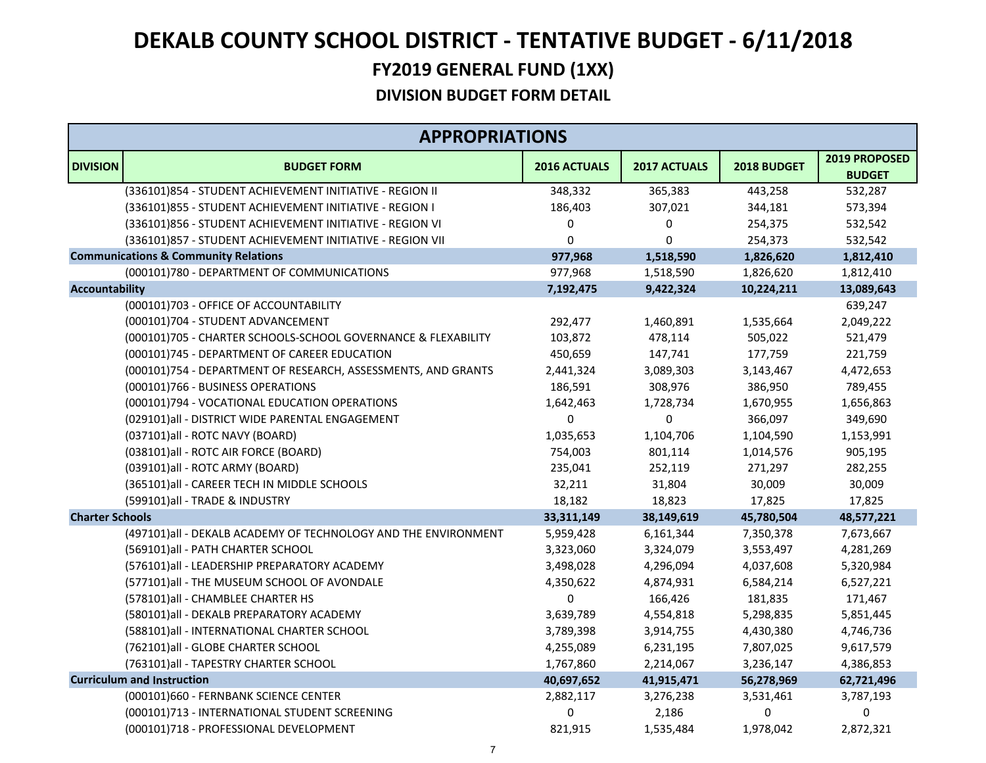|                        | <b>APPROPRIATIONS</b>                                          |                     |              |             |                                |
|------------------------|----------------------------------------------------------------|---------------------|--------------|-------------|--------------------------------|
| <b>DIVISION</b>        | <b>BUDGET FORM</b>                                             | <b>2016 ACTUALS</b> | 2017 ACTUALS | 2018 BUDGET | 2019 PROPOSED<br><b>BUDGET</b> |
|                        | (336101)854 - STUDENT ACHIEVEMENT INITIATIVE - REGION II       | 348,332             | 365,383      | 443,258     | 532,287                        |
|                        | (336101)855 - STUDENT ACHIEVEMENT INITIATIVE - REGION I        | 186,403             | 307,021      | 344,181     | 573,394                        |
|                        | (336101)856 - STUDENT ACHIEVEMENT INITIATIVE - REGION VI       | 0                   | 0            | 254,375     | 532,542                        |
|                        | (336101)857 - STUDENT ACHIEVEMENT INITIATIVE - REGION VII      | 0                   | 0            | 254,373     | 532,542                        |
|                        | <b>Communications &amp; Community Relations</b>                | 977,968             | 1,518,590    | 1,826,620   | 1,812,410                      |
|                        | (000101)780 - DEPARTMENT OF COMMUNICATIONS                     | 977,968             | 1,518,590    | 1,826,620   | 1,812,410                      |
| <b>Accountability</b>  |                                                                | 7,192,475           | 9,422,324    | 10,224,211  | 13,089,643                     |
|                        | (000101)703 - OFFICE OF ACCOUNTABILITY                         |                     |              |             | 639,247                        |
|                        | (000101)704 - STUDENT ADVANCEMENT                              | 292,477             | 1,460,891    | 1,535,664   | 2,049,222                      |
|                        | (000101)705 - CHARTER SCHOOLS-SCHOOL GOVERNANCE & FLEXABILITY  | 103,872             | 478,114      | 505,022     | 521,479                        |
|                        | (000101)745 - DEPARTMENT OF CAREER EDUCATION                   | 450,659             | 147,741      | 177,759     | 221,759                        |
|                        | (000101)754 - DEPARTMENT OF RESEARCH, ASSESSMENTS, AND GRANTS  | 2,441,324           | 3,089,303    | 3,143,467   | 4,472,653                      |
|                        | (000101)766 - BUSINESS OPERATIONS                              | 186,591             | 308,976      | 386,950     | 789,455                        |
|                        | (000101)794 - VOCATIONAL EDUCATION OPERATIONS                  | 1,642,463           | 1,728,734    | 1,670,955   | 1,656,863                      |
|                        | (029101)all - DISTRICT WIDE PARENTAL ENGAGEMENT                | 0                   | 0            | 366,097     | 349,690                        |
|                        | (037101)all - ROTC NAVY (BOARD)                                | 1,035,653           | 1,104,706    | 1,104,590   | 1,153,991                      |
|                        | (038101)all - ROTC AIR FORCE (BOARD)                           | 754,003             | 801,114      | 1,014,576   | 905,195                        |
|                        | (039101)all - ROTC ARMY (BOARD)                                | 235,041             | 252,119      | 271,297     | 282,255                        |
|                        | (365101)all - CAREER TECH IN MIDDLE SCHOOLS                    | 32,211              | 31,804       | 30,009      | 30,009                         |
|                        | (599101)all - TRADE & INDUSTRY                                 | 18,182              | 18,823       | 17,825      | 17,825                         |
| <b>Charter Schools</b> |                                                                | 33,311,149          | 38,149,619   | 45,780,504  | 48,577,221                     |
|                        | (497101)all - DEKALB ACADEMY OF TECHNOLOGY AND THE ENVIRONMENT | 5,959,428           | 6,161,344    | 7,350,378   | 7,673,667                      |
|                        | (569101)all - PATH CHARTER SCHOOL                              | 3,323,060           | 3,324,079    | 3,553,497   | 4,281,269                      |
|                        | (576101)all - LEADERSHIP PREPARATORY ACADEMY                   | 3,498,028           | 4,296,094    | 4,037,608   | 5,320,984                      |
|                        | (577101)all - THE MUSEUM SCHOOL OF AVONDALE                    | 4,350,622           | 4,874,931    | 6,584,214   | 6,527,221                      |
|                        | (578101)all - CHAMBLEE CHARTER HS                              | 0                   | 166,426      | 181,835     | 171,467                        |
|                        | (580101)all - DEKALB PREPARATORY ACADEMY                       | 3,639,789           | 4,554,818    | 5,298,835   | 5,851,445                      |
|                        | (588101)all - INTERNATIONAL CHARTER SCHOOL                     | 3,789,398           | 3,914,755    | 4,430,380   | 4,746,736                      |
|                        | (762101)all - GLOBE CHARTER SCHOOL                             | 4,255,089           | 6,231,195    | 7,807,025   | 9,617,579                      |
|                        | (763101)all - TAPESTRY CHARTER SCHOOL                          | 1,767,860           | 2,214,067    | 3,236,147   | 4,386,853                      |
|                        | <b>Curriculum and Instruction</b>                              | 40,697,652          | 41,915,471   | 56,278,969  | 62,721,496                     |
|                        | (000101)660 - FERNBANK SCIENCE CENTER                          | 2,882,117           | 3,276,238    | 3,531,461   | 3,787,193                      |
|                        | (000101)713 - INTERNATIONAL STUDENT SCREENING                  | 0                   | 2,186        | $\pmb{0}$   | 0                              |
|                        | (000101)718 - PROFESSIONAL DEVELOPMENT                         | 821,915             | 1,535,484    | 1,978,042   | 2,872,321                      |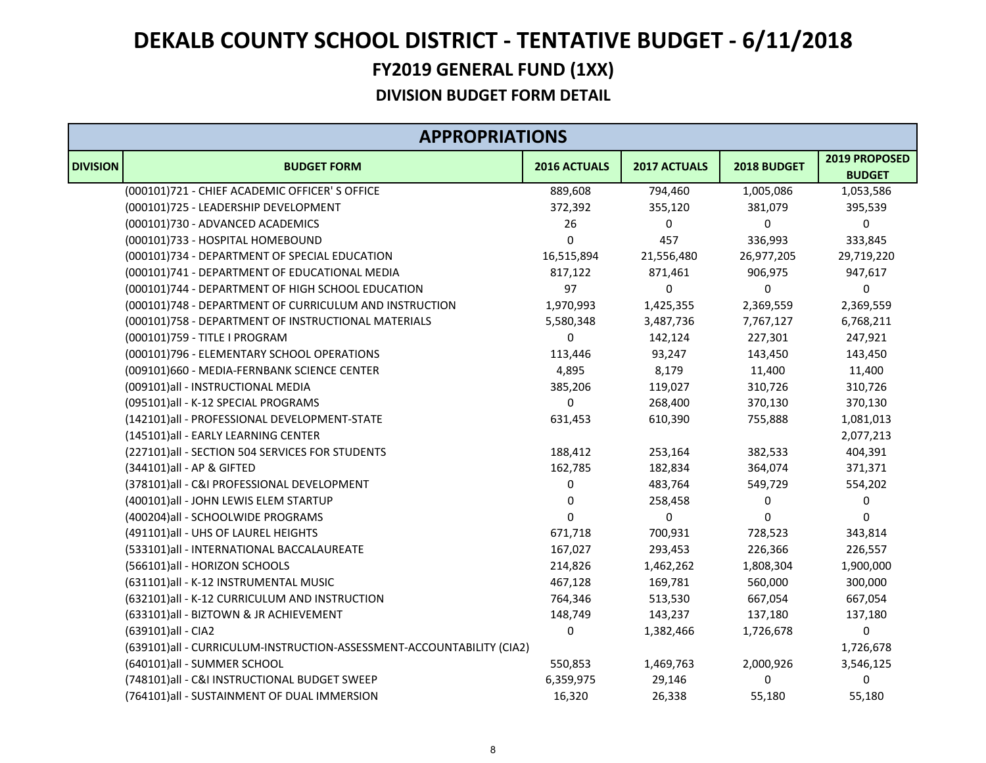### **FY2019 GENERAL FUND (1XX) DEKALB COUNTY SCHOOL DISTRICT ‐ TENTATIVE BUDGET ‐ 6/11/2018**

| <b>APPROPRIATIONS</b> |                                                                       |              |              |             |                                |
|-----------------------|-----------------------------------------------------------------------|--------------|--------------|-------------|--------------------------------|
| <b>DIVISION</b>       | <b>BUDGET FORM</b>                                                    | 2016 ACTUALS | 2017 ACTUALS | 2018 BUDGET | 2019 PROPOSED<br><b>BUDGET</b> |
|                       | (000101)721 - CHIEF ACADEMIC OFFICER'S OFFICE                         | 889,608      | 794,460      | 1,005,086   | 1,053,586                      |
|                       | (000101)725 - LEADERSHIP DEVELOPMENT                                  | 372,392      | 355,120      | 381,079     | 395,539                        |
|                       | (000101)730 - ADVANCED ACADEMICS                                      | 26           | $\mathbf 0$  | 0           | $\pmb{0}$                      |
|                       | (000101)733 - HOSPITAL HOMEBOUND                                      | 0            | 457          | 336,993     | 333,845                        |
|                       | (000101)734 - DEPARTMENT OF SPECIAL EDUCATION                         | 16,515,894   | 21,556,480   | 26,977,205  | 29,719,220                     |
|                       | (000101)741 - DEPARTMENT OF EDUCATIONAL MEDIA                         | 817,122      | 871,461      | 906,975     | 947,617                        |
|                       | (000101)744 - DEPARTMENT OF HIGH SCHOOL EDUCATION                     | 97           | $\Omega$     | $\Omega$    | $\mathbf 0$                    |
|                       | (000101)748 - DEPARTMENT OF CURRICULUM AND INSTRUCTION                | 1,970,993    | 1,425,355    | 2,369,559   | 2,369,559                      |
|                       | (000101)758 - DEPARTMENT OF INSTRUCTIONAL MATERIALS                   | 5,580,348    | 3,487,736    | 7,767,127   | 6,768,211                      |
|                       | (000101)759 - TITLE I PROGRAM                                         | 0            | 142,124      | 227,301     | 247,921                        |
|                       | (000101)796 - ELEMENTARY SCHOOL OPERATIONS                            | 113,446      | 93,247       | 143,450     | 143,450                        |
|                       | (009101)660 - MEDIA-FERNBANK SCIENCE CENTER                           | 4,895        | 8,179        | 11,400      | 11,400                         |
|                       | (009101)all - INSTRUCTIONAL MEDIA                                     | 385,206      | 119,027      | 310,726     | 310,726                        |
|                       | (095101)all - K-12 SPECIAL PROGRAMS                                   | 0            | 268,400      | 370,130     | 370,130                        |
|                       | (142101)all - PROFESSIONAL DEVELOPMENT-STATE                          | 631,453      | 610,390      | 755,888     | 1,081,013                      |
|                       | (145101)all - EARLY LEARNING CENTER                                   |              |              |             | 2,077,213                      |
|                       | (227101)all - SECTION 504 SERVICES FOR STUDENTS                       | 188,412      | 253,164      | 382,533     | 404,391                        |
|                       | (344101)all - AP & GIFTED                                             | 162,785      | 182,834      | 364,074     | 371,371                        |
|                       | (378101)all - C&I PROFESSIONAL DEVELOPMENT                            | 0            | 483,764      | 549,729     | 554,202                        |
|                       | (400101)all - JOHN LEWIS ELEM STARTUP                                 | 0            | 258,458      | 0           | 0                              |
|                       | (400204)all - SCHOOLWIDE PROGRAMS                                     | 0            | 0            | $\mathbf 0$ | $\mathbf 0$                    |
|                       | (491101)all - UHS OF LAUREL HEIGHTS                                   | 671,718      | 700,931      | 728,523     | 343,814                        |
|                       | (533101)all - INTERNATIONAL BACCALAUREATE                             | 167,027      | 293,453      | 226,366     | 226,557                        |
|                       | (566101)all - HORIZON SCHOOLS                                         | 214,826      | 1,462,262    | 1,808,304   | 1,900,000                      |
|                       | (631101)all - K-12 INSTRUMENTAL MUSIC                                 | 467,128      | 169,781      | 560,000     | 300,000                        |
|                       | (632101)all - K-12 CURRICULUM AND INSTRUCTION                         | 764,346      | 513,530      | 667,054     | 667,054                        |
|                       | (633101)all - BIZTOWN & JR ACHIEVEMENT                                | 148,749      | 143,237      | 137,180     | 137,180                        |
|                       | (639101)all - CIA2                                                    | 0            | 1,382,466    | 1,726,678   | 0                              |
|                       | (639101)all - CURRICULUM-INSTRUCTION-ASSESSMENT-ACCOUNTABILITY (CIA2) |              |              |             | 1,726,678                      |
|                       | (640101)all - SUMMER SCHOOL                                           | 550,853      | 1,469,763    | 2,000,926   | 3,546,125                      |
|                       | (748101)all - C&I INSTRUCTIONAL BUDGET SWEEP                          | 6,359,975    | 29,146       | 0           | 0                              |
|                       | (764101)all - SUSTAINMENT OF DUAL IMMERSION                           | 16,320       | 26,338       | 55,180      | 55,180                         |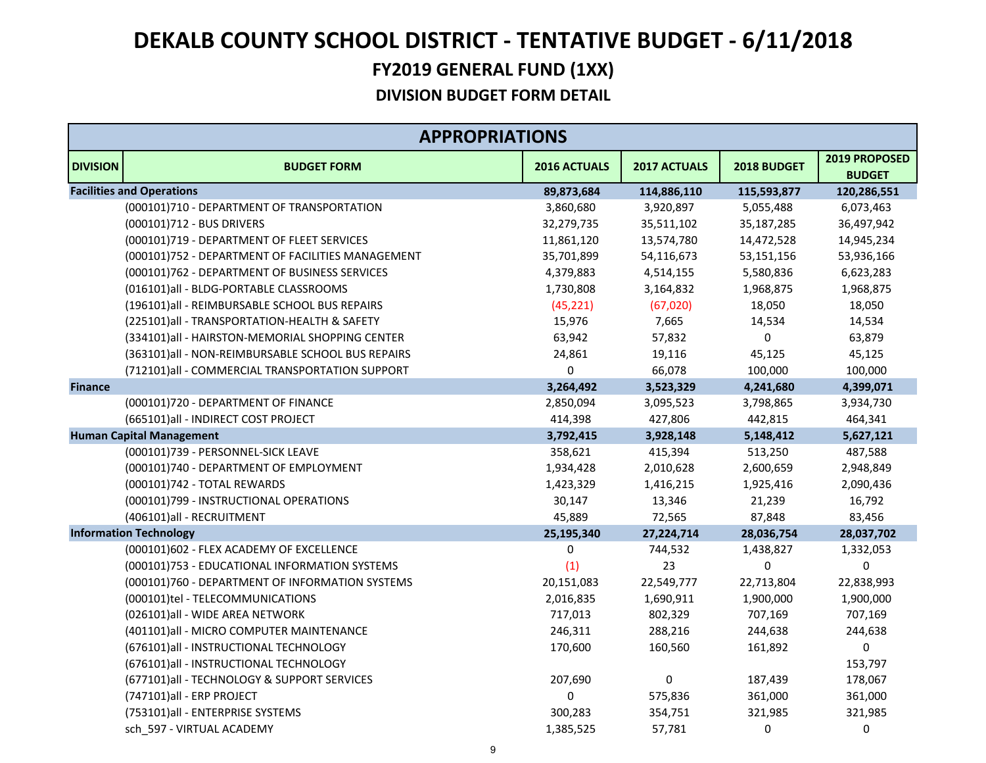|                 | <b>APPROPRIATIONS</b>                             |              |              |             |                                |
|-----------------|---------------------------------------------------|--------------|--------------|-------------|--------------------------------|
| <b>DIVISION</b> | <b>BUDGET FORM</b>                                | 2016 ACTUALS | 2017 ACTUALS | 2018 BUDGET | 2019 PROPOSED<br><b>BUDGET</b> |
|                 | <b>Facilities and Operations</b>                  | 89,873,684   | 114,886,110  | 115,593,877 | 120,286,551                    |
|                 | (000101)710 - DEPARTMENT OF TRANSPORTATION        | 3,860,680    | 3,920,897    | 5,055,488   | 6,073,463                      |
|                 | (000101)712 - BUS DRIVERS                         | 32,279,735   | 35,511,102   | 35,187,285  | 36,497,942                     |
|                 | (000101)719 - DEPARTMENT OF FLEET SERVICES        | 11,861,120   | 13,574,780   | 14,472,528  | 14,945,234                     |
|                 | (000101)752 - DEPARTMENT OF FACILITIES MANAGEMENT | 35,701,899   | 54,116,673   | 53,151,156  | 53,936,166                     |
|                 | (000101)762 - DEPARTMENT OF BUSINESS SERVICES     | 4,379,883    | 4,514,155    | 5,580,836   | 6,623,283                      |
|                 | (016101)all - BLDG-PORTABLE CLASSROOMS            | 1,730,808    | 3,164,832    | 1,968,875   | 1,968,875                      |
|                 | (196101)all - REIMBURSABLE SCHOOL BUS REPAIRS     | (45, 221)    | (67, 020)    | 18,050      | 18,050                         |
|                 | (225101)all - TRANSPORTATION-HEALTH & SAFETY      | 15,976       | 7,665        | 14,534      | 14,534                         |
|                 | (334101)all - HAIRSTON-MEMORIAL SHOPPING CENTER   | 63,942       | 57,832       | 0           | 63,879                         |
|                 | (363101)all - NON-REIMBURSABLE SCHOOL BUS REPAIRS | 24,861       | 19,116       | 45,125      | 45,125                         |
|                 | (712101)all - COMMERCIAL TRANSPORTATION SUPPORT   | 0            | 66,078       | 100,000     | 100,000                        |
| <b>Finance</b>  |                                                   | 3,264,492    | 3,523,329    | 4,241,680   | 4,399,071                      |
|                 | (000101)720 - DEPARTMENT OF FINANCE               | 2,850,094    | 3,095,523    | 3,798,865   | 3,934,730                      |
|                 | (665101)all - INDIRECT COST PROJECT               | 414,398      | 427,806      | 442,815     | 464,341                        |
|                 | <b>Human Capital Management</b>                   | 3,792,415    | 3,928,148    | 5,148,412   | 5,627,121                      |
|                 | (000101)739 - PERSONNEL-SICK LEAVE                | 358,621      | 415,394      | 513,250     | 487,588                        |
|                 | (000101)740 - DEPARTMENT OF EMPLOYMENT            | 1,934,428    | 2,010,628    | 2,600,659   | 2,948,849                      |
|                 | (000101)742 - TOTAL REWARDS                       | 1,423,329    | 1,416,215    | 1,925,416   | 2,090,436                      |
|                 | (000101)799 - INSTRUCTIONAL OPERATIONS            | 30,147       | 13,346       | 21,239      | 16,792                         |
|                 | (406101)all - RECRUITMENT                         | 45,889       | 72,565       | 87,848      | 83,456                         |
|                 | <b>Information Technology</b>                     | 25,195,340   | 27,224,714   | 28,036,754  | 28,037,702                     |
|                 | (000101)602 - FLEX ACADEMY OF EXCELLENCE          | $\mathbf 0$  | 744,532      | 1,438,827   | 1,332,053                      |
|                 | (000101)753 - EDUCATIONAL INFORMATION SYSTEMS     | (1)          | 23           | $\mathbf 0$ | 0                              |
|                 | (000101)760 - DEPARTMENT OF INFORMATION SYSTEMS   | 20,151,083   | 22,549,777   | 22,713,804  | 22,838,993                     |
|                 | (000101)tel - TELECOMMUNICATIONS                  | 2,016,835    | 1,690,911    | 1,900,000   | 1,900,000                      |
|                 | (026101)all - WIDE AREA NETWORK                   | 717,013      | 802,329      | 707,169     | 707,169                        |
|                 | (401101) all - MICRO COMPUTER MAINTENANCE         | 246,311      | 288,216      | 244,638     | 244,638                        |
|                 | (676101)all - INSTRUCTIONAL TECHNOLOGY            | 170,600      | 160,560      | 161,892     | 0                              |
|                 | (676101)all - INSTRUCTIONAL TECHNOLOGY            |              |              |             | 153,797                        |
|                 | (677101)all - TECHNOLOGY & SUPPORT SERVICES       | 207,690      | 0            | 187,439     | 178,067                        |
|                 | (747101)all - ERP PROJECT                         | 0            | 575,836      | 361,000     | 361,000                        |
|                 | (753101)all - ENTERPRISE SYSTEMS                  | 300,283      | 354,751      | 321,985     | 321,985                        |
|                 | sch 597 - VIRTUAL ACADEMY                         | 1,385,525    | 57,781       | $\Omega$    | 0                              |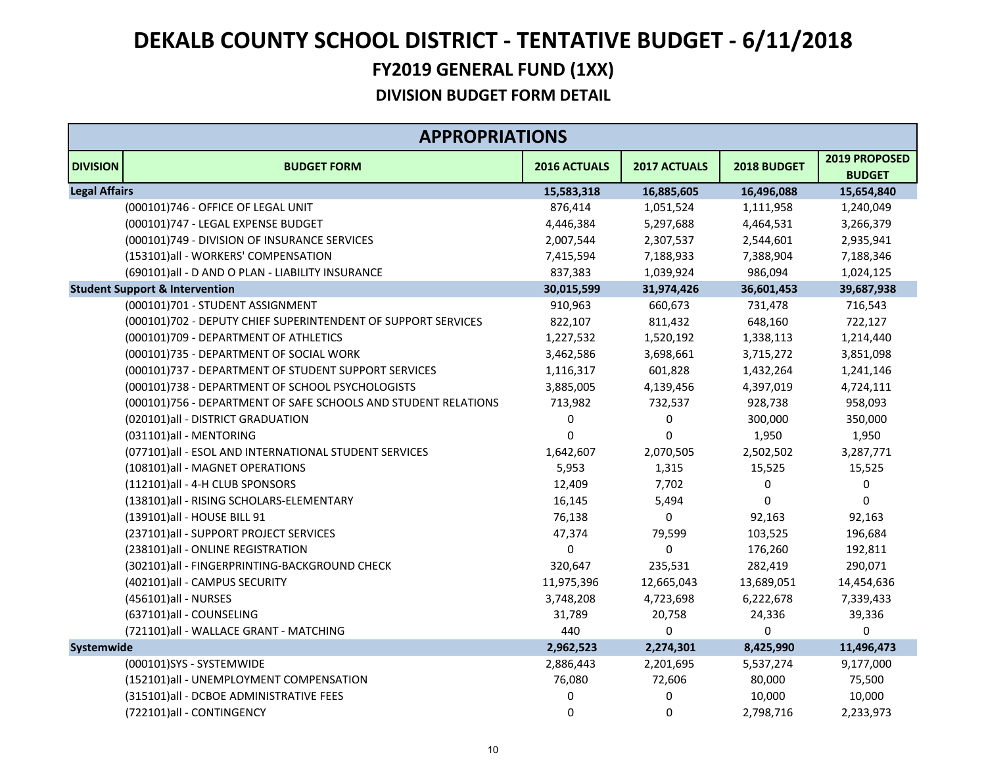|                      | <b>APPROPRIATIONS</b>                                          |                  |              |             |                                |  |  |
|----------------------|----------------------------------------------------------------|------------------|--------------|-------------|--------------------------------|--|--|
| <b>DIVISION</b>      | <b>BUDGET FORM</b>                                             | 2016 ACTUALS     | 2017 ACTUALS | 2018 BUDGET | 2019 PROPOSED<br><b>BUDGET</b> |  |  |
| <b>Legal Affairs</b> |                                                                | 15,583,318       | 16,885,605   | 16,496,088  | 15,654,840                     |  |  |
|                      | (000101)746 - OFFICE OF LEGAL UNIT                             | 876,414          | 1,051,524    | 1,111,958   | 1,240,049                      |  |  |
|                      | (000101)747 - LEGAL EXPENSE BUDGET                             | 4,446,384        | 5,297,688    | 4,464,531   | 3,266,379                      |  |  |
|                      | (000101)749 - DIVISION OF INSURANCE SERVICES                   | 2,007,544        | 2,307,537    | 2,544,601   | 2,935,941                      |  |  |
|                      | (153101)all - WORKERS' COMPENSATION                            | 7,415,594        | 7,188,933    | 7,388,904   | 7,188,346                      |  |  |
|                      | (690101)all - D AND O PLAN - LIABILITY INSURANCE               | 837,383          | 1,039,924    | 986,094     | 1,024,125                      |  |  |
|                      | <b>Student Support &amp; Intervention</b>                      | 30,015,599       | 31,974,426   | 36,601,453  | 39,687,938                     |  |  |
|                      | (000101)701 - STUDENT ASSIGNMENT                               | 910,963          | 660,673      | 731,478     | 716,543                        |  |  |
|                      | (000101)702 - DEPUTY CHIEF SUPERINTENDENT OF SUPPORT SERVICES  | 822,107          | 811,432      | 648,160     | 722,127                        |  |  |
|                      | (000101)709 - DEPARTMENT OF ATHLETICS                          | 1,227,532        | 1,520,192    | 1,338,113   | 1,214,440                      |  |  |
|                      | (000101)735 - DEPARTMENT OF SOCIAL WORK                        | 3,462,586        | 3,698,661    | 3,715,272   | 3,851,098                      |  |  |
|                      | (000101)737 - DEPARTMENT OF STUDENT SUPPORT SERVICES           | 1,116,317        | 601,828      | 1,432,264   | 1,241,146                      |  |  |
|                      | (000101)738 - DEPARTMENT OF SCHOOL PSYCHOLOGISTS               | 3,885,005        | 4,139,456    | 4,397,019   | 4,724,111                      |  |  |
|                      | (000101)756 - DEPARTMENT OF SAFE SCHOOLS AND STUDENT RELATIONS | 713,982          | 732,537      | 928,738     | 958,093                        |  |  |
|                      | (020101)all - DISTRICT GRADUATION                              | $\boldsymbol{0}$ | 0            | 300,000     | 350,000                        |  |  |
|                      | (031101)all - MENTORING                                        | $\boldsymbol{0}$ | $\pmb{0}$    | 1,950       | 1,950                          |  |  |
|                      | (077101)all - ESOL AND INTERNATIONAL STUDENT SERVICES          | 1,642,607        | 2,070,505    | 2,502,502   | 3,287,771                      |  |  |
|                      | (108101)all - MAGNET OPERATIONS                                | 5,953            | 1,315        | 15,525      | 15,525                         |  |  |
|                      | (112101)all - 4-H CLUB SPONSORS                                | 12,409           | 7,702        | 0           | 0                              |  |  |
|                      | (138101)all - RISING SCHOLARS-ELEMENTARY                       | 16,145           | 5,494        | $\Omega$    | 0                              |  |  |
|                      | (139101)all - HOUSE BILL 91                                    | 76,138           | 0            | 92,163      | 92,163                         |  |  |
|                      | (237101)all - SUPPORT PROJECT SERVICES                         | 47,374           | 79,599       | 103,525     | 196,684                        |  |  |
|                      | (238101)all - ONLINE REGISTRATION                              | $\mathbf 0$      | $\Omega$     | 176,260     | 192,811                        |  |  |
|                      | (302101)all - FINGERPRINTING-BACKGROUND CHECK                  | 320,647          | 235,531      | 282,419     | 290,071                        |  |  |
|                      | (402101)all - CAMPUS SECURITY                                  | 11,975,396       | 12,665,043   | 13,689,051  | 14,454,636                     |  |  |
|                      | (456101)all - NURSES                                           | 3,748,208        | 4,723,698    | 6,222,678   | 7,339,433                      |  |  |
|                      | (637101)all - COUNSELING                                       | 31,789           | 20,758       | 24,336      | 39,336                         |  |  |
|                      | (721101)all - WALLACE GRANT - MATCHING                         | 440              | $\Omega$     | 0           | 0                              |  |  |
| Systemwide           |                                                                | 2,962,523        | 2,274,301    | 8,425,990   | 11,496,473                     |  |  |
|                      | (000101)SYS - SYSTEMWIDE                                       | 2,886,443        | 2,201,695    | 5,537,274   | 9,177,000                      |  |  |
|                      | (152101)all - UNEMPLOYMENT COMPENSATION                        | 76,080           | 72,606       | 80,000      | 75,500                         |  |  |
|                      | (315101)all - DCBOE ADMINISTRATIVE FEES                        | $\pmb{0}$        | 0            | 10,000      | 10,000                         |  |  |
|                      | (722101)all - CONTINGENCY                                      | $\boldsymbol{0}$ | 0            | 2,798,716   | 2,233,973                      |  |  |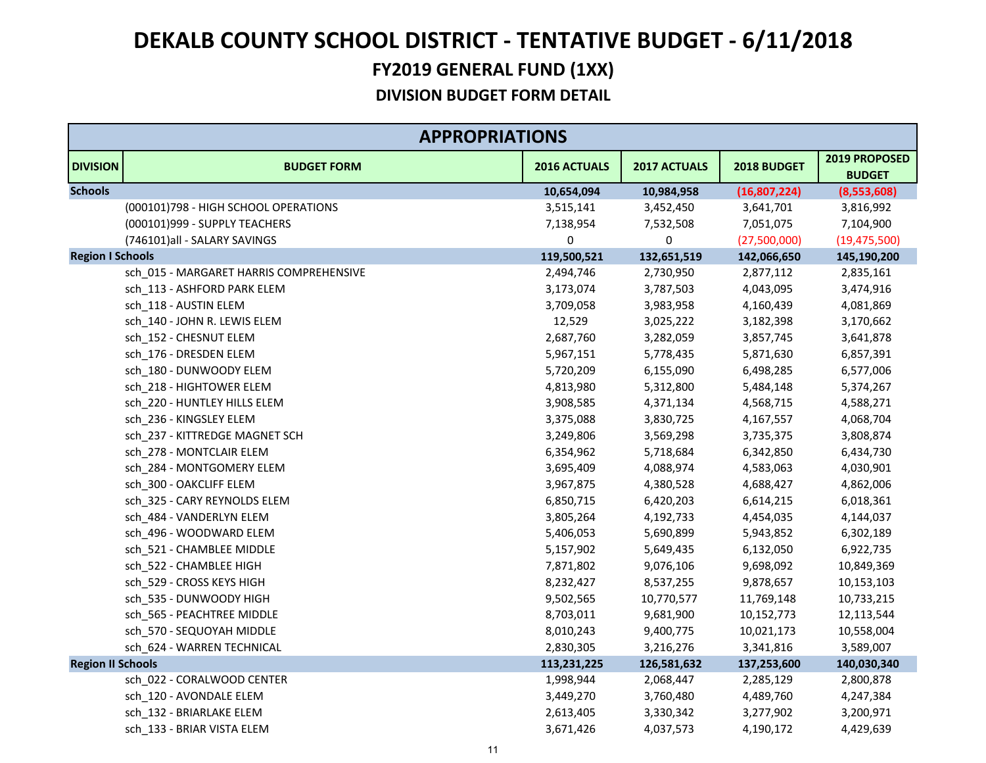|                          | <b>APPROPRIATIONS</b>                   |              |              |              |                                |
|--------------------------|-----------------------------------------|--------------|--------------|--------------|--------------------------------|
| <b>DIVISION</b>          | <b>BUDGET FORM</b>                      | 2016 ACTUALS | 2017 ACTUALS | 2018 BUDGET  | 2019 PROPOSED<br><b>BUDGET</b> |
| <b>Schools</b>           |                                         | 10,654,094   | 10,984,958   | (16,807,224) | (8,553,608)                    |
|                          | (000101)798 - HIGH SCHOOL OPERATIONS    | 3,515,141    | 3,452,450    | 3,641,701    | 3,816,992                      |
|                          | (000101)999 - SUPPLY TEACHERS           | 7,138,954    | 7,532,508    | 7,051,075    | 7,104,900                      |
|                          | (746101)all - SALARY SAVINGS            | 0            | 0            | (27,500,000) | (19, 475, 500)                 |
| <b>Region I Schools</b>  |                                         | 119,500,521  | 132,651,519  | 142,066,650  | 145,190,200                    |
|                          | sch_015 - MARGARET HARRIS COMPREHENSIVE | 2,494,746    | 2,730,950    | 2,877,112    | 2,835,161                      |
|                          | sch_113 - ASHFORD PARK ELEM             | 3,173,074    | 3,787,503    | 4,043,095    | 3,474,916                      |
|                          | sch_118 - AUSTIN ELEM                   | 3,709,058    | 3,983,958    | 4,160,439    | 4,081,869                      |
|                          | sch_140 - JOHN R. LEWIS ELEM            | 12,529       | 3,025,222    | 3,182,398    | 3,170,662                      |
|                          | sch_152 - CHESNUT ELEM                  | 2,687,760    | 3,282,059    | 3,857,745    | 3,641,878                      |
|                          | sch_176 - DRESDEN ELEM                  | 5,967,151    | 5,778,435    | 5,871,630    | 6,857,391                      |
|                          | sch 180 - DUNWOODY ELEM                 | 5,720,209    | 6,155,090    | 6,498,285    | 6,577,006                      |
|                          | sch_218 - HIGHTOWER ELEM                | 4,813,980    | 5,312,800    | 5,484,148    | 5,374,267                      |
|                          | sch_220 - HUNTLEY HILLS ELEM            | 3,908,585    | 4,371,134    | 4,568,715    | 4,588,271                      |
|                          | sch_236 - KINGSLEY ELEM                 | 3,375,088    | 3,830,725    | 4,167,557    | 4,068,704                      |
|                          | sch_237 - KITTREDGE MAGNET SCH          | 3,249,806    | 3,569,298    | 3,735,375    | 3,808,874                      |
|                          | sch_278 - MONTCLAIR ELEM                | 6,354,962    | 5,718,684    | 6,342,850    | 6,434,730                      |
|                          | sch_284 - MONTGOMERY ELEM               | 3,695,409    | 4,088,974    | 4,583,063    | 4,030,901                      |
|                          | sch_300 - OAKCLIFF ELEM                 | 3,967,875    | 4,380,528    | 4,688,427    | 4,862,006                      |
|                          | sch 325 - CARY REYNOLDS ELEM            | 6,850,715    | 6,420,203    | 6,614,215    | 6,018,361                      |
|                          | sch_484 - VANDERLYN ELEM                | 3,805,264    | 4,192,733    | 4,454,035    | 4,144,037                      |
|                          | sch_496 - WOODWARD ELEM                 | 5,406,053    | 5,690,899    | 5,943,852    | 6,302,189                      |
|                          | sch_521 - CHAMBLEE MIDDLE               | 5,157,902    | 5,649,435    | 6,132,050    | 6,922,735                      |
|                          | sch 522 - CHAMBLEE HIGH                 | 7,871,802    | 9,076,106    | 9,698,092    | 10,849,369                     |
|                          | sch 529 - CROSS KEYS HIGH               | 8,232,427    | 8,537,255    | 9,878,657    | 10,153,103                     |
|                          | sch 535 - DUNWOODY HIGH                 | 9,502,565    | 10,770,577   | 11,769,148   | 10,733,215                     |
|                          | sch_565 - PEACHTREE MIDDLE              | 8,703,011    | 9,681,900    | 10,152,773   | 12,113,544                     |
|                          | sch_570 - SEQUOYAH MIDDLE               | 8,010,243    | 9,400,775    | 10,021,173   | 10,558,004                     |
|                          | sch 624 - WARREN TECHNICAL              | 2,830,305    | 3,216,276    | 3,341,816    | 3,589,007                      |
| <b>Region II Schools</b> |                                         | 113,231,225  | 126,581,632  | 137,253,600  | 140,030,340                    |
|                          | sch_022 - CORALWOOD CENTER              | 1,998,944    | 2,068,447    | 2,285,129    | 2,800,878                      |
|                          | sch_120 - AVONDALE ELEM                 | 3,449,270    | 3,760,480    | 4,489,760    | 4,247,384                      |
|                          | sch 132 - BRIARLAKE ELEM                | 2,613,405    | 3,330,342    | 3,277,902    | 3,200,971                      |
|                          | sch 133 - BRIAR VISTA ELEM              | 3,671,426    | 4,037,573    | 4,190,172    | 4,429,639                      |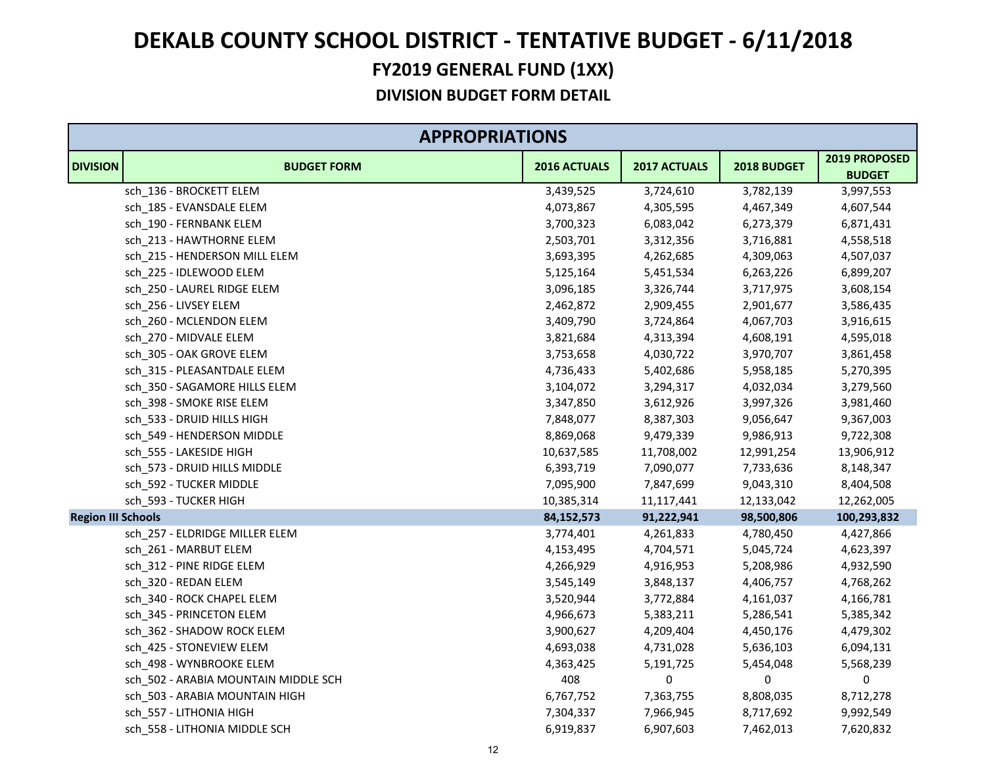|                           | <b>APPROPRIATIONS</b>                |              |              |             |                                |
|---------------------------|--------------------------------------|--------------|--------------|-------------|--------------------------------|
| <b>DIVISION</b>           | <b>BUDGET FORM</b>                   | 2016 ACTUALS | 2017 ACTUALS | 2018 BUDGET | 2019 PROPOSED<br><b>BUDGET</b> |
|                           | sch 136 - BROCKETT ELEM              | 3,439,525    | 3,724,610    | 3,782,139   | 3,997,553                      |
|                           | sch_185 - EVANSDALE ELEM             | 4,073,867    | 4,305,595    | 4,467,349   | 4,607,544                      |
|                           | sch_190 - FERNBANK ELEM              | 3,700,323    | 6,083,042    | 6,273,379   | 6,871,431                      |
|                           | sch_213 - HAWTHORNE ELEM             | 2,503,701    | 3,312,356    | 3,716,881   | 4,558,518                      |
|                           | sch_215 - HENDERSON MILL ELEM        | 3,693,395    | 4,262,685    | 4,309,063   | 4,507,037                      |
|                           | sch_225 - IDLEWOOD ELEM              | 5,125,164    | 5,451,534    | 6,263,226   | 6,899,207                      |
|                           | sch_250 - LAUREL RIDGE ELEM          | 3,096,185    | 3,326,744    | 3,717,975   | 3,608,154                      |
|                           | sch_256 - LIVSEY ELEM                | 2,462,872    | 2,909,455    | 2,901,677   | 3,586,435                      |
|                           | sch_260 - MCLENDON ELEM              | 3,409,790    | 3,724,864    | 4,067,703   | 3,916,615                      |
|                           | sch_270 - MIDVALE ELEM               | 3,821,684    | 4,313,394    | 4,608,191   | 4,595,018                      |
|                           | sch_305 - OAK GROVE ELEM             | 3,753,658    | 4,030,722    | 3,970,707   | 3,861,458                      |
|                           | sch_315 - PLEASANTDALE ELEM          | 4,736,433    | 5,402,686    | 5,958,185   | 5,270,395                      |
|                           | sch_350 - SAGAMORE HILLS ELEM        | 3,104,072    | 3,294,317    | 4,032,034   | 3,279,560                      |
|                           | sch_398 - SMOKE RISE ELEM            | 3,347,850    | 3,612,926    | 3,997,326   | 3,981,460                      |
|                           | sch_533 - DRUID HILLS HIGH           | 7,848,077    | 8,387,303    | 9,056,647   | 9,367,003                      |
|                           | sch_549 - HENDERSON MIDDLE           | 8,869,068    | 9,479,339    | 9,986,913   | 9,722,308                      |
|                           | sch_555 - LAKESIDE HIGH              | 10,637,585   | 11,708,002   | 12,991,254  | 13,906,912                     |
|                           | sch_573 - DRUID HILLS MIDDLE         | 6,393,719    | 7,090,077    | 7,733,636   | 8,148,347                      |
|                           | sch_592 - TUCKER MIDDLE              | 7,095,900    | 7,847,699    | 9,043,310   | 8,404,508                      |
|                           | sch 593 - TUCKER HIGH                | 10,385,314   | 11,117,441   | 12,133,042  | 12,262,005                     |
| <b>Region III Schools</b> |                                      | 84,152,573   | 91,222,941   | 98,500,806  | 100,293,832                    |
|                           | sch_257 - ELDRIDGE MILLER ELEM       | 3,774,401    | 4,261,833    | 4,780,450   | 4,427,866                      |
|                           | sch_261 - MARBUT ELEM                | 4,153,495    | 4,704,571    | 5,045,724   | 4,623,397                      |
|                           | sch_312 - PINE RIDGE ELEM            | 4,266,929    | 4,916,953    | 5,208,986   | 4,932,590                      |
|                           | sch 320 - REDAN ELEM                 | 3,545,149    | 3,848,137    | 4,406,757   | 4,768,262                      |
|                           | sch_340 - ROCK CHAPEL ELEM           | 3,520,944    | 3,772,884    | 4,161,037   | 4,166,781                      |
|                           | sch 345 - PRINCETON ELEM             | 4,966,673    | 5,383,211    | 5,286,541   | 5,385,342                      |
|                           | sch_362 - SHADOW ROCK ELEM           | 3,900,627    | 4,209,404    | 4,450,176   | 4,479,302                      |
|                           | sch 425 - STONEVIEW ELEM             | 4,693,038    | 4,731,028    | 5,636,103   | 6,094,131                      |
|                           | sch_498 - WYNBROOKE ELEM             | 4,363,425    | 5,191,725    | 5,454,048   | 5,568,239                      |
|                           | sch_502 - ARABIA MOUNTAIN MIDDLE SCH | 408          | 0            | $\pmb{0}$   | 0                              |
|                           | sch_503 - ARABIA MOUNTAIN HIGH       | 6,767,752    | 7,363,755    | 8,808,035   | 8,712,278                      |
|                           | sch 557 - LITHONIA HIGH              | 7,304,337    | 7,966,945    | 8,717,692   | 9,992,549                      |
|                           | sch 558 - LITHONIA MIDDLE SCH        | 6,919,837    | 6,907,603    | 7,462,013   | 7,620,832                      |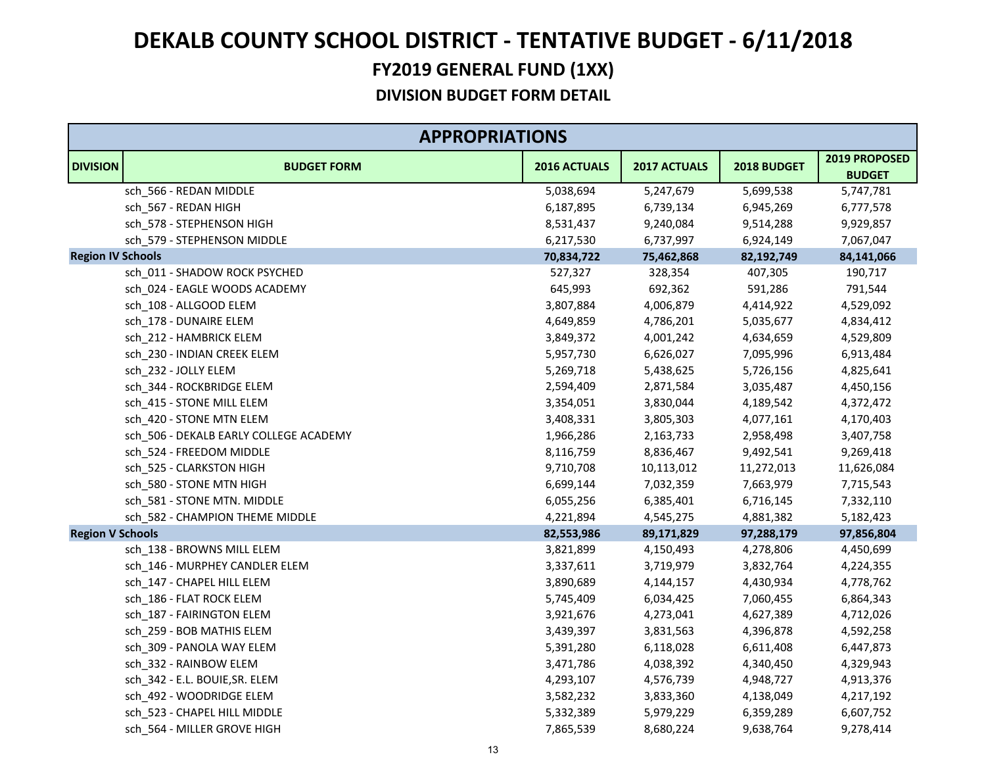### **FY2019 GENERAL FUND (1XX) DEKALB COUNTY SCHOOL DISTRICT ‐ TENTATIVE BUDGET ‐ 6/11/2018**

|                          | <b>APPROPRIATIONS</b>                  |              |              |             |                                |
|--------------------------|----------------------------------------|--------------|--------------|-------------|--------------------------------|
| <b>DIVISION</b>          | <b>BUDGET FORM</b>                     | 2016 ACTUALS | 2017 ACTUALS | 2018 BUDGET | 2019 PROPOSED<br><b>BUDGET</b> |
|                          | sch 566 - REDAN MIDDLE                 | 5,038,694    | 5,247,679    | 5,699,538   | 5,747,781                      |
|                          | sch_567 - REDAN HIGH                   | 6,187,895    | 6,739,134    | 6,945,269   | 6,777,578                      |
|                          | sch_578 - STEPHENSON HIGH              | 8,531,437    | 9,240,084    | 9,514,288   | 9,929,857                      |
|                          | sch_579 - STEPHENSON MIDDLE            | 6,217,530    | 6,737,997    | 6,924,149   | 7,067,047                      |
| <b>Region IV Schools</b> |                                        | 70,834,722   | 75,462,868   | 82,192,749  | 84,141,066                     |
|                          | sch_011 - SHADOW ROCK PSYCHED          | 527,327      | 328,354      | 407,305     | 190,717                        |
|                          | sch_024 - EAGLE WOODS ACADEMY          | 645,993      | 692,362      | 591,286     | 791,544                        |
|                          | sch_108 - ALLGOOD ELEM                 | 3,807,884    | 4,006,879    | 4,414,922   | 4,529,092                      |
|                          | sch_178 - DUNAIRE ELEM                 | 4,649,859    | 4,786,201    | 5,035,677   | 4,834,412                      |
|                          | sch_212 - HAMBRICK ELEM                | 3,849,372    | 4,001,242    | 4,634,659   | 4,529,809                      |
|                          | sch_230 - INDIAN CREEK ELEM            | 5,957,730    | 6,626,027    | 7,095,996   | 6,913,484                      |
|                          | sch_232 - JOLLY ELEM                   | 5,269,718    | 5,438,625    | 5,726,156   | 4,825,641                      |
|                          | sch_344 - ROCKBRIDGE ELEM              | 2,594,409    | 2,871,584    | 3,035,487   | 4,450,156                      |
|                          | sch_415 - STONE MILL ELEM              | 3,354,051    | 3,830,044    | 4,189,542   | 4,372,472                      |
|                          | sch_420 - STONE MTN ELEM               | 3,408,331    | 3,805,303    | 4,077,161   | 4,170,403                      |
|                          | sch_506 - DEKALB EARLY COLLEGE ACADEMY | 1,966,286    | 2,163,733    | 2,958,498   | 3,407,758                      |
|                          | sch_524 - FREEDOM MIDDLE               | 8,116,759    | 8,836,467    | 9,492,541   | 9,269,418                      |
|                          | sch_525 - CLARKSTON HIGH               | 9,710,708    | 10,113,012   | 11,272,013  | 11,626,084                     |
|                          | sch_580 - STONE MTN HIGH               | 6,699,144    | 7,032,359    | 7,663,979   | 7,715,543                      |
|                          | sch_581 - STONE MTN. MIDDLE            | 6,055,256    | 6,385,401    | 6,716,145   | 7,332,110                      |
|                          | sch_582 - CHAMPION THEME MIDDLE        | 4,221,894    | 4,545,275    | 4,881,382   | 5,182,423                      |
| <b>Region V Schools</b>  |                                        | 82,553,986   | 89,171,829   | 97,288,179  | 97,856,804                     |
|                          | sch_138 - BROWNS MILL ELEM             | 3,821,899    | 4,150,493    | 4,278,806   | 4,450,699                      |
|                          | sch_146 - MURPHEY CANDLER ELEM         | 3,337,611    | 3,719,979    | 3,832,764   | 4,224,355                      |
|                          | sch_147 - CHAPEL HILL ELEM             | 3,890,689    | 4,144,157    | 4,430,934   | 4,778,762                      |
|                          | sch_186 - FLAT ROCK ELEM               | 5,745,409    | 6,034,425    | 7,060,455   | 6,864,343                      |
|                          | sch_187 - FAIRINGTON ELEM              | 3,921,676    | 4,273,041    | 4,627,389   | 4,712,026                      |
|                          | sch_259 - BOB MATHIS ELEM              | 3,439,397    | 3,831,563    | 4,396,878   | 4,592,258                      |
|                          | sch 309 - PANOLA WAY ELEM              | 5,391,280    | 6,118,028    | 6,611,408   | 6,447,873                      |
|                          | sch_332 - RAINBOW ELEM                 | 3,471,786    | 4,038,392    | 4,340,450   | 4,329,943                      |
|                          | sch_342 - E.L. BOUIE, SR. ELEM         | 4,293,107    | 4,576,739    | 4,948,727   | 4,913,376                      |
|                          | sch_492 - WOODRIDGE ELEM               | 3,582,232    | 3,833,360    | 4,138,049   | 4,217,192                      |
|                          | sch_523 - CHAPEL HILL MIDDLE           | 5,332,389    | 5,979,229    | 6,359,289   | 6,607,752                      |
|                          | sch 564 - MILLER GROVE HIGH            | 7,865,539    | 8,680,224    | 9,638,764   | 9,278,414                      |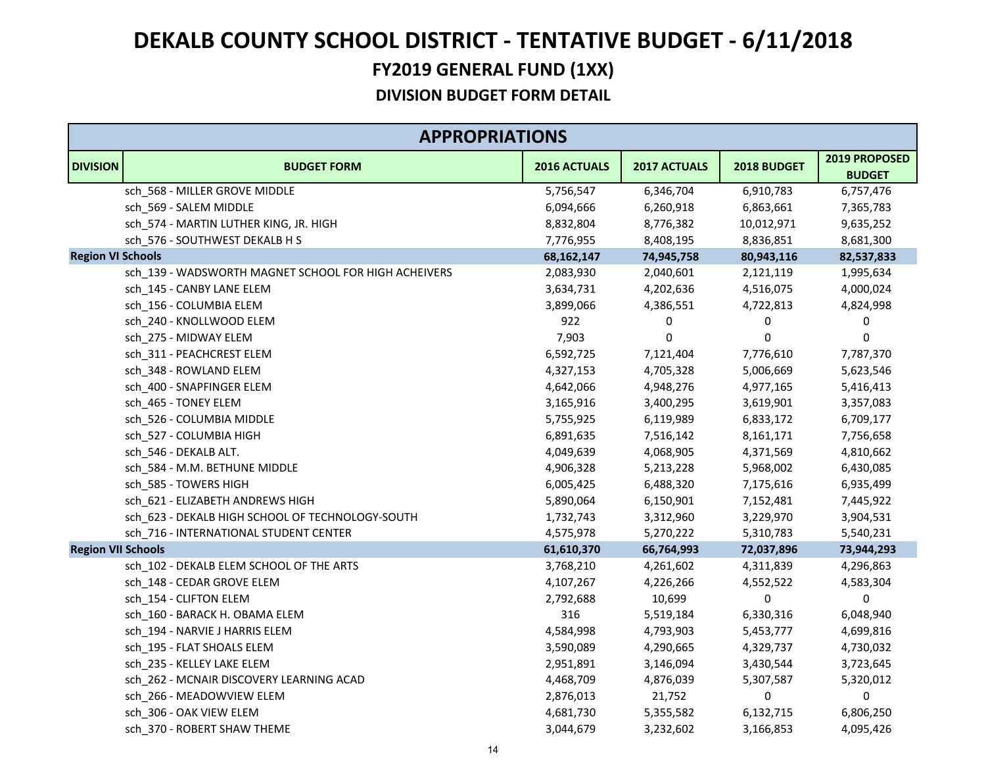|                           | <b>APPROPRIATIONS</b>                                |              |              |             |                                |  |
|---------------------------|------------------------------------------------------|--------------|--------------|-------------|--------------------------------|--|
| <b>DIVISION</b>           | <b>BUDGET FORM</b>                                   | 2016 ACTUALS | 2017 ACTUALS | 2018 BUDGET | 2019 PROPOSED<br><b>BUDGET</b> |  |
|                           | sch 568 - MILLER GROVE MIDDLE                        | 5,756,547    | 6,346,704    | 6,910,783   | 6,757,476                      |  |
|                           | sch_569 - SALEM MIDDLE                               | 6,094,666    | 6,260,918    | 6,863,661   | 7,365,783                      |  |
|                           | sch_574 - MARTIN LUTHER KING, JR. HIGH               | 8,832,804    | 8,776,382    | 10,012,971  | 9,635,252                      |  |
|                           | sch_576 - SOUTHWEST DEKALB H S                       | 7,776,955    | 8,408,195    | 8,836,851   | 8,681,300                      |  |
| <b>Region VI Schools</b>  |                                                      | 68,162,147   | 74,945,758   | 80,943,116  | 82,537,833                     |  |
|                           | sch_139 - WADSWORTH MAGNET SCHOOL FOR HIGH ACHEIVERS | 2,083,930    | 2,040,601    | 2,121,119   | 1,995,634                      |  |
|                           | sch_145 - CANBY LANE ELEM                            | 3,634,731    | 4,202,636    | 4,516,075   | 4,000,024                      |  |
|                           | sch_156 - COLUMBIA ELEM                              | 3,899,066    | 4,386,551    | 4,722,813   | 4,824,998                      |  |
|                           | sch_240 - KNOLLWOOD ELEM                             | 922          | 0            | 0           | 0                              |  |
|                           | sch_275 - MIDWAY ELEM                                | 7,903        | 0            | 0           | 0                              |  |
|                           | sch_311 - PEACHCREST ELEM                            | 6,592,725    | 7,121,404    | 7,776,610   | 7,787,370                      |  |
|                           | sch_348 - ROWLAND ELEM                               | 4,327,153    | 4,705,328    | 5,006,669   | 5,623,546                      |  |
|                           | sch_400 - SNAPFINGER ELEM                            | 4,642,066    | 4,948,276    | 4,977,165   | 5,416,413                      |  |
|                           | sch_465 - TONEY ELEM                                 | 3,165,916    | 3,400,295    | 3,619,901   | 3,357,083                      |  |
|                           | sch_526 - COLUMBIA MIDDLE                            | 5,755,925    | 6,119,989    | 6,833,172   | 6,709,177                      |  |
|                           | sch_527 - COLUMBIA HIGH                              | 6,891,635    | 7,516,142    | 8,161,171   | 7,756,658                      |  |
|                           | sch_546 - DEKALB ALT.                                | 4,049,639    | 4,068,905    | 4,371,569   | 4,810,662                      |  |
|                           | sch_584 - M.M. BETHUNE MIDDLE                        | 4,906,328    | 5,213,228    | 5,968,002   | 6,430,085                      |  |
|                           | sch_585 - TOWERS HIGH                                | 6,005,425    | 6,488,320    | 7,175,616   | 6,935,499                      |  |
|                           | sch_621 - ELIZABETH ANDREWS HIGH                     | 5,890,064    | 6,150,901    | 7,152,481   | 7,445,922                      |  |
|                           | sch_623 - DEKALB HIGH SCHOOL OF TECHNOLOGY-SOUTH     | 1,732,743    | 3,312,960    | 3,229,970   | 3,904,531                      |  |
|                           | sch_716 - INTERNATIONAL STUDENT CENTER               | 4,575,978    | 5,270,222    | 5,310,783   | 5,540,231                      |  |
| <b>Region VII Schools</b> |                                                      | 61,610,370   | 66,764,993   | 72,037,896  | 73,944,293                     |  |
|                           | sch_102 - DEKALB ELEM SCHOOL OF THE ARTS             | 3,768,210    | 4,261,602    | 4,311,839   | 4,296,863                      |  |
|                           | sch_148 - CEDAR GROVE ELEM                           | 4,107,267    | 4,226,266    | 4,552,522   | 4,583,304                      |  |
|                           | sch 154 - CLIFTON ELEM                               | 2,792,688    | 10,699       | 0           | 0                              |  |
|                           | sch_160 - BARACK H. OBAMA ELEM                       | 316          | 5,519,184    | 6,330,316   | 6,048,940                      |  |
|                           | sch 194 - NARVIE J HARRIS ELEM                       | 4,584,998    | 4,793,903    | 5,453,777   | 4,699,816                      |  |
|                           | sch 195 - FLAT SHOALS ELEM                           | 3,590,089    | 4,290,665    | 4,329,737   | 4,730,032                      |  |
|                           | sch_235 - KELLEY LAKE ELEM                           | 2,951,891    | 3,146,094    | 3,430,544   | 3,723,645                      |  |
|                           | sch_262 - MCNAIR DISCOVERY LEARNING ACAD             | 4,468,709    | 4,876,039    | 5,307,587   | 5,320,012                      |  |
|                           | sch 266 - MEADOWVIEW ELEM                            | 2,876,013    | 21,752       | 0           | 0                              |  |
|                           | sch 306 - OAK VIEW ELEM                              | 4,681,730    | 5,355,582    | 6,132,715   | 6,806,250                      |  |
|                           | sch 370 - ROBERT SHAW THEME                          | 3,044,679    | 3,232,602    | 3,166,853   | 4,095,426                      |  |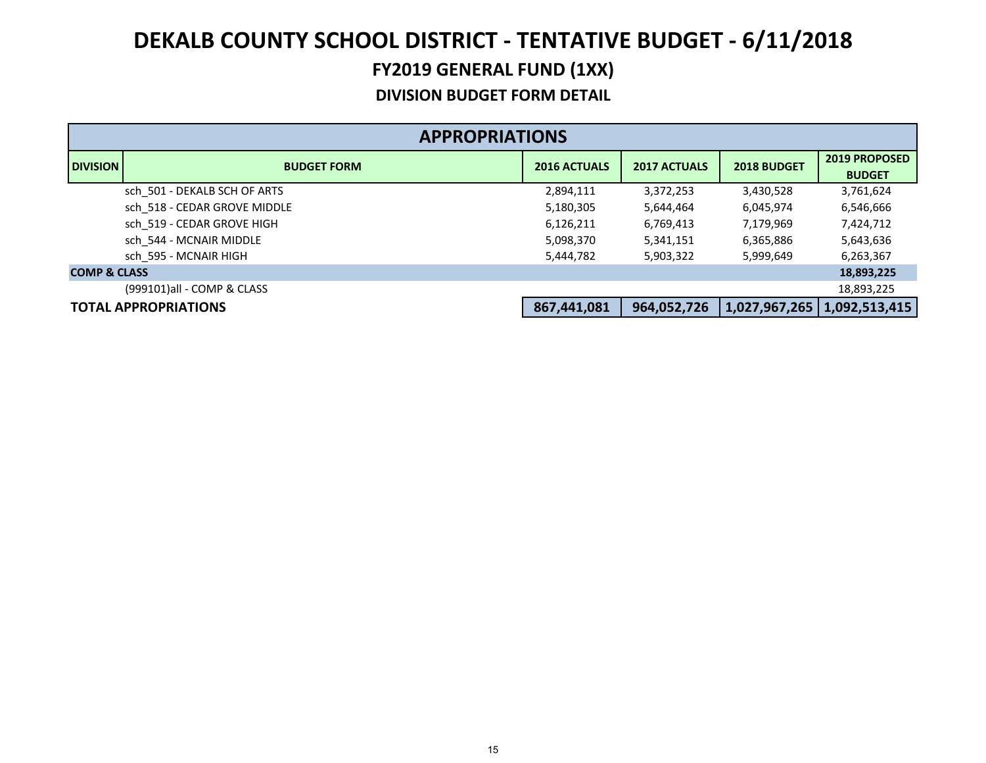|                         | <b>APPROPRIATIONS</b>        |                     |                     |               |                                       |  |  |
|-------------------------|------------------------------|---------------------|---------------------|---------------|---------------------------------------|--|--|
| <b>DIVISION</b>         | <b>BUDGET FORM</b>           | <b>2016 ACTUALS</b> | <b>2017 ACTUALS</b> | 2018 BUDGET   | <b>2019 PROPOSED</b><br><b>BUDGET</b> |  |  |
|                         | sch 501 - DEKALB SCH OF ARTS | 2,894,111           | 3,372,253           | 3,430,528     | 3,761,624                             |  |  |
|                         | sch 518 - CEDAR GROVE MIDDLE | 5,180,305           | 5,644,464           | 6,045,974     | 6,546,666                             |  |  |
|                         | sch 519 - CEDAR GROVE HIGH   | 6,126,211           | 6,769,413           | 7,179,969     | 7,424,712                             |  |  |
|                         | sch 544 - MCNAIR MIDDLE      | 5,098,370           | 5,341,151           | 6,365,886     | 5,643,636                             |  |  |
|                         | sch 595 - MCNAIR HIGH        | 5,444,782           | 5,903,322           | 5,999,649     | 6,263,367                             |  |  |
| <b>COMP &amp; CLASS</b> |                              |                     |                     |               | 18,893,225                            |  |  |
|                         | (999101)all - COMP & CLASS   |                     |                     |               | 18,893,225                            |  |  |
|                         | <b>TOTAL APPROPRIATIONS</b>  | 867,441,081         | 964,052,726         | 1,027,967,265 | 1,092,513,415                         |  |  |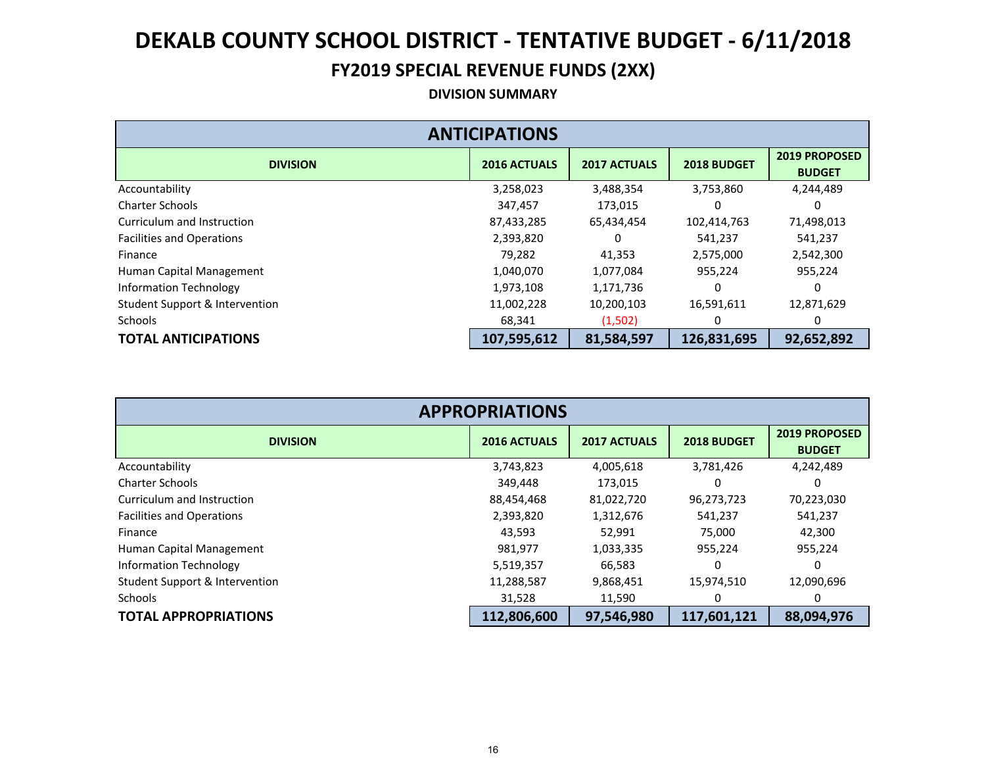#### **FY2019 SPECIAL REVENUE FUNDS (2XX)**

#### **DIVISION SUMMARY**

| <b>ANTICIPATIONS</b>             |                     |                     |             |                                       |  |  |  |
|----------------------------------|---------------------|---------------------|-------------|---------------------------------------|--|--|--|
| <b>DIVISION</b>                  | <b>2016 ACTUALS</b> | <b>2017 ACTUALS</b> | 2018 BUDGET | <b>2019 PROPOSED</b><br><b>BUDGET</b> |  |  |  |
| Accountability                   | 3,258,023           | 3,488,354           | 3,753,860   | 4,244,489                             |  |  |  |
| <b>Charter Schools</b>           | 347,457             | 173,015             | 0           | 0                                     |  |  |  |
| Curriculum and Instruction       | 87,433,285          | 65,434,454          | 102,414,763 | 71,498,013                            |  |  |  |
| <b>Facilities and Operations</b> | 2,393,820           | 0                   | 541,237     | 541,237                               |  |  |  |
| Finance                          | 79,282              | 41,353              | 2,575,000   | 2,542,300                             |  |  |  |
| Human Capital Management         | 1,040,070           | 1,077,084           | 955,224     | 955,224                               |  |  |  |
| <b>Information Technology</b>    | 1,973,108           | 1,171,736           |             |                                       |  |  |  |
| Student Support & Intervention   | 11,002,228          | 10,200,103          | 16,591,611  | 12,871,629                            |  |  |  |
| <b>Schools</b>                   | 68,341              | (1,502)             | 0           | 0                                     |  |  |  |
| <b>TOTAL ANTICIPATIONS</b>       | 107,595,612         | 81,584,597          | 126,831,695 | 92,652,892                            |  |  |  |

| <b>APPROPRIATIONS</b>            |                     |                     |             |                                       |  |  |  |
|----------------------------------|---------------------|---------------------|-------------|---------------------------------------|--|--|--|
| <b>DIVISION</b>                  | <b>2016 ACTUALS</b> | <b>2017 ACTUALS</b> | 2018 BUDGET | <b>2019 PROPOSED</b><br><b>BUDGET</b> |  |  |  |
| Accountability                   | 3,743,823           | 4,005,618           | 3,781,426   | 4,242,489                             |  |  |  |
| <b>Charter Schools</b>           | 349,448             | 173,015             | Ω           | 0                                     |  |  |  |
| Curriculum and Instruction       | 88,454,468          | 81,022,720          | 96,273,723  | 70,223,030                            |  |  |  |
| <b>Facilities and Operations</b> | 2,393,820           | 1,312,676           | 541,237     | 541,237                               |  |  |  |
| Finance                          | 43,593              | 52,991              | 75,000      | 42,300                                |  |  |  |
| Human Capital Management         | 981,977             | 1,033,335           | 955,224     | 955,224                               |  |  |  |
| Information Technology           | 5,519,357           | 66,583              |             |                                       |  |  |  |
| Student Support & Intervention   | 11,288,587          | 9,868,451           | 15,974,510  | 12,090,696                            |  |  |  |
| Schools                          | 31,528              | 11,590              |             |                                       |  |  |  |
| <b>TOTAL APPROPRIATIONS</b>      | 112,806,600         | 97,546,980          | 117,601,121 | 88,094,976                            |  |  |  |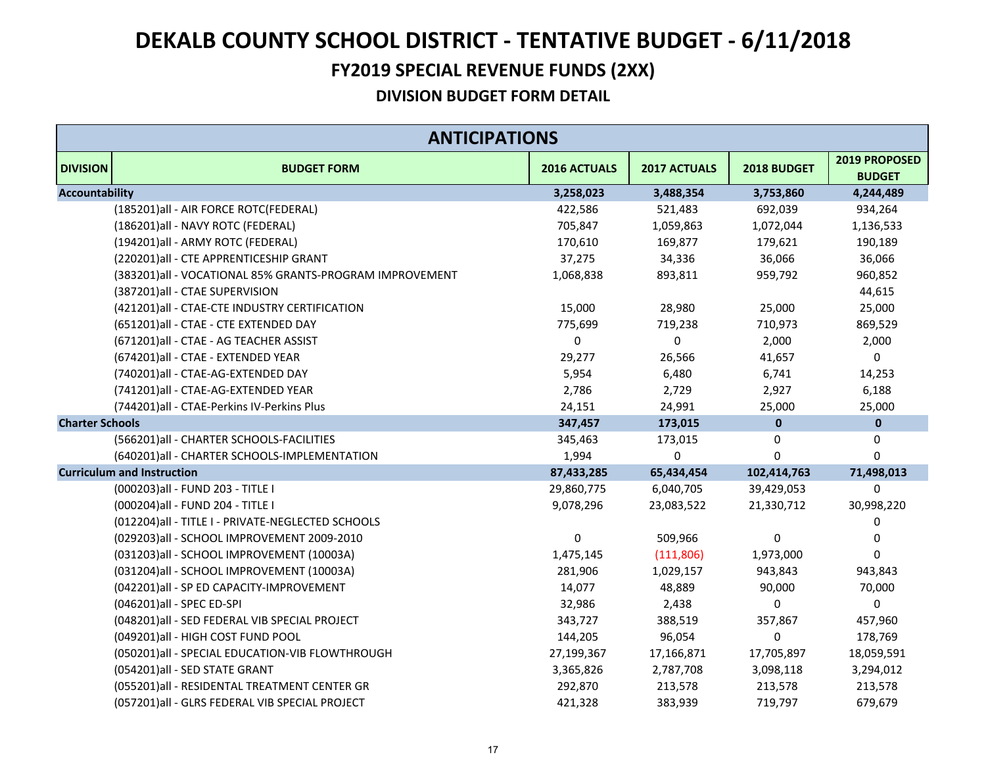#### **FY2019 SPECIAL REVENUE FUNDS (2XX)**

|                        | <b>ANTICIPATIONS</b>                                    |                  |              |              |                                |
|------------------------|---------------------------------------------------------|------------------|--------------|--------------|--------------------------------|
| <b>DIVISION</b>        | <b>BUDGET FORM</b>                                      | 2016 ACTUALS     | 2017 ACTUALS | 2018 BUDGET  | 2019 PROPOSED<br><b>BUDGET</b> |
| <b>Accountability</b>  |                                                         | 3,258,023        | 3,488,354    | 3,753,860    | 4,244,489                      |
|                        | (185201)all - AIR FORCE ROTC(FEDERAL)                   | 422,586          | 521,483      | 692,039      | 934,264                        |
|                        | (186201)all - NAVY ROTC (FEDERAL)                       | 705,847          | 1,059,863    | 1,072,044    | 1,136,533                      |
|                        | (194201)all - ARMY ROTC (FEDERAL)                       | 170,610          | 169,877      | 179,621      | 190,189                        |
|                        | (220201)all - CTE APPRENTICESHIP GRANT                  | 37,275           | 34,336       | 36,066       | 36,066                         |
|                        | (383201)all - VOCATIONAL 85% GRANTS-PROGRAM IMPROVEMENT | 1,068,838        | 893,811      | 959,792      | 960,852                        |
|                        | (387201)all - CTAE SUPERVISION                          |                  |              |              | 44,615                         |
|                        | (421201)all - CTAE-CTE INDUSTRY CERTIFICATION           | 15,000           | 28,980       | 25,000       | 25,000                         |
|                        | (651201)all - CTAE - CTE EXTENDED DAY                   | 775,699          | 719,238      | 710,973      | 869,529                        |
|                        | (671201) all - CTAE - AG TEACHER ASSIST                 | 0                | $\pmb{0}$    | 2,000        | 2,000                          |
|                        | (674201)all - CTAE - EXTENDED YEAR                      | 29,277           | 26,566       | 41,657       | 0                              |
|                        | (740201)all - CTAE-AG-EXTENDED DAY                      | 5,954            | 6,480        | 6,741        | 14,253                         |
|                        | (741201)all - CTAE-AG-EXTENDED YEAR                     | 2,786            | 2,729        | 2,927        | 6,188                          |
|                        | (744201)all - CTAE-Perkins IV-Perkins Plus              | 24,151           | 24,991       | 25,000       | 25,000                         |
| <b>Charter Schools</b> |                                                         | 347,457          | 173,015      | $\bf{0}$     | $\pmb{0}$                      |
|                        | (566201)all - CHARTER SCHOOLS-FACILITIES                | 345,463          | 173,015      | 0            | 0                              |
|                        | (640201)all - CHARTER SCHOOLS-IMPLEMENTATION            | 1,994            | 0            | $\Omega$     | $\mathbf 0$                    |
|                        | <b>Curriculum and Instruction</b>                       | 87,433,285       | 65,434,454   | 102,414,763  | 71,498,013                     |
|                        | (000203) all - FUND 203 - TITLE I                       | 29,860,775       | 6,040,705    | 39,429,053   | $\mathbf 0$                    |
|                        | (000204) all - FUND 204 - TITLE I                       | 9,078,296        | 23,083,522   | 21,330,712   | 30,998,220                     |
|                        | (012204)all - TITLE I - PRIVATE-NEGLECTED SCHOOLS       |                  |              |              | 0                              |
|                        | (029203)all - SCHOOL IMPROVEMENT 2009-2010              | $\boldsymbol{0}$ | 509,966      | $\mathbf{0}$ | 0                              |
|                        | (031203)all - SCHOOL IMPROVEMENT (10003A)               | 1,475,145        | (111, 806)   | 1,973,000    | 0                              |
|                        | (031204)all - SCHOOL IMPROVEMENT (10003A)               | 281,906          | 1,029,157    | 943,843      | 943,843                        |
|                        | (042201)all - SP ED CAPACITY-IMPROVEMENT                | 14,077           | 48,889       | 90,000       | 70,000                         |
|                        | (046201)all - SPEC ED-SPI                               | 32,986           | 2,438        | 0            | $\pmb{0}$                      |
|                        | (048201)all - SED FEDERAL VIB SPECIAL PROJECT           | 343,727          | 388,519      | 357,867      | 457,960                        |
|                        | (049201)all - HIGH COST FUND POOL                       | 144,205          | 96,054       | 0            | 178,769                        |
|                        | (050201)all - SPECIAL EDUCATION-VIB FLOWTHROUGH         | 27,199,367       | 17,166,871   | 17,705,897   | 18,059,591                     |
|                        | (054201)all - SED STATE GRANT                           | 3,365,826        | 2,787,708    | 3,098,118    | 3,294,012                      |
|                        | (055201)all - RESIDENTAL TREATMENT CENTER GR            | 292,870          | 213,578      | 213,578      | 213,578                        |
|                        | (057201)all - GLRS FEDERAL VIB SPECIAL PROJECT          | 421,328          | 383,939      | 719,797      | 679,679                        |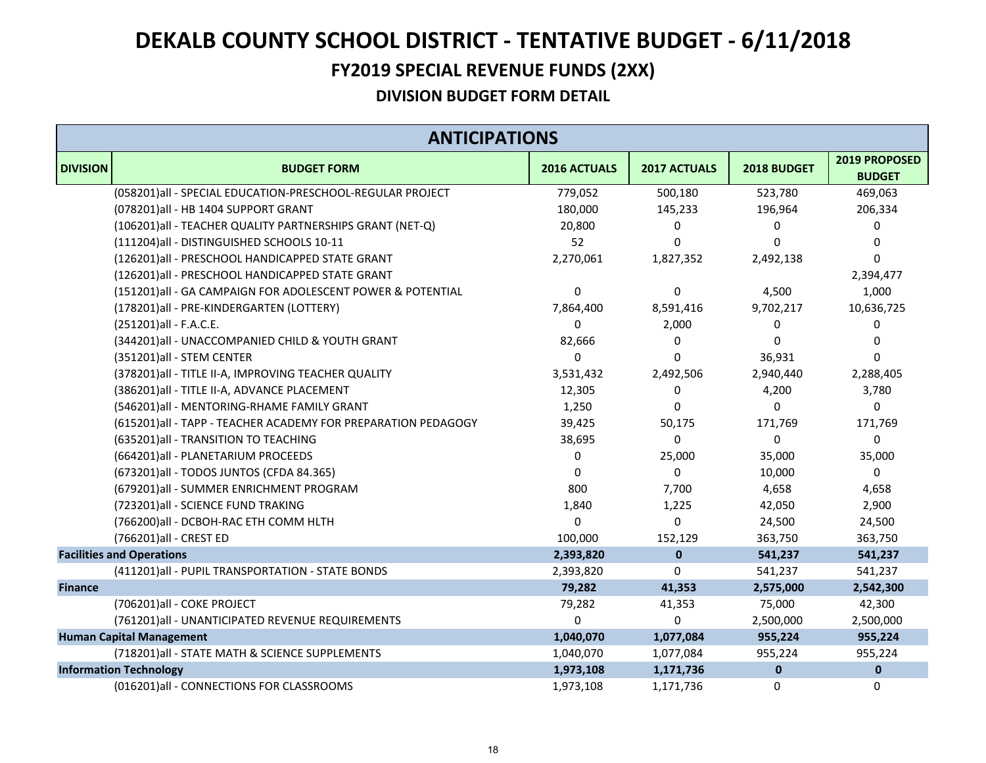#### **FY2019 SPECIAL REVENUE FUNDS (2XX)**

|                 | <b>ANTICIPATIONS</b>                                          |                  |              |              |                                |  |
|-----------------|---------------------------------------------------------------|------------------|--------------|--------------|--------------------------------|--|
| <b>DIVISION</b> | <b>BUDGET FORM</b>                                            | 2016 ACTUALS     | 2017 ACTUALS | 2018 BUDGET  | 2019 PROPOSED<br><b>BUDGET</b> |  |
|                 | (058201)all - SPECIAL EDUCATION-PRESCHOOL-REGULAR PROJECT     | 779,052          | 500,180      | 523,780      | 469,063                        |  |
|                 | (078201)all - HB 1404 SUPPORT GRANT                           | 180,000          | 145,233      | 196,964      | 206,334                        |  |
|                 | (106201) all - TEACHER QUALITY PARTNERSHIPS GRANT (NET-Q)     | 20,800           | 0            | 0            | O)                             |  |
|                 | (111204)all - DISTINGUISHED SCHOOLS 10-11                     | 52               | $\Omega$     | $\mathbf{0}$ | 0                              |  |
|                 | (126201)all - PRESCHOOL HANDICAPPED STATE GRANT               | 2,270,061        | 1,827,352    | 2,492,138    | 0                              |  |
|                 | (126201)all - PRESCHOOL HANDICAPPED STATE GRANT               |                  |              |              | 2,394,477                      |  |
|                 | (151201)all - GA CAMPAIGN FOR ADOLESCENT POWER & POTENTIAL    | $\boldsymbol{0}$ | 0            | 4,500        | 1,000                          |  |
|                 | (178201)all - PRE-KINDERGARTEN (LOTTERY)                      | 7,864,400        | 8,591,416    | 9,702,217    | 10,636,725                     |  |
|                 | (251201)all - F.A.C.E.                                        | 0                | 2,000        | 0            | 0                              |  |
|                 | (344201)all - UNACCOMPANIED CHILD & YOUTH GRANT               | 82,666           | 0            | 0            | 0                              |  |
|                 | (351201)all - STEM CENTER                                     | $\Omega$         | $\Omega$     | 36,931       | 0                              |  |
|                 | (378201) all - TITLE II-A, IMPROVING TEACHER QUALITY          | 3,531,432        | 2,492,506    | 2,940,440    | 2,288,405                      |  |
|                 | (386201) all - TITLE II-A, ADVANCE PLACEMENT                  | 12,305           | 0            | 4,200        | 3,780                          |  |
|                 | (546201)all - MENTORING-RHAME FAMILY GRANT                    | 1,250            | $\Omega$     | 0            | 0                              |  |
|                 | (615201)all - TAPP - TEACHER ACADEMY FOR PREPARATION PEDAGOGY | 39,425           | 50,175       | 171,769      | 171,769                        |  |
|                 | (635201) all - TRANSITION TO TEACHING                         | 38,695           | $\Omega$     | 0            | 0                              |  |
|                 | (664201)all - PLANETARIUM PROCEEDS                            | 0                | 25,000       | 35,000       | 35,000                         |  |
|                 | (673201)all - TODOS JUNTOS (CFDA 84.365)                      | $\Omega$         | 0            | 10,000       | 0                              |  |
|                 | (679201)all - SUMMER ENRICHMENT PROGRAM                       | 800              | 7,700        | 4,658        | 4,658                          |  |
|                 | (723201)all - SCIENCE FUND TRAKING                            | 1,840            | 1,225        | 42,050       | 2,900                          |  |
|                 | (766200)all - DCBOH-RAC ETH COMM HLTH                         | $\Omega$         | $\Omega$     | 24,500       | 24,500                         |  |
|                 | (766201)all - CREST ED                                        | 100,000          | 152,129      | 363,750      | 363,750                        |  |
|                 | <b>Facilities and Operations</b>                              | 2,393,820        | $\mathbf 0$  | 541,237      | 541,237                        |  |
|                 | (411201)all - PUPIL TRANSPORTATION - STATE BONDS              | 2,393,820        | 0            | 541,237      | 541,237                        |  |
| <b>Finance</b>  |                                                               | 79,282           | 41,353       | 2,575,000    | 2,542,300                      |  |
|                 | (706201)all - COKE PROJECT                                    | 79,282           | 41,353       | 75,000       | 42,300                         |  |
|                 | (761201)all - UNANTICIPATED REVENUE REQUIREMENTS              | $\mathbf 0$      | $\Omega$     | 2,500,000    | 2,500,000                      |  |
|                 | <b>Human Capital Management</b>                               | 1,040,070        | 1,077,084    | 955,224      | 955,224                        |  |
|                 | (718201) all - STATE MATH & SCIENCE SUPPLEMENTS               | 1,040,070        | 1,077,084    | 955,224      | 955,224                        |  |
|                 | <b>Information Technology</b>                                 | 1,973,108        | 1,171,736    | $\mathbf 0$  | $\pmb{0}$                      |  |
|                 | (016201)all - CONNECTIONS FOR CLASSROOMS                      | 1,973,108        | 1.171.736    | 0            | 0                              |  |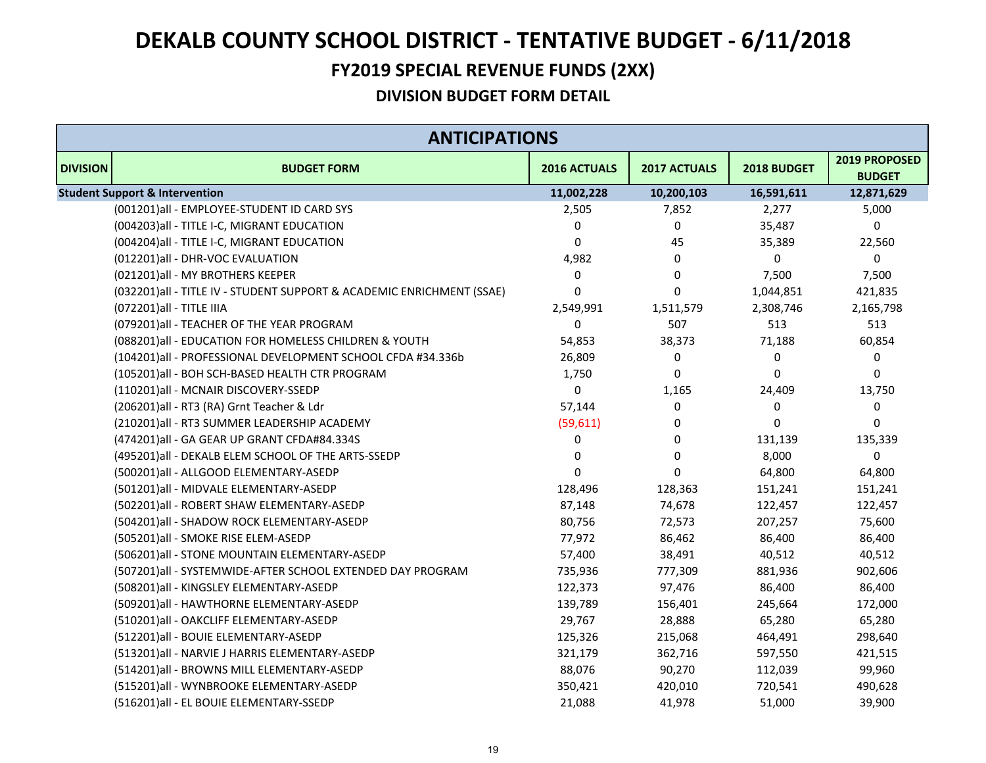#### **FY2019 SPECIAL REVENUE FUNDS (2XX)**

|                 | <b>ANTICIPATIONS</b>                                                   |              |              |             |                                |  |  |
|-----------------|------------------------------------------------------------------------|--------------|--------------|-------------|--------------------------------|--|--|
| <b>DIVISION</b> | <b>BUDGET FORM</b>                                                     | 2016 ACTUALS | 2017 ACTUALS | 2018 BUDGET | 2019 PROPOSED<br><b>BUDGET</b> |  |  |
|                 | <b>Student Support &amp; Intervention</b>                              | 11,002,228   | 10,200,103   | 16,591,611  | 12,871,629                     |  |  |
|                 | (001201)all - EMPLOYEE-STUDENT ID CARD SYS                             | 2,505        | 7,852        | 2,277       | 5,000                          |  |  |
|                 | (004203) all - TITLE I-C, MIGRANT EDUCATION                            | 0            | 0            | 35,487      | 0                              |  |  |
|                 | (004204) all - TITLE I-C, MIGRANT EDUCATION                            | 0            | 45           | 35,389      | 22,560                         |  |  |
|                 | (012201)all - DHR-VOC EVALUATION                                       | 4,982        | $\Omega$     | $\Omega$    | 0                              |  |  |
|                 | (021201) all - MY BROTHERS KEEPER                                      | $\mathbf 0$  | 0            | 7,500       | 7,500                          |  |  |
|                 | (032201) all - TITLE IV - STUDENT SUPPORT & ACADEMIC ENRICHMENT (SSAE) | 0            | 0            | 1,044,851   | 421,835                        |  |  |
|                 | (072201) all - TITLE IIIA                                              | 2,549,991    | 1,511,579    | 2,308,746   | 2,165,798                      |  |  |
|                 | (079201) all - TEACHER OF THE YEAR PROGRAM                             | 0            | 507          | 513         | 513                            |  |  |
|                 | (088201)all - EDUCATION FOR HOMELESS CHILDREN & YOUTH                  | 54,853       | 38,373       | 71,188      | 60,854                         |  |  |
|                 | (104201)all - PROFESSIONAL DEVELOPMENT SCHOOL CFDA #34.336b            | 26,809       | 0            | 0           | 0                              |  |  |
|                 | (105201)all - BOH SCH-BASED HEALTH CTR PROGRAM                         | 1,750        | 0            | $\Omega$    | 0                              |  |  |
|                 | (110201)all - MCNAIR DISCOVERY-SSEDP                                   | 0            | 1,165        | 24,409      | 13,750                         |  |  |
|                 | (206201)all - RT3 (RA) Grnt Teacher & Ldr                              | 57,144       | 0            | 0           | 0                              |  |  |
|                 | (210201)all - RT3 SUMMER LEADERSHIP ACADEMY                            | (59,611)     | 0            | 0           | 0                              |  |  |
|                 | (474201)all - GA GEAR UP GRANT CFDA#84.334S                            | 0            | $\Omega$     | 131,139     | 135,339                        |  |  |
|                 | (495201)all - DEKALB ELEM SCHOOL OF THE ARTS-SSEDP                     | $\mathbf 0$  | 0            | 8,000       | 0                              |  |  |
|                 | (500201)all - ALLGOOD ELEMENTARY-ASEDP                                 | $\mathbf 0$  | $\Omega$     | 64,800      | 64,800                         |  |  |
|                 | (501201)all - MIDVALE ELEMENTARY-ASEDP                                 | 128,496      | 128,363      | 151,241     | 151,241                        |  |  |
|                 | (502201)all - ROBERT SHAW ELEMENTARY-ASEDP                             | 87,148       | 74,678       | 122,457     | 122,457                        |  |  |
|                 | (504201)all - SHADOW ROCK ELEMENTARY-ASEDP                             | 80,756       | 72,573       | 207,257     | 75,600                         |  |  |
|                 | (505201)all - SMOKE RISE ELEM-ASEDP                                    | 77,972       | 86,462       | 86,400      | 86,400                         |  |  |
|                 | (506201)all - STONE MOUNTAIN ELEMENTARY-ASEDP                          | 57,400       | 38,491       | 40,512      | 40,512                         |  |  |
|                 | (507201)all - SYSTEMWIDE-AFTER SCHOOL EXTENDED DAY PROGRAM             | 735,936      | 777,309      | 881,936     | 902,606                        |  |  |
|                 | (508201)all - KINGSLEY ELEMENTARY-ASEDP                                | 122,373      | 97,476       | 86,400      | 86,400                         |  |  |
|                 | (509201)all - HAWTHORNE ELEMENTARY-ASEDP                               | 139,789      | 156,401      | 245,664     | 172,000                        |  |  |
|                 | (510201)all - OAKCLIFF ELEMENTARY-ASEDP                                | 29,767       | 28,888       | 65,280      | 65,280                         |  |  |
|                 | (512201)all - BOUIE ELEMENTARY-ASEDP                                   | 125,326      | 215,068      | 464,491     | 298,640                        |  |  |
|                 | (513201)all - NARVIE J HARRIS ELEMENTARY-ASEDP                         | 321,179      | 362,716      | 597,550     | 421,515                        |  |  |
|                 | (514201)all - BROWNS MILL ELEMENTARY-ASEDP                             | 88,076       | 90,270       | 112,039     | 99,960                         |  |  |
|                 | (515201)all - WYNBROOKE ELEMENTARY-ASEDP                               | 350,421      | 420,010      | 720,541     | 490,628                        |  |  |
|                 | (516201)all - EL BOUIE ELEMENTARY-SSEDP                                | 21,088       | 41,978       | 51,000      | 39,900                         |  |  |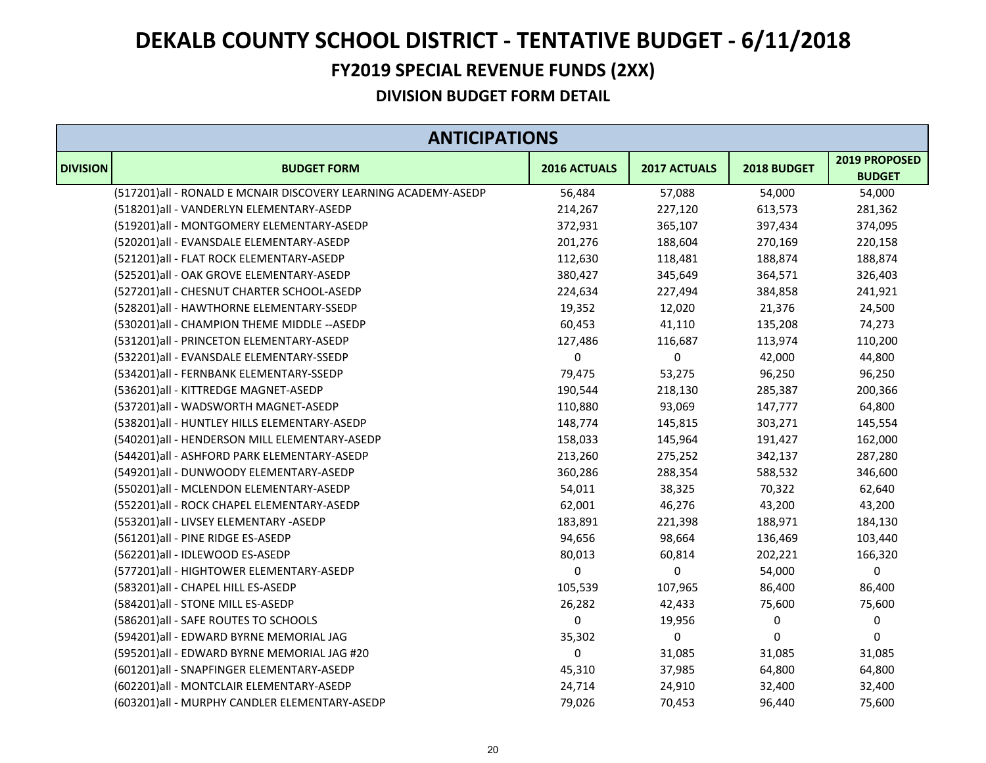#### **FY2019 SPECIAL REVENUE FUNDS (2XX)**

| <b>ANTICIPATIONS</b> |                                                                |              |              |             |                                |
|----------------------|----------------------------------------------------------------|--------------|--------------|-------------|--------------------------------|
| <b>DIVISION</b>      | <b>BUDGET FORM</b>                                             | 2016 ACTUALS | 2017 ACTUALS | 2018 BUDGET | 2019 PROPOSED<br><b>BUDGET</b> |
|                      | (517201)all - RONALD E MCNAIR DISCOVERY LEARNING ACADEMY-ASEDP | 56,484       | 57,088       | 54,000      | 54,000                         |
|                      | (518201)all - VANDERLYN ELEMENTARY-ASEDP                       | 214,267      | 227,120      | 613,573     | 281,362                        |
|                      | (519201)all - MONTGOMERY ELEMENTARY-ASEDP                      | 372,931      | 365,107      | 397,434     | 374,095                        |
|                      | (520201)all - EVANSDALE ELEMENTARY-ASEDP                       | 201,276      | 188,604      | 270,169     | 220,158                        |
|                      | (521201)all - FLAT ROCK ELEMENTARY-ASEDP                       | 112,630      | 118,481      | 188,874     | 188,874                        |
|                      | (525201)all - OAK GROVE ELEMENTARY-ASEDP                       | 380,427      | 345,649      | 364,571     | 326,403                        |
|                      | (527201)all - CHESNUT CHARTER SCHOOL-ASEDP                     | 224,634      | 227,494      | 384,858     | 241,921                        |
|                      | (528201)all - HAWTHORNE ELEMENTARY-SSEDP                       | 19,352       | 12,020       | 21,376      | 24,500                         |
|                      | (530201)all - CHAMPION THEME MIDDLE -- ASEDP                   | 60,453       | 41,110       | 135,208     | 74,273                         |
|                      | (531201)all - PRINCETON ELEMENTARY-ASEDP                       | 127,486      | 116,687      | 113,974     | 110,200                        |
|                      | (532201)all - EVANSDALE ELEMENTARY-SSEDP                       | 0            | $\pmb{0}$    | 42,000      | 44,800                         |
|                      | (534201)all - FERNBANK ELEMENTARY-SSEDP                        | 79,475       | 53,275       | 96,250      | 96,250                         |
|                      | (536201)all - KITTREDGE MAGNET-ASEDP                           | 190,544      | 218,130      | 285,387     | 200,366                        |
|                      | (537201)all - WADSWORTH MAGNET-ASEDP                           | 110,880      | 93,069       | 147,777     | 64,800                         |
|                      | (538201)all - HUNTLEY HILLS ELEMENTARY-ASEDP                   | 148,774      | 145,815      | 303,271     | 145,554                        |
|                      | (540201)all - HENDERSON MILL ELEMENTARY-ASEDP                  | 158,033      | 145,964      | 191,427     | 162,000                        |
|                      | (544201)all - ASHFORD PARK ELEMENTARY-ASEDP                    | 213,260      | 275,252      | 342,137     | 287,280                        |
|                      | (549201)all - DUNWOODY ELEMENTARY-ASEDP                        | 360,286      | 288,354      | 588,532     | 346,600                        |
|                      | (550201)all - MCLENDON ELEMENTARY-ASEDP                        | 54,011       | 38,325       | 70,322      | 62,640                         |
|                      | (552201)all - ROCK CHAPEL ELEMENTARY-ASEDP                     | 62,001       | 46,276       | 43,200      | 43,200                         |
|                      | (553201)all - LIVSEY ELEMENTARY -ASEDP                         | 183,891      | 221,398      | 188,971     | 184,130                        |
|                      | (561201)all - PINE RIDGE ES-ASEDP                              | 94,656       | 98,664       | 136,469     | 103,440                        |
|                      | (562201)all - IDLEWOOD ES-ASEDP                                | 80,013       | 60,814       | 202,221     | 166,320                        |
|                      | (577201)all - HIGHTOWER ELEMENTARY-ASEDP                       | 0            | $\mathbf 0$  | 54,000      | $\boldsymbol{0}$               |
|                      | (583201)all - CHAPEL HILL ES-ASEDP                             | 105,539      | 107,965      | 86,400      | 86,400                         |
|                      | (584201)all - STONE MILL ES-ASEDP                              | 26,282       | 42,433       | 75,600      | 75,600                         |
|                      | (586201) all - SAFE ROUTES TO SCHOOLS                          | 0            | 19,956       | 0           | 0                              |
|                      | (594201)all - EDWARD BYRNE MEMORIAL JAG                        | 35,302       | 0            | 0           | 0                              |
|                      | (595201)all - EDWARD BYRNE MEMORIAL JAG #20                    | 0            | 31,085       | 31,085      | 31,085                         |
|                      | (601201)all - SNAPFINGER ELEMENTARY-ASEDP                      | 45,310       | 37,985       | 64,800      | 64,800                         |
|                      | (602201)all - MONTCLAIR ELEMENTARY-ASEDP                       | 24,714       | 24,910       | 32,400      | 32,400                         |
|                      | (603201)all - MURPHY CANDLER ELEMENTARY-ASEDP                  | 79,026       | 70,453       | 96,440      | 75,600                         |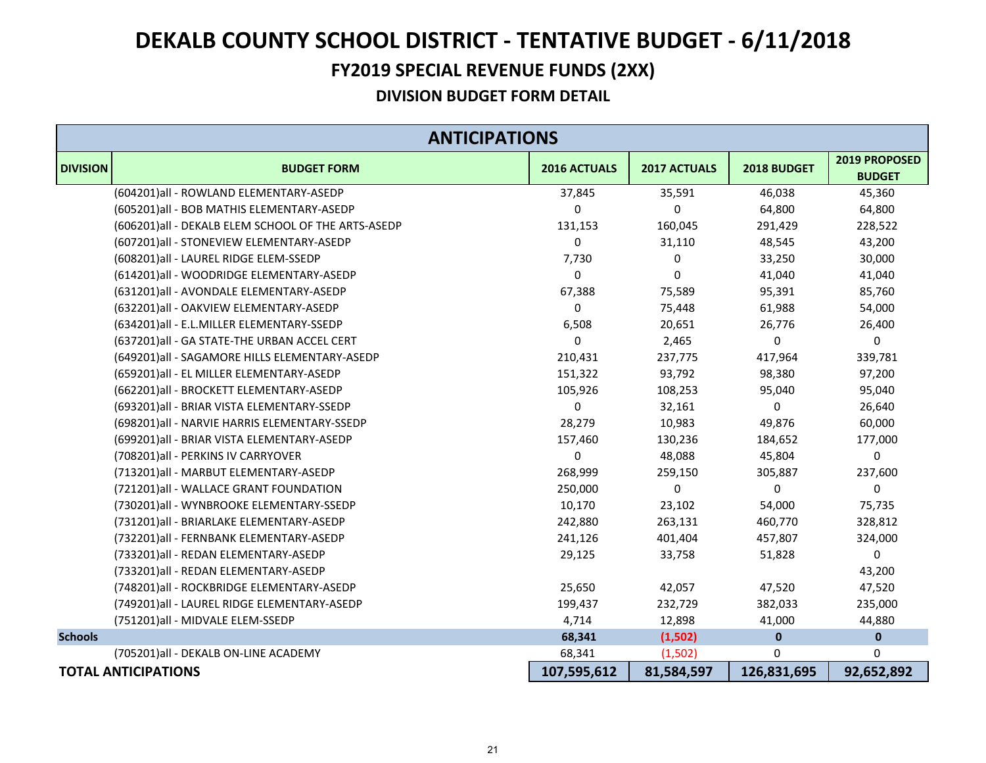#### **FY2019 SPECIAL REVENUE FUNDS (2XX)**

|                 | <b>ANTICIPATIONS</b>                               |                     |                     |             |                                |  |
|-----------------|----------------------------------------------------|---------------------|---------------------|-------------|--------------------------------|--|
| <b>DIVISION</b> | <b>BUDGET FORM</b>                                 | <b>2016 ACTUALS</b> | <b>2017 ACTUALS</b> | 2018 BUDGET | 2019 PROPOSED<br><b>BUDGET</b> |  |
|                 | (604201)all - ROWLAND ELEMENTARY-ASEDP             | 37,845              | 35,591              | 46,038      | 45,360                         |  |
|                 | (605201) all - BOB MATHIS ELEMENTARY-ASEDP         | 0                   | 0                   | 64,800      | 64,800                         |  |
|                 | (606201)all - DEKALB ELEM SCHOOL OF THE ARTS-ASEDP | 131,153             | 160,045             | 291,429     | 228,522                        |  |
|                 | (607201)all - STONEVIEW ELEMENTARY-ASEDP           | 0                   | 31,110              | 48,545      | 43,200                         |  |
|                 | (608201)all - LAUREL RIDGE ELEM-SSEDP              | 7,730               | 0                   | 33,250      | 30,000                         |  |
|                 | (614201)all - WOODRIDGE ELEMENTARY-ASEDP           | 0                   | 0                   | 41,040      | 41,040                         |  |
|                 | (631201)all - AVONDALE ELEMENTARY-ASEDP            | 67,388              | 75,589              | 95,391      | 85,760                         |  |
|                 | (632201)all - OAKVIEW ELEMENTARY-ASEDP             | 0                   | 75,448              | 61,988      | 54,000                         |  |
|                 | (634201)all - E.L.MILLER ELEMENTARY-SSEDP          | 6,508               | 20,651              | 26,776      | 26,400                         |  |
|                 | (637201)all - GA STATE-THE URBAN ACCEL CERT        | 0                   | 2,465               | 0           | 0                              |  |
|                 | (649201)all - SAGAMORE HILLS ELEMENTARY-ASEDP      | 210,431             | 237,775             | 417,964     | 339,781                        |  |
|                 | (659201)all - EL MILLER ELEMENTARY-ASEDP           | 151,322             | 93,792              | 98,380      | 97,200                         |  |
|                 | (662201)all - BROCKETT ELEMENTARY-ASEDP            | 105,926             | 108,253             | 95,040      | 95,040                         |  |
|                 | (693201)all - BRIAR VISTA ELEMENTARY-SSEDP         | 0                   | 32,161              | 0           | 26,640                         |  |
|                 | (698201) all - NARVIE HARRIS ELEMENTARY-SSEDP      | 28,279              | 10,983              | 49,876      | 60,000                         |  |
|                 | (699201) all - BRIAR VISTA ELEMENTARY-ASEDP        | 157,460             | 130,236             | 184,652     | 177,000                        |  |
|                 | (708201) all - PERKINS IV CARRYOVER                | 0                   | 48,088              | 45,804      | 0                              |  |
|                 | (713201)all - MARBUT ELEMENTARY-ASEDP              | 268,999             | 259,150             | 305,887     | 237,600                        |  |
|                 | (721201)all - WALLACE GRANT FOUNDATION             | 250,000             | 0                   | 0           | $\Omega$                       |  |
|                 | (730201)all - WYNBROOKE ELEMENTARY-SSEDP           | 10,170              | 23,102              | 54,000      | 75,735                         |  |
|                 | (731201)all - BRIARLAKE ELEMENTARY-ASEDP           | 242,880             | 263,131             | 460,770     | 328,812                        |  |
|                 | (732201)all - FERNBANK ELEMENTARY-ASEDP            | 241,126             | 401,404             | 457,807     | 324,000                        |  |
|                 | (733201)all - REDAN ELEMENTARY-ASEDP               | 29,125              | 33,758              | 51,828      | 0                              |  |
|                 | (733201)all - REDAN ELEMENTARY-ASEDP               |                     |                     |             | 43,200                         |  |
|                 | (748201)all - ROCKBRIDGE ELEMENTARY-ASEDP          | 25,650              | 42,057              | 47,520      | 47,520                         |  |
|                 | (749201)all - LAUREL RIDGE ELEMENTARY-ASEDP        | 199,437             | 232,729             | 382,033     | 235,000                        |  |
|                 | (751201)all - MIDVALE ELEM-SSEDP                   | 4,714               | 12,898              | 41,000      | 44,880                         |  |
| <b>Schools</b>  |                                                    | 68,341              | (1,502)             | $\bf{0}$    | $\mathbf 0$                    |  |
|                 | (705201) all - DEKALB ON-LINE ACADEMY              | 68,341              | (1,502)             | 0           | 0                              |  |
|                 | <b>TOTAL ANTICIPATIONS</b>                         | 107,595,612         | 81,584,597          | 126,831,695 | 92,652,892                     |  |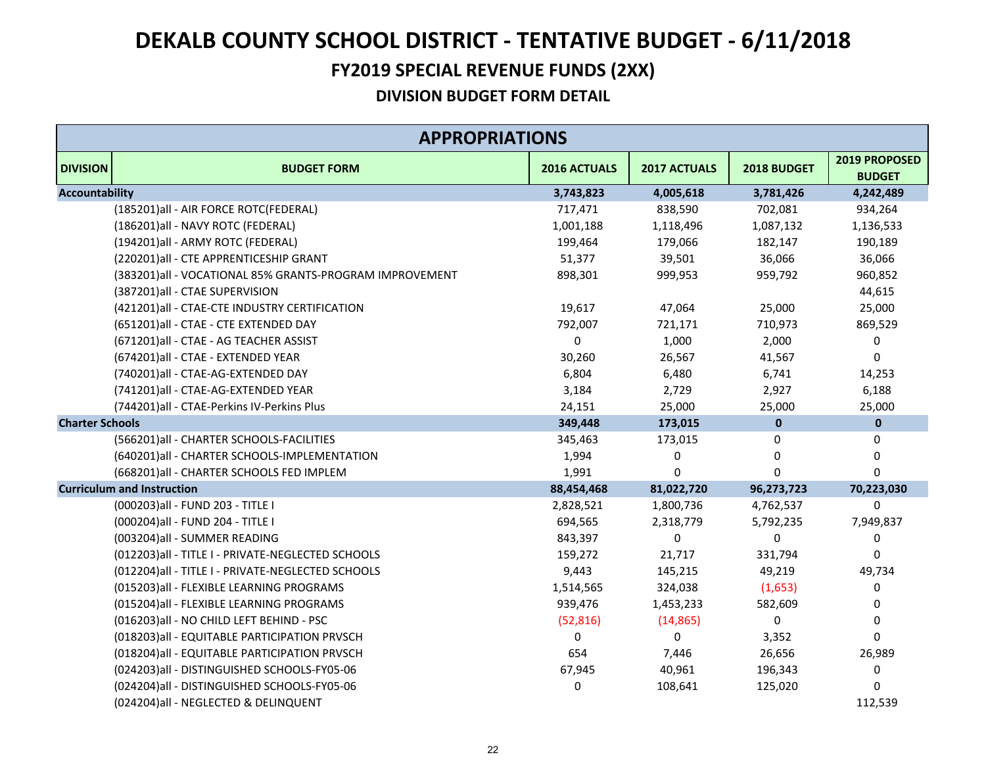#### **FY2019 SPECIAL REVENUE FUNDS (2XX)**

|                        | <b>APPROPRIATIONS</b>                                   |              |                     |              |                                |  |
|------------------------|---------------------------------------------------------|--------------|---------------------|--------------|--------------------------------|--|
| <b>DIVISION</b>        | <b>BUDGET FORM</b>                                      | 2016 ACTUALS | <b>2017 ACTUALS</b> | 2018 BUDGET  | 2019 PROPOSED<br><b>BUDGET</b> |  |
| <b>Accountability</b>  |                                                         | 3,743,823    | 4,005,618           | 3,781,426    | 4,242,489                      |  |
|                        | (185201) all - AIR FORCE ROTC(FEDERAL)                  | 717,471      | 838,590             | 702,081      | 934,264                        |  |
|                        | (186201) all - NAVY ROTC (FEDERAL)                      | 1,001,188    | 1,118,496           | 1,087,132    | 1,136,533                      |  |
|                        | (194201)all - ARMY ROTC (FEDERAL)                       | 199,464      | 179,066             | 182,147      | 190,189                        |  |
|                        | (220201)all - CTE APPRENTICESHIP GRANT                  | 51,377       | 39,501              | 36,066       | 36,066                         |  |
|                        | (383201)all - VOCATIONAL 85% GRANTS-PROGRAM IMPROVEMENT | 898,301      | 999,953             | 959,792      | 960,852                        |  |
|                        | (387201)all - CTAE SUPERVISION                          |              |                     |              | 44,615                         |  |
|                        | (421201)all - CTAE-CTE INDUSTRY CERTIFICATION           | 19,617       | 47,064              | 25,000       | 25,000                         |  |
|                        | (651201)all - CTAE - CTE EXTENDED DAY                   | 792,007      | 721,171             | 710,973      | 869,529                        |  |
|                        | (671201) all - CTAE - AG TEACHER ASSIST                 | 0            | 1,000               | 2,000        | 0                              |  |
|                        | (674201)all - CTAE - EXTENDED YEAR                      | 30,260       | 26,567              | 41,567       | 0                              |  |
|                        | (740201)all - CTAE-AG-EXTENDED DAY                      | 6,804        | 6,480               | 6,741        | 14,253                         |  |
|                        | (741201)all - CTAE-AG-EXTENDED YEAR                     | 3,184        | 2,729               | 2,927        | 6,188                          |  |
|                        | (744201)all - CTAE-Perkins IV-Perkins Plus              | 24,151       | 25,000              | 25,000       | 25,000                         |  |
| <b>Charter Schools</b> |                                                         | 349,448      | 173,015             | $\mathbf{0}$ | $\mathbf{0}$                   |  |
|                        | (566201) all - CHARTER SCHOOLS-FACILITIES               | 345,463      | 173,015             | 0            | 0                              |  |
|                        | (640201)all - CHARTER SCHOOLS-IMPLEMENTATION            | 1,994        | $\mathbf 0$         | $\mathbf 0$  | $\mathbf 0$                    |  |
|                        | (668201)all - CHARTER SCHOOLS FED IMPLEM                | 1,991        | $\Omega$            | $\Omega$     | $\mathbf 0$                    |  |
|                        | <b>Curriculum and Instruction</b>                       | 88,454,468   | 81,022,720          | 96,273,723   | 70,223,030                     |  |
|                        | (000203) all - FUND 203 - TITLE I                       | 2,828,521    | 1,800,736           | 4,762,537    | $\mathbf 0$                    |  |
|                        | (000204) all - FUND 204 - TITLE I                       | 694,565      | 2,318,779           | 5,792,235    | 7,949,837                      |  |
|                        | (003204)all - SUMMER READING                            | 843,397      | $\pmb{0}$           | $\Omega$     | 0                              |  |
|                        | (012203)all - TITLE I - PRIVATE-NEGLECTED SCHOOLS       | 159,272      | 21,717              | 331,794      | $\Omega$                       |  |
|                        | (012204)all - TITLE I - PRIVATE-NEGLECTED SCHOOLS       | 9,443        | 145,215             | 49,219       | 49,734                         |  |
|                        | (015203)all - FLEXIBLE LEARNING PROGRAMS                | 1,514,565    | 324,038             | (1,653)      | 0                              |  |
|                        | (015204)all - FLEXIBLE LEARNING PROGRAMS                | 939,476      | 1,453,233           | 582,609      | 0                              |  |
|                        | (016203)all - NO CHILD LEFT BEHIND - PSC                | (52, 816)    | (14, 865)           | $\Omega$     | 0                              |  |
|                        | (018203) all - EQUITABLE PARTICIPATION PRVSCH           | 0            | 0                   | 3,352        | 0                              |  |
|                        | (018204) all - EQUITABLE PARTICIPATION PRVSCH           | 654          | 7,446               | 26,656       | 26,989                         |  |
|                        | (024203)all - DISTINGUISHED SCHOOLS-FY05-06             | 67,945       | 40,961              | 196,343      | 0                              |  |
|                        | (024204)all - DISTINGUISHED SCHOOLS-FY05-06             | 0            | 108,641             | 125,020      | $\Omega$                       |  |
|                        | (024204)all - NEGLECTED & DELINQUENT                    |              |                     |              | 112,539                        |  |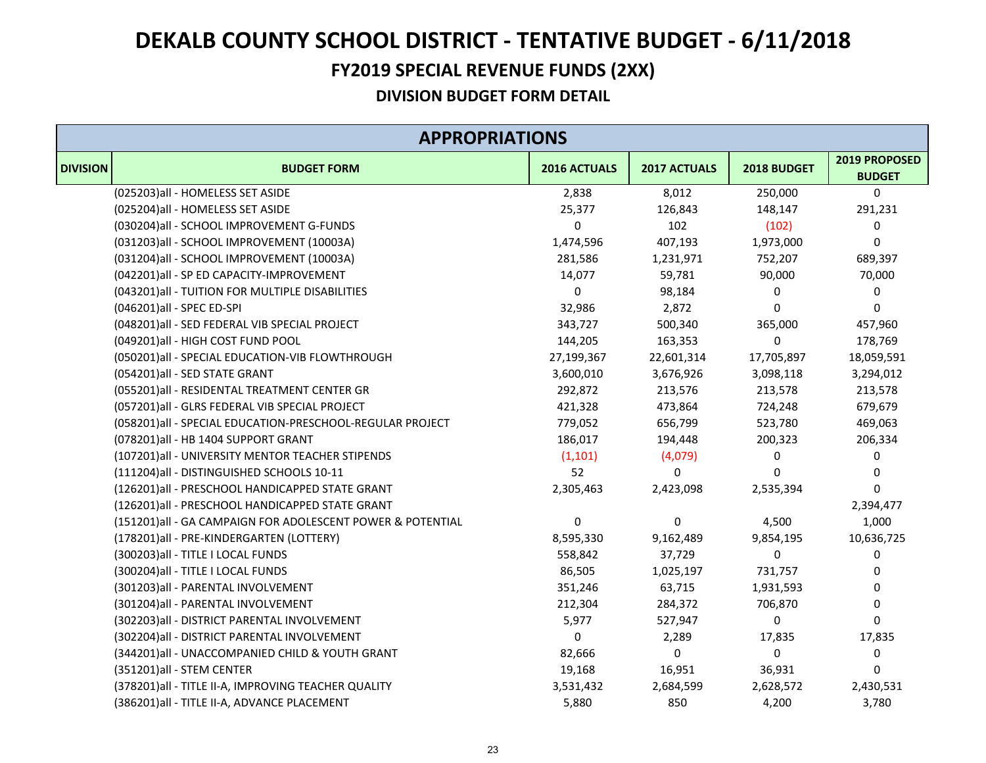#### **FY2019 SPECIAL REVENUE FUNDS (2XX)**

|                 | <b>APPROPRIATIONS</b>                                      |              |              |             |                                |  |  |
|-----------------|------------------------------------------------------------|--------------|--------------|-------------|--------------------------------|--|--|
| <b>DIVISION</b> | <b>BUDGET FORM</b>                                         | 2016 ACTUALS | 2017 ACTUALS | 2018 BUDGET | 2019 PROPOSED<br><b>BUDGET</b> |  |  |
|                 | (025203)all - HOMELESS SET ASIDE                           | 2,838        | 8,012        | 250,000     | 0                              |  |  |
|                 | (025204)all - HOMELESS SET ASIDE                           | 25,377       | 126,843      | 148,147     | 291,231                        |  |  |
|                 | (030204)all - SCHOOL IMPROVEMENT G-FUNDS                   | 0            | 102          | (102)       | 0                              |  |  |
|                 | (031203)all - SCHOOL IMPROVEMENT (10003A)                  | 1,474,596    | 407,193      | 1,973,000   | 0                              |  |  |
|                 | (031204)all - SCHOOL IMPROVEMENT (10003A)                  | 281,586      | 1,231,971    | 752,207     | 689,397                        |  |  |
|                 | (042201)all - SP ED CAPACITY-IMPROVEMENT                   | 14,077       | 59,781       | 90,000      | 70,000                         |  |  |
|                 | (043201) all - TUITION FOR MULTIPLE DISABILITIES           | 0            | 98,184       | 0           | 0                              |  |  |
|                 | (046201)all - SPEC ED-SPI                                  | 32,986       | 2,872        | 0           | 0                              |  |  |
|                 | (048201)all - SED FEDERAL VIB SPECIAL PROJECT              | 343,727      | 500,340      | 365,000     | 457,960                        |  |  |
|                 | (049201)all - HIGH COST FUND POOL                          | 144,205      | 163,353      | 0           | 178,769                        |  |  |
|                 | (050201)all - SPECIAL EDUCATION-VIB FLOWTHROUGH            | 27,199,367   | 22,601,314   | 17,705,897  | 18,059,591                     |  |  |
|                 | (054201)all - SED STATE GRANT                              | 3,600,010    | 3,676,926    | 3,098,118   | 3,294,012                      |  |  |
|                 | (055201)all - RESIDENTAL TREATMENT CENTER GR               | 292,872      | 213,576      | 213,578     | 213,578                        |  |  |
|                 | (057201)all - GLRS FEDERAL VIB SPECIAL PROJECT             | 421,328      | 473,864      | 724,248     | 679,679                        |  |  |
|                 | (058201) all - SPECIAL EDUCATION-PRESCHOOL-REGULAR PROJECT | 779,052      | 656,799      | 523,780     | 469,063                        |  |  |
|                 | (078201)all - HB 1404 SUPPORT GRANT                        | 186,017      | 194,448      | 200,323     | 206,334                        |  |  |
|                 | (107201)all - UNIVERSITY MENTOR TEACHER STIPENDS           | (1, 101)     | (4,079)      | 0           | 0                              |  |  |
|                 | (111204)all - DISTINGUISHED SCHOOLS 10-11                  | 52           | 0            | $\Omega$    | 0                              |  |  |
|                 | (126201)all - PRESCHOOL HANDICAPPED STATE GRANT            | 2,305,463    | 2,423,098    | 2,535,394   | $\mathbf 0$                    |  |  |
|                 | (126201)all - PRESCHOOL HANDICAPPED STATE GRANT            |              |              |             | 2,394,477                      |  |  |
|                 | (151201)all - GA CAMPAIGN FOR ADOLESCENT POWER & POTENTIAL | $\pmb{0}$    | 0            | 4,500       | 1,000                          |  |  |
|                 | (178201)all - PRE-KINDERGARTEN (LOTTERY)                   | 8,595,330    | 9,162,489    | 9,854,195   | 10,636,725                     |  |  |
|                 | (300203) all - TITLE I LOCAL FUNDS                         | 558,842      | 37,729       | 0           | 0                              |  |  |
|                 | (300204) all - TITLE I LOCAL FUNDS                         | 86,505       | 1,025,197    | 731,757     | 0                              |  |  |
|                 | (301203)all - PARENTAL INVOLVEMENT                         | 351,246      | 63,715       | 1,931,593   | 0                              |  |  |
|                 | (301204)all - PARENTAL INVOLVEMENT                         | 212,304      | 284,372      | 706,870     | 0                              |  |  |
|                 | (302203) all - DISTRICT PARENTAL INVOLVEMENT               | 5,977        | 527,947      | 0           | 0                              |  |  |
|                 | (302204) all - DISTRICT PARENTAL INVOLVEMENT               | 0            | 2,289        | 17,835      | 17,835                         |  |  |
|                 | (344201)all - UNACCOMPANIED CHILD & YOUTH GRANT            | 82,666       | 0            | $\mathbf 0$ | 0                              |  |  |
|                 | (351201)all - STEM CENTER                                  | 19,168       | 16,951       | 36,931      | 0                              |  |  |
|                 | (378201) all - TITLE II-A, IMPROVING TEACHER QUALITY       | 3,531,432    | 2,684,599    | 2,628,572   | 2,430,531                      |  |  |
|                 | (386201) all - TITLE II-A, ADVANCE PLACEMENT               | 5,880        | 850          | 4,200       | 3,780                          |  |  |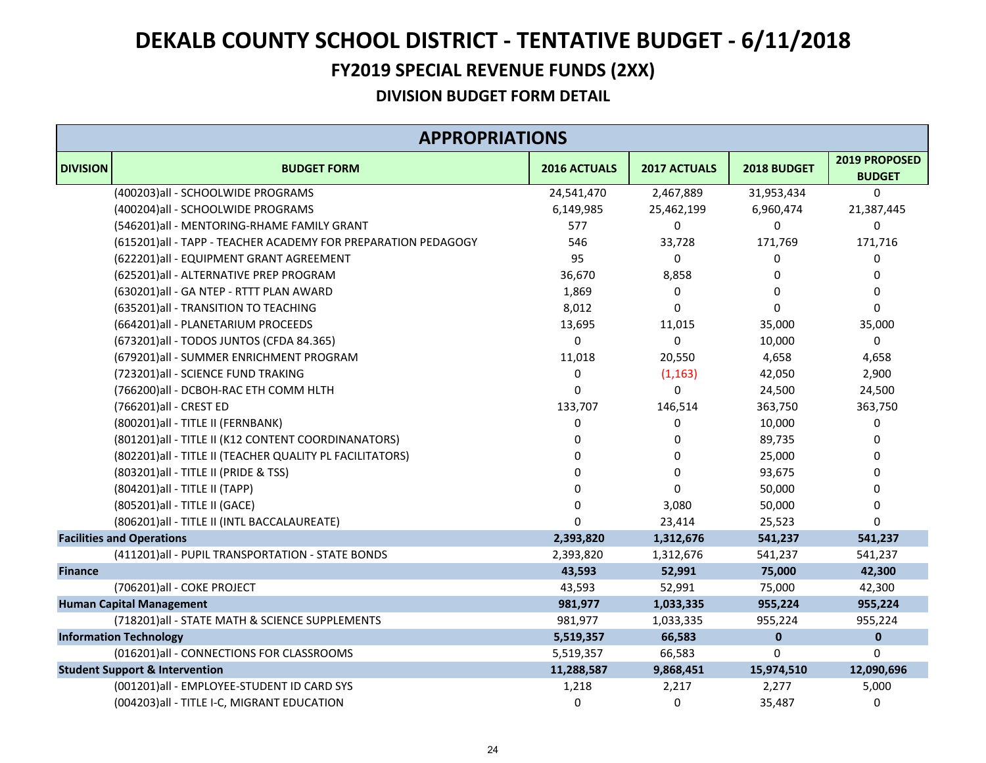#### **FY2019 SPECIAL REVENUE FUNDS (2XX)**

|                 | <b>APPROPRIATIONS</b>                                          |              |              |              |                                |  |  |
|-----------------|----------------------------------------------------------------|--------------|--------------|--------------|--------------------------------|--|--|
| <b>DIVISION</b> | <b>BUDGET FORM</b>                                             | 2016 ACTUALS | 2017 ACTUALS | 2018 BUDGET  | 2019 PROPOSED<br><b>BUDGET</b> |  |  |
|                 | (400203) all - SCHOOLWIDE PROGRAMS                             | 24,541,470   | 2,467,889    | 31,953,434   | $\Omega$                       |  |  |
|                 | (400204)all - SCHOOLWIDE PROGRAMS                              | 6,149,985    | 25,462,199   | 6,960,474    | 21,387,445                     |  |  |
|                 | (546201)all - MENTORING-RHAME FAMILY GRANT                     | 577          | 0            | 0            | 0                              |  |  |
|                 | (615201) all - TAPP - TEACHER ACADEMY FOR PREPARATION PEDAGOGY | 546          | 33,728       | 171,769      | 171,716                        |  |  |
|                 | (622201)all - EQUIPMENT GRANT AGREEMENT                        | 95           | $\Omega$     | 0            | 0                              |  |  |
|                 | (625201)all - ALTERNATIVE PREP PROGRAM                         | 36,670       | 8,858        | 0            | 0                              |  |  |
|                 | (630201)all - GA NTEP - RTTT PLAN AWARD                        | 1,869        | 0            | 0            | 0                              |  |  |
|                 | (635201)all - TRANSITION TO TEACHING                           | 8,012        | $\Omega$     | $\mathbf{0}$ | 0                              |  |  |
|                 | (664201)all - PLANETARIUM PROCEEDS                             | 13,695       | 11,015       | 35,000       | 35,000                         |  |  |
|                 | (673201)all - TODOS JUNTOS (CFDA 84.365)                       | 0            | 0            | 10,000       | 0                              |  |  |
|                 | (679201)all - SUMMER ENRICHMENT PROGRAM                        | 11,018       | 20,550       | 4,658        | 4,658                          |  |  |
|                 | (723201)all - SCIENCE FUND TRAKING                             | 0            | (1, 163)     | 42,050       | 2,900                          |  |  |
|                 | (766200) all - DCBOH-RAC ETH COMM HLTH                         | 0            | 0            | 24,500       | 24,500                         |  |  |
|                 | (766201)all - CREST ED                                         | 133,707      | 146,514      | 363,750      | 363,750                        |  |  |
|                 | (800201) all - TITLE II (FERNBANK)                             | 0            | 0            | 10,000       | 0                              |  |  |
|                 | (801201) all - TITLE II (K12 CONTENT COORDINANATORS)           | 0            | 0            | 89,735       | 0                              |  |  |
|                 | (802201) all - TITLE II (TEACHER QUALITY PL FACILITATORS)      | <sup>0</sup> | 0            | 25,000       | 0                              |  |  |
|                 | (803201) all - TITLE II (PRIDE & TSS)                          | <sup>0</sup> | $\Omega$     | 93,675       | 0                              |  |  |
|                 | (804201) all - TITLE II (TAPP)                                 | <sup>0</sup> | $\Omega$     | 50,000       | 0                              |  |  |
|                 | (805201) all - TITLE II (GACE)                                 | 0            | 3,080        | 50,000       | 0                              |  |  |
|                 | (806201) all - TITLE II (INTL BACCALAUREATE)                   | $\Omega$     | 23,414       | 25,523       | $\Omega$                       |  |  |
|                 | <b>Facilities and Operations</b>                               | 2,393,820    | 1,312,676    | 541,237      | 541,237                        |  |  |
|                 | (411201)all - PUPIL TRANSPORTATION - STATE BONDS               | 2,393,820    | 1,312,676    | 541,237      | 541,237                        |  |  |
| <b>Finance</b>  |                                                                | 43,593       | 52,991       | 75,000       | 42,300                         |  |  |
|                 | (706201)all - COKE PROJECT                                     | 43,593       | 52,991       | 75,000       | 42,300                         |  |  |
|                 | <b>Human Capital Management</b>                                | 981,977      | 1,033,335    | 955,224      | 955,224                        |  |  |
|                 | (718201) all - STATE MATH & SCIENCE SUPPLEMENTS                | 981,977      | 1,033,335    | 955,224      | 955,224                        |  |  |
|                 | <b>Information Technology</b>                                  | 5,519,357    | 66,583       | $\mathbf{0}$ | $\mathbf{0}$                   |  |  |
|                 | (016201)all - CONNECTIONS FOR CLASSROOMS                       | 5,519,357    | 66,583       | 0            | 0                              |  |  |
|                 | <b>Student Support &amp; Intervention</b>                      | 11,288,587   | 9,868,451    | 15,974,510   | 12,090,696                     |  |  |
|                 | (001201)all - EMPLOYEE-STUDENT ID CARD SYS                     | 1,218        | 2,217        | 2,277        | 5,000                          |  |  |
|                 | (004203) all - TITLE I-C, MIGRANT EDUCATION                    | 0            | 0            | 35,487       | 0                              |  |  |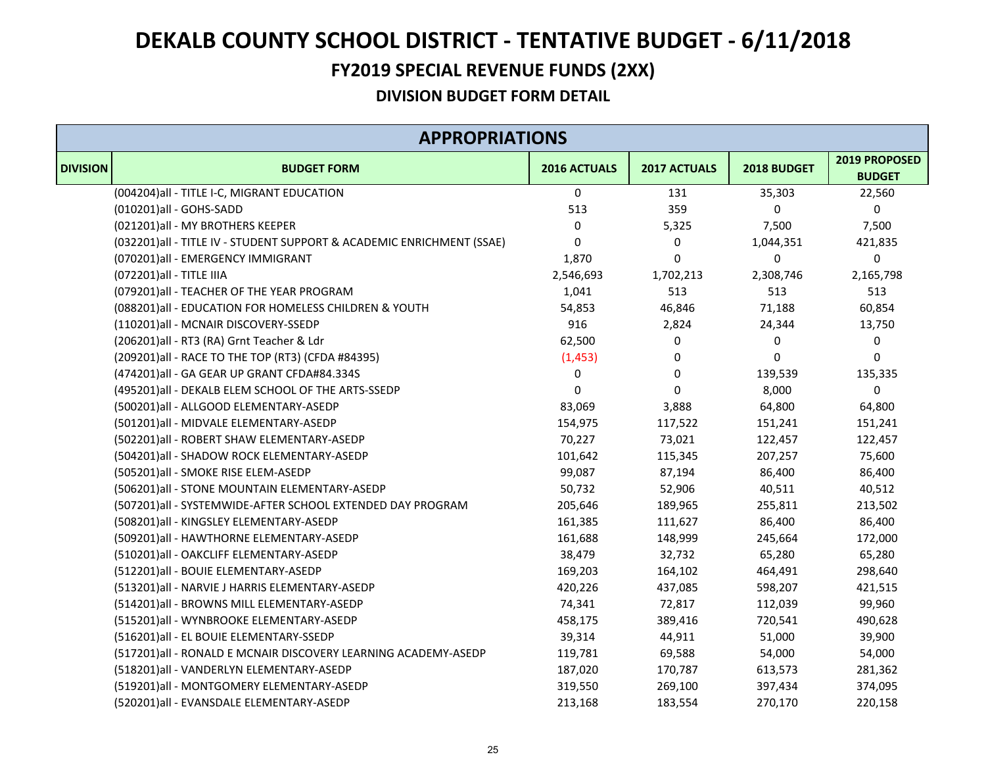#### **FY2019 SPECIAL REVENUE FUNDS (2XX)**

| <b>APPROPRIATIONS</b> |                                                                       |              |              |             |                                |  |
|-----------------------|-----------------------------------------------------------------------|--------------|--------------|-------------|--------------------------------|--|
| <b>DIVISION</b>       | <b>BUDGET FORM</b>                                                    | 2016 ACTUALS | 2017 ACTUALS | 2018 BUDGET | 2019 PROPOSED<br><b>BUDGET</b> |  |
|                       | (004204) all - TITLE I-C, MIGRANT EDUCATION                           | $\mathbf 0$  | 131          | 35,303      | 22,560                         |  |
|                       | (010201)all - GOHS-SADD                                               | 513          | 359          | $\Omega$    | 0                              |  |
|                       | (021201)all - MY BROTHERS KEEPER                                      | 0            | 5,325        | 7,500       | 7,500                          |  |
|                       | (032201)all - TITLE IV - STUDENT SUPPORT & ACADEMIC ENRICHMENT (SSAE) | 0            | 0            | 1,044,351   | 421,835                        |  |
|                       | (070201)all - EMERGENCY IMMIGRANT                                     | 1,870        | $\Omega$     | $\Omega$    | 0                              |  |
|                       | (072201) all - TITLE IIIA                                             | 2,546,693    | 1,702,213    | 2,308,746   | 2,165,798                      |  |
|                       | (079201) all - TEACHER OF THE YEAR PROGRAM                            | 1,041        | 513          | 513         | 513                            |  |
|                       | (088201)all - EDUCATION FOR HOMELESS CHILDREN & YOUTH                 | 54,853       | 46,846       | 71,188      | 60,854                         |  |
|                       | (110201)all - MCNAIR DISCOVERY-SSEDP                                  | 916          | 2,824        | 24,344      | 13,750                         |  |
|                       | (206201)all - RT3 (RA) Grnt Teacher & Ldr                             | 62,500       | 0            | 0           | 0                              |  |
|                       | (209201) all - RACE TO THE TOP (RT3) (CFDA #84395)                    | (1, 453)     | 0            | 0           | 0                              |  |
|                       | (474201)all - GA GEAR UP GRANT CFDA#84.334S                           | 0            | 0            | 139,539     | 135,335                        |  |
|                       | (495201)all - DEKALB ELEM SCHOOL OF THE ARTS-SSEDP                    | $\pmb{0}$    | 0            | 8,000       | 0                              |  |
|                       | (500201)all - ALLGOOD ELEMENTARY-ASEDP                                | 83,069       | 3,888        | 64,800      | 64,800                         |  |
|                       | (501201)all - MIDVALE ELEMENTARY-ASEDP                                | 154,975      | 117,522      | 151,241     | 151,241                        |  |
|                       | (502201)all - ROBERT SHAW ELEMENTARY-ASEDP                            | 70,227       | 73,021       | 122,457     | 122,457                        |  |
|                       | (504201)all - SHADOW ROCK ELEMENTARY-ASEDP                            | 101,642      | 115,345      | 207,257     | 75,600                         |  |
|                       | (505201)all - SMOKE RISE ELEM-ASEDP                                   | 99,087       | 87,194       | 86,400      | 86,400                         |  |
|                       | (506201)all - STONE MOUNTAIN ELEMENTARY-ASEDP                         | 50,732       | 52,906       | 40,511      | 40,512                         |  |
|                       | (507201)all - SYSTEMWIDE-AFTER SCHOOL EXTENDED DAY PROGRAM            | 205,646      | 189,965      | 255,811     | 213,502                        |  |
|                       | (508201)all - KINGSLEY ELEMENTARY-ASEDP                               | 161,385      | 111,627      | 86,400      | 86,400                         |  |
|                       | (509201)all - HAWTHORNE ELEMENTARY-ASEDP                              | 161,688      | 148,999      | 245,664     | 172,000                        |  |
|                       | (510201)all - OAKCLIFF ELEMENTARY-ASEDP                               | 38,479       | 32,732       | 65,280      | 65,280                         |  |
|                       | (512201)all - BOUIE ELEMENTARY-ASEDP                                  | 169,203      | 164,102      | 464,491     | 298,640                        |  |
|                       | (513201)all - NARVIE J HARRIS ELEMENTARY-ASEDP                        | 420,226      | 437,085      | 598,207     | 421,515                        |  |
|                       | (514201)all - BROWNS MILL ELEMENTARY-ASEDP                            | 74,341       | 72,817       | 112,039     | 99,960                         |  |
|                       | (515201)all - WYNBROOKE ELEMENTARY-ASEDP                              | 458,175      | 389,416      | 720,541     | 490,628                        |  |
|                       | (516201)all - EL BOUIE ELEMENTARY-SSEDP                               | 39,314       | 44,911       | 51,000      | 39,900                         |  |
|                       | (517201)all - RONALD E MCNAIR DISCOVERY LEARNING ACADEMY-ASEDP        | 119,781      | 69,588       | 54,000      | 54,000                         |  |
|                       | (518201)all - VANDERLYN ELEMENTARY-ASEDP                              | 187,020      | 170,787      | 613,573     | 281,362                        |  |
|                       | (519201)all - MONTGOMERY ELEMENTARY-ASEDP                             | 319,550      | 269,100      | 397,434     | 374,095                        |  |
|                       | (520201)all - EVANSDALE ELEMENTARY-ASEDP                              | 213,168      | 183,554      | 270,170     | 220,158                        |  |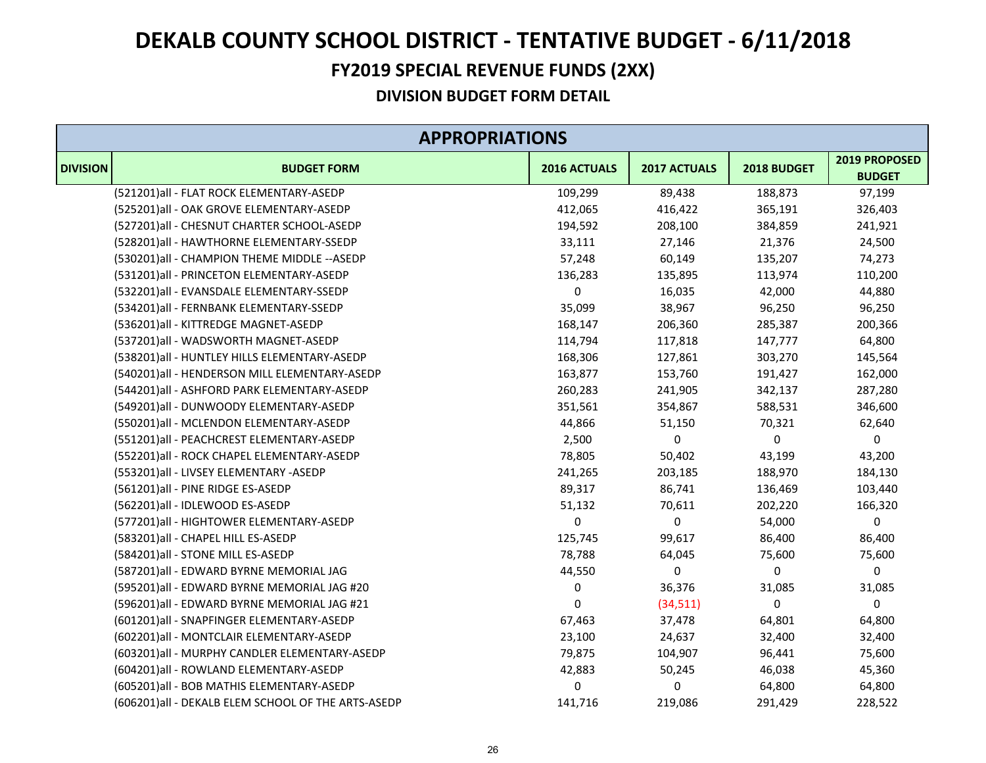#### **FY2019 SPECIAL REVENUE FUNDS (2XX)**

|                 | <b>APPROPRIATIONS</b>                              |              |              |             |                                |  |
|-----------------|----------------------------------------------------|--------------|--------------|-------------|--------------------------------|--|
| <b>DIVISION</b> | <b>BUDGET FORM</b>                                 | 2016 ACTUALS | 2017 ACTUALS | 2018 BUDGET | 2019 PROPOSED<br><b>BUDGET</b> |  |
|                 | (521201)all - FLAT ROCK ELEMENTARY-ASEDP           | 109,299      | 89,438       | 188,873     | 97,199                         |  |
|                 | (525201)all - OAK GROVE ELEMENTARY-ASEDP           | 412,065      | 416,422      | 365,191     | 326,403                        |  |
|                 | (527201)all - CHESNUT CHARTER SCHOOL-ASEDP         | 194,592      | 208,100      | 384,859     | 241,921                        |  |
|                 | (528201)all - HAWTHORNE ELEMENTARY-SSEDP           | 33,111       | 27,146       | 21,376      | 24,500                         |  |
|                 | (530201)all - CHAMPION THEME MIDDLE -- ASEDP       | 57,248       | 60,149       | 135,207     | 74,273                         |  |
|                 | (531201)all - PRINCETON ELEMENTARY-ASEDP           | 136,283      | 135,895      | 113,974     | 110,200                        |  |
|                 | (532201)all - EVANSDALE ELEMENTARY-SSEDP           | 0            | 16,035       | 42,000      | 44,880                         |  |
|                 | (534201)all - FERNBANK ELEMENTARY-SSEDP            | 35,099       | 38,967       | 96,250      | 96,250                         |  |
|                 | (536201)all - KITTREDGE MAGNET-ASEDP               | 168,147      | 206,360      | 285,387     | 200,366                        |  |
|                 | (537201)all - WADSWORTH MAGNET-ASEDP               | 114,794      | 117,818      | 147,777     | 64,800                         |  |
|                 | (538201)all - HUNTLEY HILLS ELEMENTARY-ASEDP       | 168,306      | 127,861      | 303,270     | 145,564                        |  |
|                 | (540201)all - HENDERSON MILL ELEMENTARY-ASEDP      | 163,877      | 153,760      | 191,427     | 162,000                        |  |
|                 | (544201)all - ASHFORD PARK ELEMENTARY-ASEDP        | 260,283      | 241,905      | 342,137     | 287,280                        |  |
|                 | (549201)all - DUNWOODY ELEMENTARY-ASEDP            | 351,561      | 354,867      | 588,531     | 346,600                        |  |
|                 | (550201)all - MCLENDON ELEMENTARY-ASEDP            | 44,866       | 51,150       | 70,321      | 62,640                         |  |
|                 | (551201)all - PEACHCREST ELEMENTARY-ASEDP          | 2,500        | 0            | 0           | 0                              |  |
|                 | (552201)all - ROCK CHAPEL ELEMENTARY-ASEDP         | 78,805       | 50,402       | 43,199      | 43,200                         |  |
|                 | (553201)all - LIVSEY ELEMENTARY -ASEDP             | 241,265      | 203,185      | 188,970     | 184,130                        |  |
|                 | (561201)all - PINE RIDGE ES-ASEDP                  | 89,317       | 86,741       | 136,469     | 103,440                        |  |
|                 | (562201)all - IDLEWOOD ES-ASEDP                    | 51,132       | 70,611       | 202,220     | 166,320                        |  |
|                 | (577201)all - HIGHTOWER ELEMENTARY-ASEDP           | 0            | $\pmb{0}$    | 54,000      | $\pmb{0}$                      |  |
|                 | (583201)all - CHAPEL HILL ES-ASEDP                 | 125,745      | 99,617       | 86,400      | 86,400                         |  |
|                 | (584201)all - STONE MILL ES-ASEDP                  | 78,788       | 64,045       | 75,600      | 75,600                         |  |
|                 | (587201)all - EDWARD BYRNE MEMORIAL JAG            | 44,550       | 0            | 0           | 0                              |  |
|                 | (595201)all - EDWARD BYRNE MEMORIAL JAG #20        | 0            | 36,376       | 31,085      | 31,085                         |  |
|                 | (596201)all - EDWARD BYRNE MEMORIAL JAG #21        | 0            | (34,511)     | 0           | 0                              |  |
|                 | (601201)all - SNAPFINGER ELEMENTARY-ASEDP          | 67,463       | 37,478       | 64,801      | 64,800                         |  |
|                 | (602201)all - MONTCLAIR ELEMENTARY-ASEDP           | 23,100       | 24,637       | 32,400      | 32,400                         |  |
|                 | (603201)all - MURPHY CANDLER ELEMENTARY-ASEDP      | 79,875       | 104,907      | 96,441      | 75,600                         |  |
|                 | (604201)all - ROWLAND ELEMENTARY-ASEDP             | 42,883       | 50,245       | 46,038      | 45,360                         |  |
|                 | (605201) all - BOB MATHIS ELEMENTARY-ASEDP         | 0            | 0            | 64,800      | 64,800                         |  |
|                 | (606201)all - DEKALB ELEM SCHOOL OF THE ARTS-ASEDP | 141,716      | 219,086      | 291,429     | 228,522                        |  |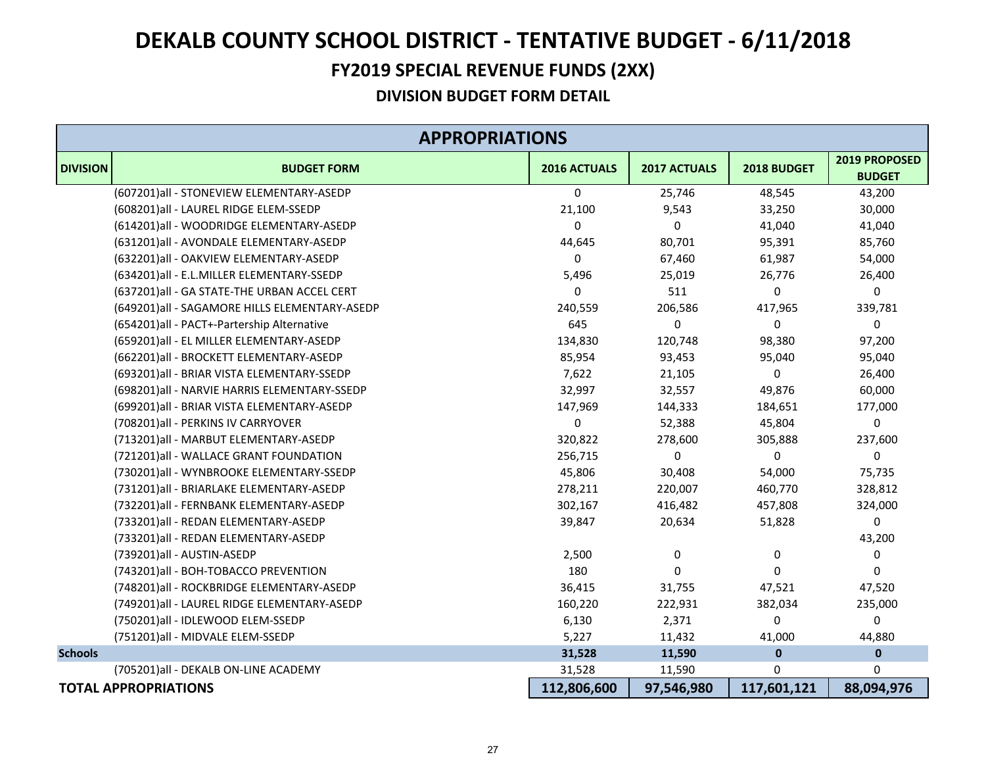#### **FY2019 SPECIAL REVENUE FUNDS (2XX)**

|                 | <b>APPROPRIATIONS</b>                         |              |              |             |                                |  |
|-----------------|-----------------------------------------------|--------------|--------------|-------------|--------------------------------|--|
| <b>DIVISION</b> | <b>BUDGET FORM</b>                            | 2016 ACTUALS | 2017 ACTUALS | 2018 BUDGET | 2019 PROPOSED<br><b>BUDGET</b> |  |
|                 | (607201)all - STONEVIEW ELEMENTARY-ASEDP      | 0            | 25,746       | 48,545      | 43,200                         |  |
|                 | (608201)all - LAUREL RIDGE ELEM-SSEDP         | 21,100       | 9,543        | 33,250      | 30,000                         |  |
|                 | (614201)all - WOODRIDGE ELEMENTARY-ASEDP      | 0            | 0            | 41,040      | 41,040                         |  |
|                 | (631201)all - AVONDALE ELEMENTARY-ASEDP       | 44,645       | 80,701       | 95,391      | 85,760                         |  |
|                 | (632201)all - OAKVIEW ELEMENTARY-ASEDP        | 0            | 67,460       | 61,987      | 54,000                         |  |
|                 | (634201)all - E.L.MILLER ELEMENTARY-SSEDP     | 5,496        | 25,019       | 26,776      | 26,400                         |  |
|                 | (637201)all - GA STATE-THE URBAN ACCEL CERT   | 0            | 511          | 0           | 0                              |  |
|                 | (649201)all - SAGAMORE HILLS ELEMENTARY-ASEDP | 240,559      | 206,586      | 417,965     | 339,781                        |  |
|                 | (654201)all - PACT+-Partership Alternative    | 645          | 0            | 0           | 0                              |  |
|                 | (659201)all - EL MILLER ELEMENTARY-ASEDP      | 134,830      | 120,748      | 98,380      | 97,200                         |  |
|                 | (662201)all - BROCKETT ELEMENTARY-ASEDP       | 85,954       | 93,453       | 95,040      | 95,040                         |  |
|                 | (693201)all - BRIAR VISTA ELEMENTARY-SSEDP    | 7,622        | 21,105       | 0           | 26,400                         |  |
|                 | (698201)all - NARVIE HARRIS ELEMENTARY-SSEDP  | 32,997       | 32,557       | 49,876      | 60,000                         |  |
|                 | (699201)all - BRIAR VISTA ELEMENTARY-ASEDP    | 147,969      | 144,333      | 184,651     | 177,000                        |  |
|                 | (708201) all - PERKINS IV CARRYOVER           | 0            | 52,388       | 45,804      | 0                              |  |
|                 | (713201)all - MARBUT ELEMENTARY-ASEDP         | 320,822      | 278,600      | 305,888     | 237,600                        |  |
|                 | (721201)all - WALLACE GRANT FOUNDATION        | 256,715      | 0            | 0           | 0                              |  |
|                 | (730201)all - WYNBROOKE ELEMENTARY-SSEDP      | 45,806       | 30,408       | 54,000      | 75,735                         |  |
|                 | (731201)all - BRIARLAKE ELEMENTARY-ASEDP      | 278,211      | 220,007      | 460,770     | 328,812                        |  |
|                 | (732201)all - FERNBANK ELEMENTARY-ASEDP       | 302,167      | 416,482      | 457,808     | 324,000                        |  |
|                 | (733201)all - REDAN ELEMENTARY-ASEDP          | 39,847       | 20,634       | 51,828      | 0                              |  |
|                 | (733201)all - REDAN ELEMENTARY-ASEDP          |              |              |             | 43,200                         |  |
|                 | (739201)all - AUSTIN-ASEDP                    | 2,500        | 0            | 0           | 0                              |  |
|                 | (743201)all - BOH-TOBACCO PREVENTION          | 180          | 0            | 0           | 0                              |  |
|                 | (748201)all - ROCKBRIDGE ELEMENTARY-ASEDP     | 36,415       | 31,755       | 47,521      | 47,520                         |  |
|                 | (749201)all - LAUREL RIDGE ELEMENTARY-ASEDP   | 160,220      | 222,931      | 382,034     | 235,000                        |  |
|                 | (750201)all - IDLEWOOD ELEM-SSEDP             | 6,130        | 2,371        | 0           | 0                              |  |
|                 | (751201)all - MIDVALE ELEM-SSEDP              | 5,227        | 11,432       | 41,000      | 44,880                         |  |
| <b>Schools</b>  |                                               | 31,528       | 11,590       | $\mathbf 0$ | $\pmb{0}$                      |  |
|                 | (705201)all - DEKALB ON-LINE ACADEMY          | 31,528       | 11,590       | 0           | 0                              |  |
|                 | <b>TOTAL APPROPRIATIONS</b>                   | 112,806,600  | 97,546,980   | 117,601,121 | 88,094,976                     |  |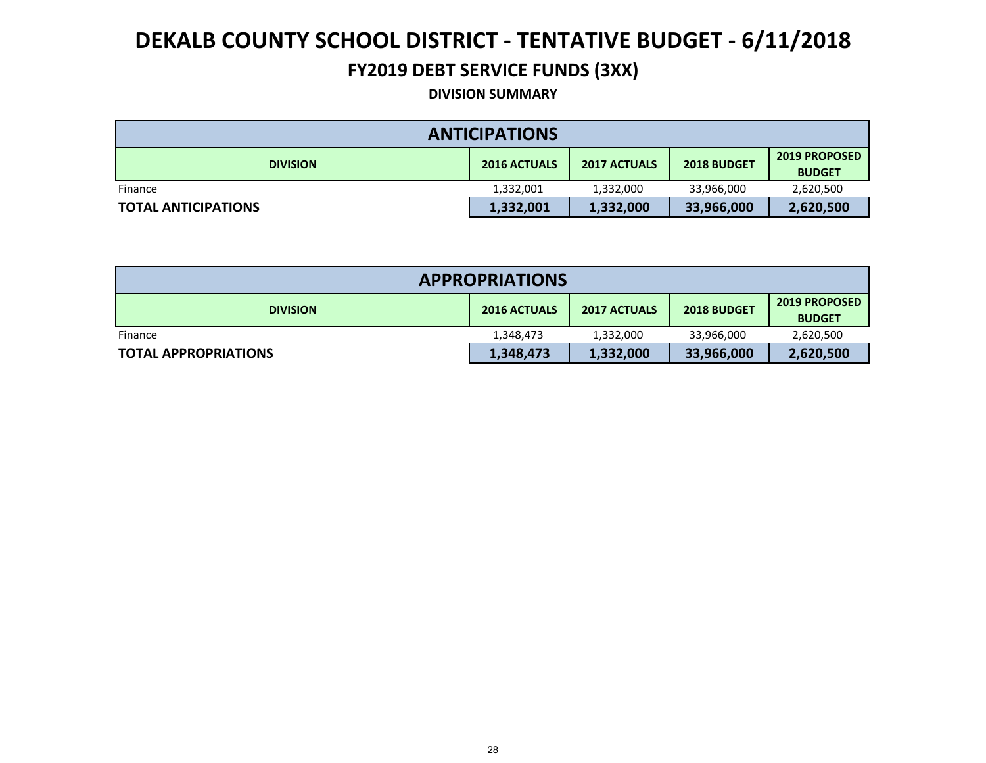#### **FY2019 DEBT SERVICE FUNDS (3XX)**

#### **DIVISION SUMMARY**

| <b>ANTICIPATIONS</b>       |                     |                     |             |                                       |  |  |  |
|----------------------------|---------------------|---------------------|-------------|---------------------------------------|--|--|--|
| <b>DIVISION</b>            | <b>2016 ACTUALS</b> | <b>2017 ACTUALS</b> | 2018 BUDGET | <b>2019 PROPOSED</b><br><b>BUDGET</b> |  |  |  |
| Finance                    | 1,332,001           | 1,332,000           | 33,966,000  | 2,620,500                             |  |  |  |
| <b>TOTAL ANTICIPATIONS</b> | 1,332,001           | 1,332,000           | 33,966,000  | 2,620,500                             |  |  |  |

| <b>APPROPRIATIONS</b>       |                     |                     |             |                                       |  |  |  |
|-----------------------------|---------------------|---------------------|-------------|---------------------------------------|--|--|--|
| <b>DIVISION</b>             | <b>2016 ACTUALS</b> | <b>2017 ACTUALS</b> | 2018 BUDGET | <b>2019 PROPOSED</b><br><b>BUDGET</b> |  |  |  |
| Finance                     | 1,348,473           | 1,332,000           | 33,966,000  | 2,620,500                             |  |  |  |
| <b>TOTAL APPROPRIATIONS</b> | 1,348,473           | 1,332,000           | 33,966,000  | 2,620,500                             |  |  |  |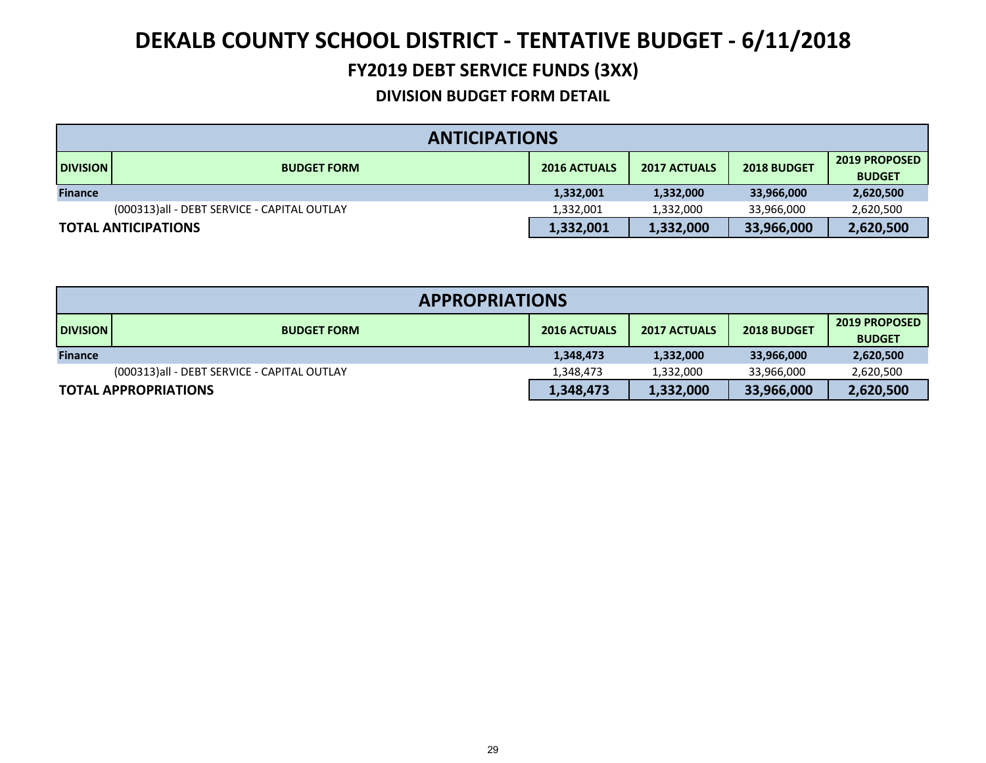#### **FY2019 DEBT SERVICE FUNDS (3XX)**

|                 | <b>ANTICIPATIONS</b>                                                                                    |           |           |            |           |  |  |  |
|-----------------|---------------------------------------------------------------------------------------------------------|-----------|-----------|------------|-----------|--|--|--|
| <b>DIVISION</b> | <b>2019 PROPOSED</b><br><b>2016 ACTUALS</b><br><b>2017 ACTUALS</b><br>2018 BUDGET<br><b>BUDGET FORM</b> |           |           |            |           |  |  |  |
| <b>Finance</b>  |                                                                                                         | 1,332,001 | 1,332,000 | 33,966,000 | 2,620,500 |  |  |  |
|                 | (000313)all - DEBT SERVICE - CAPITAL OUTLAY                                                             | 1,332,001 | 1,332,000 | 33,966,000 | 2,620,500 |  |  |  |
|                 | <b>TOTAL ANTICIPATIONS</b>                                                                              | 1,332,001 | 1,332,000 | 33,966,000 | 2,620,500 |  |  |  |

| <b>APPROPRIATIONS</b> |                                             |                     |                     |             |                                       |  |  |
|-----------------------|---------------------------------------------|---------------------|---------------------|-------------|---------------------------------------|--|--|
| <b>DIVISION</b>       | <b>BUDGET FORM</b>                          | <b>2016 ACTUALS</b> | <b>2017 ACTUALS</b> | 2018 BUDGET | <b>2019 PROPOSED</b><br><b>BUDGET</b> |  |  |
| <b>Finance</b>        |                                             | 1,348,473           | 1,332,000           | 33,966,000  | 2,620,500                             |  |  |
|                       | (000313)all - DEBT SERVICE - CAPITAL OUTLAY | 1,348,473           | 1,332,000           | 33,966,000  | 2,620,500                             |  |  |
|                       | <b>TOTAL APPROPRIATIONS</b>                 | 1,348,473           | 1,332,000           | 33,966,000  | 2,620,500                             |  |  |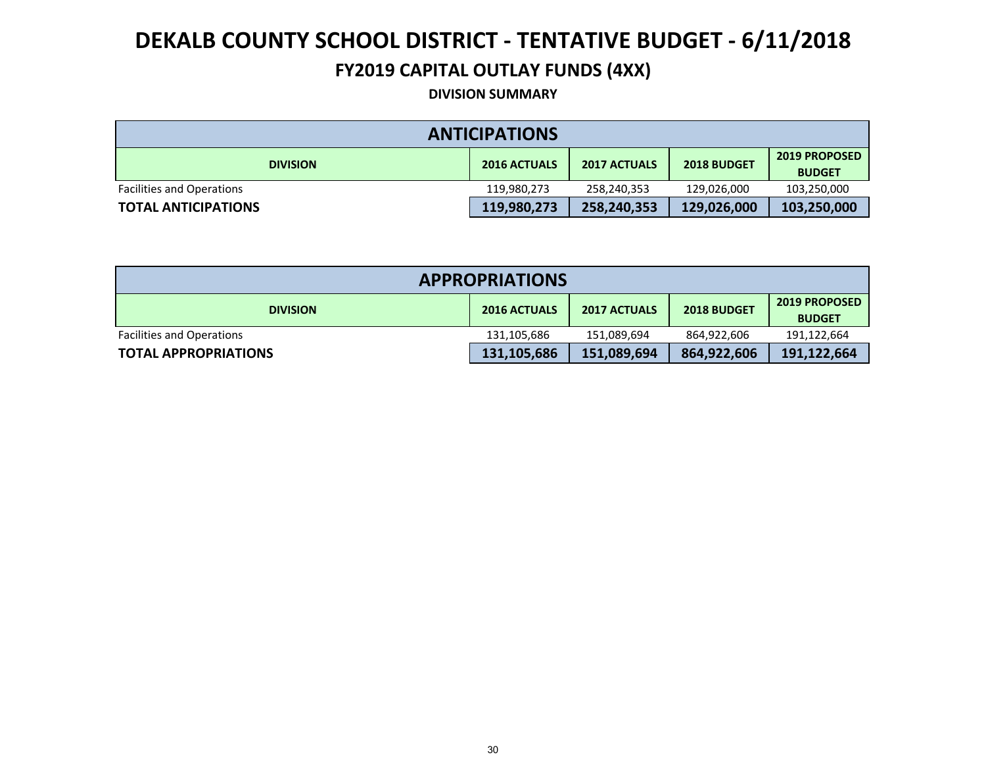#### **FY2019 CAPITAL OUTLAY FUNDS (4XX)**

#### **DIVISION SUMMARY**

| <b>ANTICIPATIONS</b>             |                     |                     |             |                                       |  |  |  |
|----------------------------------|---------------------|---------------------|-------------|---------------------------------------|--|--|--|
| <b>DIVISION</b>                  | <b>2016 ACTUALS</b> | <b>2017 ACTUALS</b> | 2018 BUDGET | <b>2019 PROPOSED</b><br><b>BUDGET</b> |  |  |  |
| <b>Facilities and Operations</b> | 119,980,273         | 258,240,353         | 129,026,000 | 103,250,000                           |  |  |  |
| <b>TOTAL ANTICIPATIONS</b>       | 119,980,273         | 258,240,353         | 129,026,000 | 103,250,000                           |  |  |  |

| <b>APPROPRIATIONS</b>            |                     |                     |             |                                       |  |  |  |
|----------------------------------|---------------------|---------------------|-------------|---------------------------------------|--|--|--|
| <b>DIVISION</b>                  | <b>2016 ACTUALS</b> | <b>2017 ACTUALS</b> | 2018 BUDGET | <b>2019 PROPOSED</b><br><b>BUDGET</b> |  |  |  |
| <b>Facilities and Operations</b> | 131,105,686         | 151,089,694         | 864,922,606 | 191,122,664                           |  |  |  |
| <b>TOTAL APPROPRIATIONS</b>      | 131,105,686         | 151,089,694         | 864,922,606 | 191,122,664                           |  |  |  |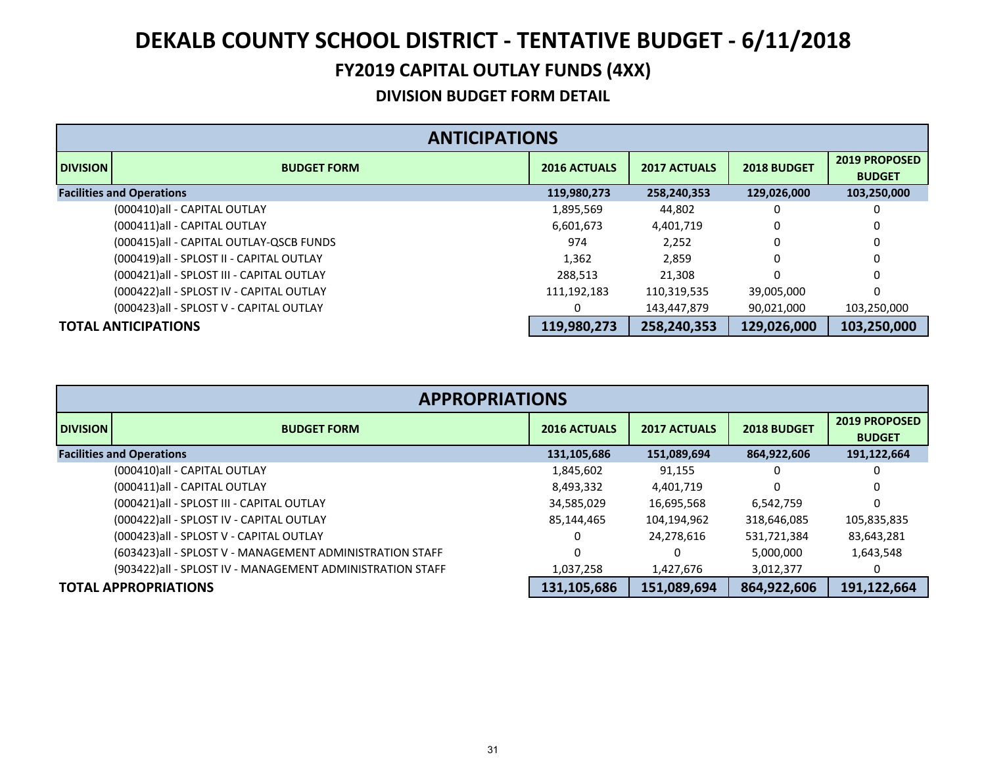### **DEKALB COUNTY SCHOOL DISTRICT ‐ TENTATIVE BUDGET ‐ 6/11/2018 FY2019 CAPITAL OUTLAY FUNDS (4XX)**

|                 | <b>ANTICIPATIONS</b>                       |                     |                     |                    |                                |  |  |  |
|-----------------|--------------------------------------------|---------------------|---------------------|--------------------|--------------------------------|--|--|--|
| <b>DIVISION</b> | <b>BUDGET FORM</b>                         | <b>2016 ACTUALS</b> | <b>2017 ACTUALS</b> | <b>2018 BUDGET</b> | 2019 PROPOSED<br><b>BUDGET</b> |  |  |  |
|                 | <b>Facilities and Operations</b>           | 119,980,273         | 258,240,353         | 129,026,000        | 103,250,000                    |  |  |  |
|                 | (000410) all - CAPITAL OUTLAY              | 1,895,569           | 44,802              |                    |                                |  |  |  |
|                 | (000411) all - CAPITAL OUTLAY              | 6,601,673           | 4,401,719           |                    |                                |  |  |  |
|                 | (000415)all - CAPITAL OUTLAY-QSCB FUNDS    | 974                 | 2.252               | 0                  |                                |  |  |  |
|                 | (000419) all - SPLOST II - CAPITAL OUTLAY  | 1.362               | 2.859               | 0                  |                                |  |  |  |
|                 | (000421) all - SPLOST III - CAPITAL OUTLAY | 288,513             | 21,308              |                    | 0                              |  |  |  |
|                 | (000422) all - SPLOST IV - CAPITAL OUTLAY  | 111,192,183         | 110,319,535         | 39,005,000         |                                |  |  |  |
|                 | (000423) all - SPLOST V - CAPITAL OUTLAY   | 0                   | 143,447,879         | 90,021,000         | 103,250,000                    |  |  |  |
|                 | <b>TOTAL ANTICIPATIONS</b>                 | 119,980,273         | 258,240,353         | 129,026,000        | 103,250,000                    |  |  |  |

|                                  | <b>APPROPRIATIONS</b>                                      |                     |                     |             |                                       |  |  |  |
|----------------------------------|------------------------------------------------------------|---------------------|---------------------|-------------|---------------------------------------|--|--|--|
| <b>DIVISION</b>                  | <b>BUDGET FORM</b>                                         | <b>2016 ACTUALS</b> | <b>2017 ACTUALS</b> | 2018 BUDGET | <b>2019 PROPOSED</b><br><b>BUDGET</b> |  |  |  |
| <b>Facilities and Operations</b> |                                                            | 131,105,686         | 151,089,694         | 864,922,606 | 191,122,664                           |  |  |  |
|                                  | (000410) all - CAPITAL OUTLAY                              | 1,845,602           | 91,155              | 0           | 0                                     |  |  |  |
|                                  | (000411) all - CAPITAL OUTLAY                              | 8,493,332           | 4,401,719           | 0           | 0                                     |  |  |  |
|                                  | (000421) all - SPLOST III - CAPITAL OUTLAY                 | 34,585,029          | 16,695,568          | 6,542,759   | 0                                     |  |  |  |
|                                  | (000422) all - SPLOST IV - CAPITAL OUTLAY                  | 85,144,465          | 104,194,962         | 318,646,085 | 105,835,835                           |  |  |  |
|                                  | (000423) all - SPLOST V - CAPITAL OUTLAY                   | 0                   | 24,278,616          | 531,721,384 | 83,643,281                            |  |  |  |
|                                  | (603423) all - SPLOST V - MANAGEMENT ADMINISTRATION STAFF  |                     |                     | 5,000,000   | 1,643,548                             |  |  |  |
|                                  | (903422) all - SPLOST IV - MANAGEMENT ADMINISTRATION STAFF | 1,037,258           | 1,427,676           | 3,012,377   |                                       |  |  |  |
|                                  | <b>TOTAL APPROPRIATIONS</b>                                | 131,105,686         | 151,089,694         | 864,922,606 | 191,122,664                           |  |  |  |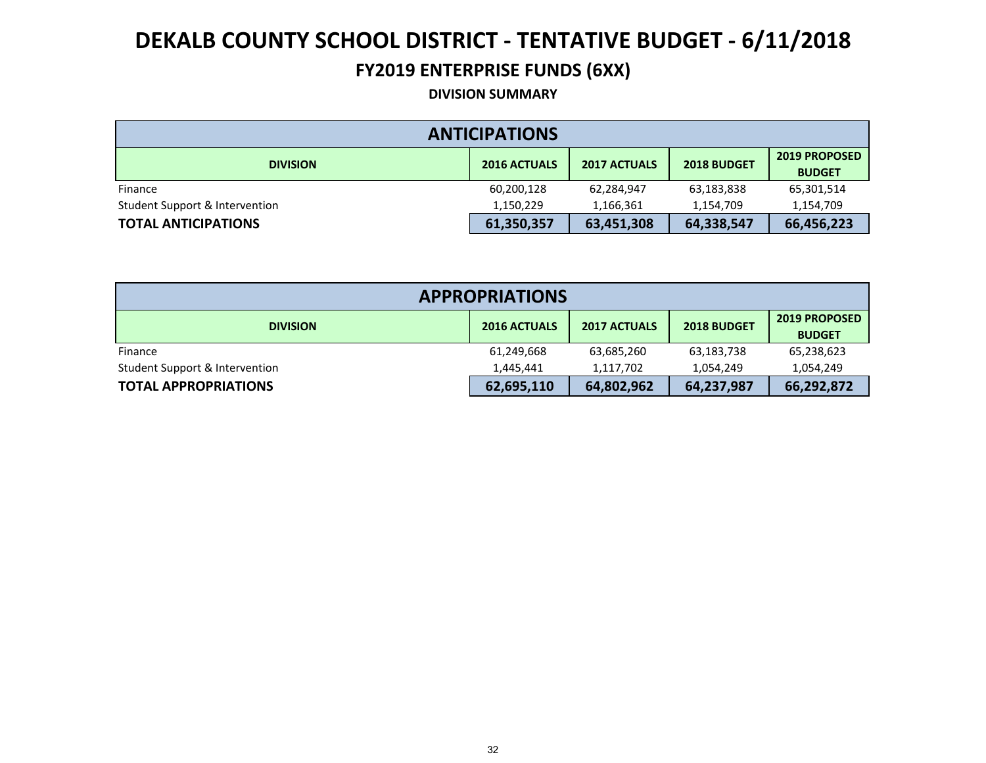#### **FY2019 ENTERPRISE FUNDS (6XX)**

#### **DIVISION SUMMARY**

| <b>ANTICIPATIONS</b>           |                     |                     |             |                                       |  |  |  |
|--------------------------------|---------------------|---------------------|-------------|---------------------------------------|--|--|--|
| <b>DIVISION</b>                | <b>2016 ACTUALS</b> | <b>2017 ACTUALS</b> | 2018 BUDGET | <b>2019 PROPOSED</b><br><b>BUDGET</b> |  |  |  |
| Finance                        | 60,200,128          | 62,284,947          | 63,183,838  | 65,301,514                            |  |  |  |
| Student Support & Intervention | 1,150,229           | 1,166,361           | 1,154,709   | 1,154,709                             |  |  |  |
| <b>TOTAL ANTICIPATIONS</b>     | 61,350,357          | 63,451,308          | 64,338,547  | 66,456,223                            |  |  |  |

| <b>APPROPRIATIONS</b>          |                     |                     |             |                                       |  |  |  |
|--------------------------------|---------------------|---------------------|-------------|---------------------------------------|--|--|--|
| <b>DIVISION</b>                | <b>2016 ACTUALS</b> | <b>2017 ACTUALS</b> | 2018 BUDGET | <b>2019 PROPOSED</b><br><b>BUDGET</b> |  |  |  |
| Finance                        | 61,249,668          | 63,685,260          | 63,183,738  | 65,238,623                            |  |  |  |
| Student Support & Intervention | 1.445.441           | 1,117,702           | 1,054,249   | 1,054,249                             |  |  |  |
| <b>TOTAL APPROPRIATIONS</b>    | 62,695,110          | 64,802,962          | 64,237,987  | 66,292,872                            |  |  |  |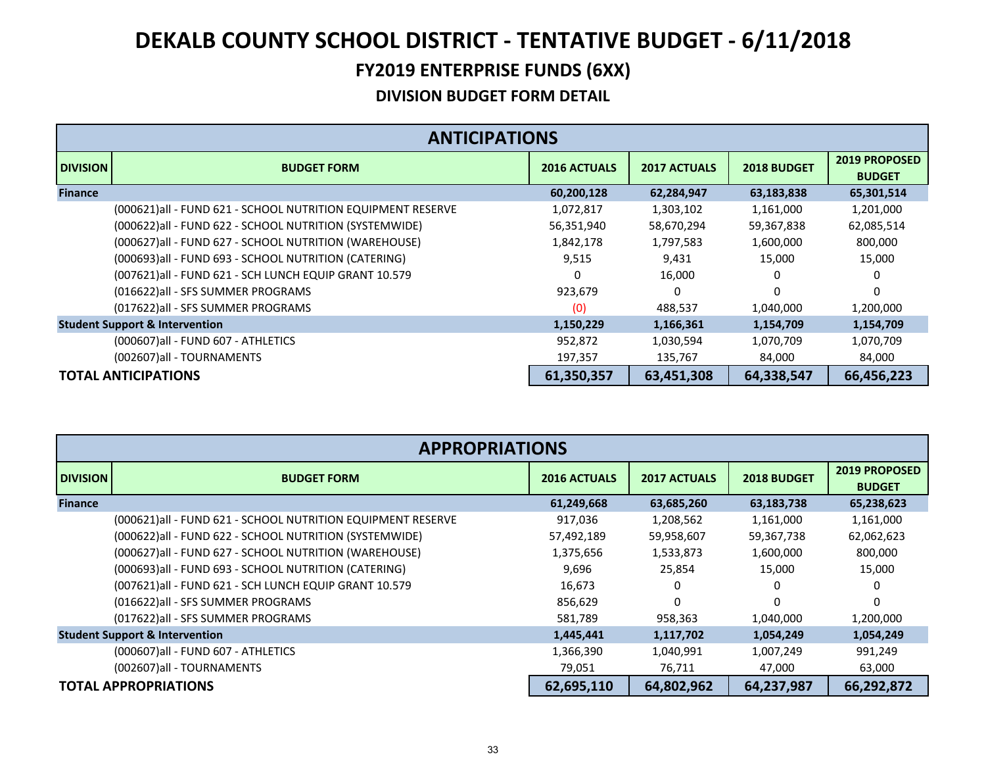|                 | <b>ANTICIPATIONS</b>                                         |                     |                     |                    |                                       |  |  |  |
|-----------------|--------------------------------------------------------------|---------------------|---------------------|--------------------|---------------------------------------|--|--|--|
| <b>DIVISION</b> | <b>BUDGET FORM</b>                                           | <b>2016 ACTUALS</b> | <b>2017 ACTUALS</b> | <b>2018 BUDGET</b> | <b>2019 PROPOSED</b><br><b>BUDGET</b> |  |  |  |
| <b>Finance</b>  |                                                              | 60,200,128          | 62,284,947          | 63,183,838         | 65,301,514                            |  |  |  |
|                 | (000621) all - FUND 621 - SCHOOL NUTRITION EQUIPMENT RESERVE | 1,072,817           | 1,303,102           | 1,161,000          | 1,201,000                             |  |  |  |
|                 | (000622) all - FUND 622 - SCHOOL NUTRITION (SYSTEMWIDE)      | 56,351,940          | 58,670,294          | 59,367,838         | 62,085,514                            |  |  |  |
|                 | (000627) all - FUND 627 - SCHOOL NUTRITION (WAREHOUSE)       | 1,842,178           | 1,797,583           | 1,600,000          | 800,000                               |  |  |  |
|                 | (000693) all - FUND 693 - SCHOOL NUTRITION (CATERING)        | 9,515               | 9,431               | 15,000             | 15,000                                |  |  |  |
|                 | (007621) all - FUND 621 - SCH LUNCH EQUIP GRANT 10.579       | 0                   | 16,000              |                    |                                       |  |  |  |
|                 | (016622) all - SFS SUMMER PROGRAMS                           | 923,679             | 0                   | $\Omega$           | 0                                     |  |  |  |
|                 | (017622) all - SFS SUMMER PROGRAMS                           | (0)                 | 488,537             | 1,040,000          | 1,200,000                             |  |  |  |
|                 | <b>Student Support &amp; Intervention</b>                    | 1,150,229           | 1,166,361           | 1,154,709          | 1,154,709                             |  |  |  |
|                 | (000607)all - FUND 607 - ATHLETICS                           | 952,872             | 1,030,594           | 1,070,709          | 1,070,709                             |  |  |  |
|                 | (002607)all - TOURNAMENTS                                    | 197,357             | 135,767             | 84,000             | 84,000                                |  |  |  |
|                 | <b>TOTAL ANTICIPATIONS</b>                                   | 61,350,357          | 63,451,308          | 64,338,547         | 66,456,223                            |  |  |  |

|                 | <b>APPROPRIATIONS</b>                                       |                     |                     |             |                                       |  |  |
|-----------------|-------------------------------------------------------------|---------------------|---------------------|-------------|---------------------------------------|--|--|
| <b>DIVISION</b> | <b>BUDGET FORM</b>                                          | <b>2016 ACTUALS</b> | <b>2017 ACTUALS</b> | 2018 BUDGET | <b>2019 PROPOSED</b><br><b>BUDGET</b> |  |  |
| <b>Finance</b>  |                                                             | 61,249,668          | 63,685,260          | 63,183,738  | 65,238,623                            |  |  |
|                 | (000621)all - FUND 621 - SCHOOL NUTRITION EQUIPMENT RESERVE | 917,036             | 1,208,562           | 1,161,000   | 1,161,000                             |  |  |
|                 | (000622) all - FUND 622 - SCHOOL NUTRITION (SYSTEMWIDE)     | 57,492,189          | 59,958,607          | 59,367,738  | 62,062,623                            |  |  |
|                 | (000627) all - FUND 627 - SCHOOL NUTRITION (WAREHOUSE)      | 1,375,656           | 1,533,873           | 1,600,000   | 800,000                               |  |  |
|                 | (000693)all - FUND 693 - SCHOOL NUTRITION (CATERING)        | 9,696               | 25,854              | 15,000      | 15,000                                |  |  |
|                 | (007621) all - FUND 621 - SCH LUNCH EQUIP GRANT 10.579      | 16,673              | 0                   | 0           | 0                                     |  |  |
|                 | (016622)all - SFS SUMMER PROGRAMS                           | 856,629             | 0                   | $\Omega$    | $\Omega$                              |  |  |
|                 | (017622)all - SFS SUMMER PROGRAMS                           | 581,789             | 958,363             | 1,040,000   | 1,200,000                             |  |  |
|                 | <b>Student Support &amp; Intervention</b>                   | 1,445,441           | 1,117,702           | 1,054,249   | 1,054,249                             |  |  |
|                 | (000607) all - FUND 607 - ATHLETICS                         | 1,366,390           | 1,040,991           | 1,007,249   | 991,249                               |  |  |
|                 | (002607)all - TOURNAMENTS                                   | 79,051              | 76,711              | 47,000      | 63,000                                |  |  |
|                 | <b>TOTAL APPROPRIATIONS</b>                                 | 62,695,110          | 64,802,962          | 64,237,987  | 66,292,872                            |  |  |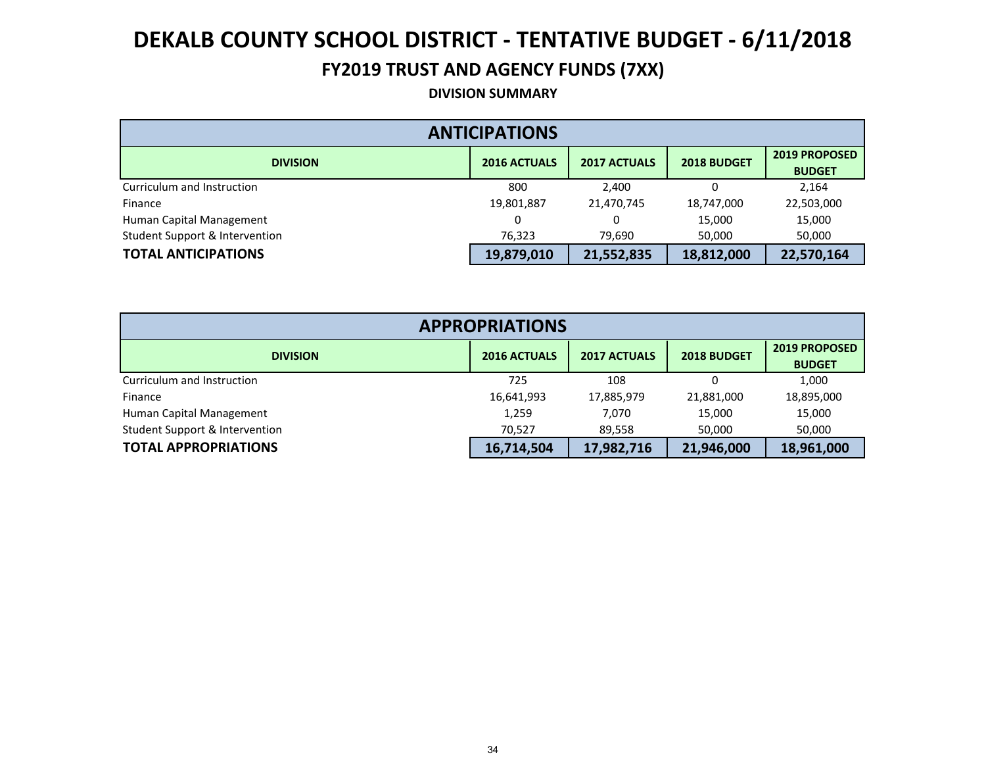#### **FY2019 TRUST AND AGENCY FUNDS (7XX)**

**DIVISION SUMMARY**

| <b>ANTICIPATIONS</b>           |                     |                     |             |                                       |  |  |  |  |
|--------------------------------|---------------------|---------------------|-------------|---------------------------------------|--|--|--|--|
| <b>DIVISION</b>                | <b>2016 ACTUALS</b> | <b>2017 ACTUALS</b> | 2018 BUDGET | <b>2019 PROPOSED</b><br><b>BUDGET</b> |  |  |  |  |
| Curriculum and Instruction     | 800                 | 2,400               |             | 2.164                                 |  |  |  |  |
| Finance                        | 19,801,887          | 21,470,745          | 18,747,000  | 22,503,000                            |  |  |  |  |
| Human Capital Management       | 0                   |                     | 15,000      | 15,000                                |  |  |  |  |
| Student Support & Intervention | 76,323              | 79,690              | 50,000      | 50,000                                |  |  |  |  |
| <b>TOTAL ANTICIPATIONS</b>     | 19,879,010          | 21,552,835          | 18,812,000  | 22,570,164                            |  |  |  |  |

| <b>APPROPRIATIONS</b>          |                     |                     |             |                                       |  |  |  |  |
|--------------------------------|---------------------|---------------------|-------------|---------------------------------------|--|--|--|--|
| <b>DIVISION</b>                | <b>2016 ACTUALS</b> | <b>2017 ACTUALS</b> | 2018 BUDGET | <b>2019 PROPOSED</b><br><b>BUDGET</b> |  |  |  |  |
| Curriculum and Instruction     | 725                 | 108                 |             | 1,000                                 |  |  |  |  |
| Finance                        | 16,641,993          | 17,885,979          | 21,881,000  | 18,895,000                            |  |  |  |  |
| Human Capital Management       | 1,259               | 7.070               | 15,000      | 15,000                                |  |  |  |  |
| Student Support & Intervention | 70,527              | 89,558              | 50,000      | 50,000                                |  |  |  |  |
| <b>TOTAL APPROPRIATIONS</b>    | 16,714,504          | 17,982,716          | 21,946,000  | 18,961,000                            |  |  |  |  |